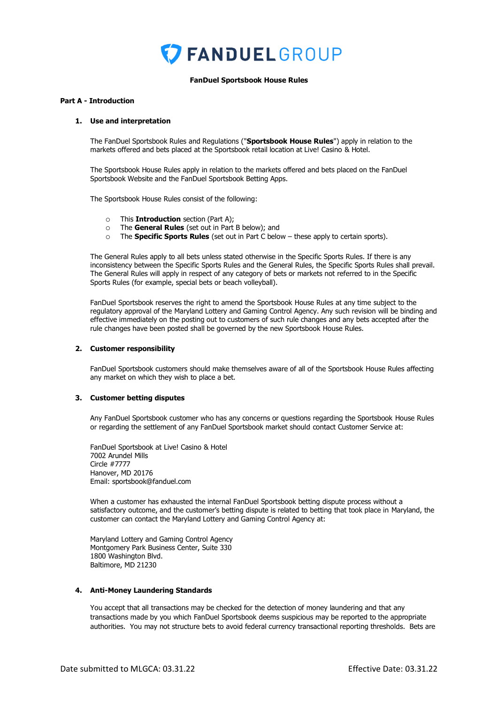

#### **FanDuel Sportsbook House Rules**

#### **Part A - Introduction**

## **1. Use and interpretation**

The FanDuel Sportsbook Rules and Regulations ("**Sportsbook House Rules**") apply in relation to the markets offered and bets placed at the Sportsbook retail location at Live! Casino & Hotel.

The Sportsbook House Rules apply in relation to the markets offered and bets placed on the FanDuel Sportsbook Website and the FanDuel Sportsbook Betting Apps.

The Sportsbook House Rules consist of the following:

- o This **Introduction** section (Part A);
- o The **General Rules** (set out in Part B below); and
- o The **Specific Sports Rules** (set out in Part C below these apply to certain sports).

The General Rules apply to all bets unless stated otherwise in the Specific Sports Rules. If there is any inconsistency between the Specific Sports Rules and the General Rules, the Specific Sports Rules shall prevail. The General Rules will apply in respect of any category of bets or markets not referred to in the Specific Sports Rules (for example, special bets or beach volleyball).

FanDuel Sportsbook reserves the right to amend the Sportsbook House Rules at any time subject to the regulatory approval of the Maryland Lottery and Gaming Control Agency. Any such revision will be binding and effective immediately on the posting out to customers of such rule changes and any bets accepted after the rule changes have been posted shall be governed by the new Sportsbook House Rules.

#### **2. Customer responsibility**

FanDuel Sportsbook customers should make themselves aware of all of the Sportsbook House Rules affecting any market on which they wish to place a bet.

#### **3. Customer betting disputes**

Any FanDuel Sportsbook customer who has any concerns or questions regarding the Sportsbook House Rules or regarding the settlement of any FanDuel Sportsbook market should contact Customer Service at:

FanDuel Sportsbook at Live! Casino & Hotel 7002 Arundel Mills Circle #7777 Hanover, MD 20176 Email: sportsbook@fanduel.com

When a customer has exhausted the internal FanDuel Sportsbook betting dispute process without a satisfactory outcome, and the customer's betting dispute is related to betting that took place in Maryland, the customer can contact the Maryland Lottery and Gaming Control Agency at:

Maryland Lottery and Gaming Control Agency Montgomery Park Business Center, Suite 330 1800 Washington Blvd. Baltimore, MD 21230

#### **4. Anti-Money Laundering Standards**

You accept that all transactions may be checked for the detection of money laundering and that any transactions made by you which FanDuel Sportsbook deems suspicious may be reported to the appropriate authorities. You may not structure bets to avoid federal currency transactional reporting thresholds. Bets are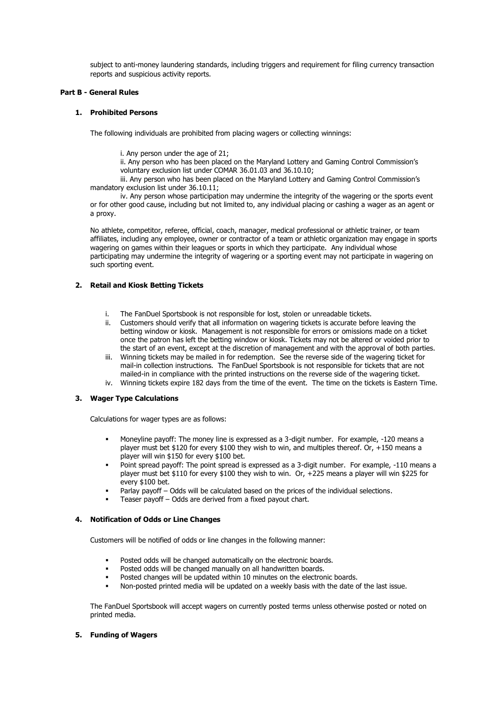subject to anti-money laundering standards, including triggers and requirement for filing currency transaction reports and suspicious activity reports.

## **Part B - General Rules**

## **1. Prohibited Persons**

The following individuals are prohibited from placing wagers or collecting winnings:

i. Any person under the age of 21;

ii. Any person who has been placed on the Maryland Lottery and Gaming Control Commission's voluntary exclusion list under COMAR 36.01.03 and 36.10.10;

iii. Any person who has been placed on the Maryland Lottery and Gaming Control Commission's mandatory exclusion list under 36.10.11;

iv. Any person whose participation may undermine the integrity of the wagering or the sports event or for other good cause, including but not limited to, any individual placing or cashing a wager as an agent or a proxy.

No athlete, competitor, referee, official, coach, manager, medical professional or athletic trainer, or team affiliates, including any employee, owner or contractor of a team or athletic organization may engage in sports wagering on games within their leagues or sports in which they participate. Any individual whose participating may undermine the integrity of wagering or a sporting event may not participate in wagering on such sporting event.

# **2. Retail and Kiosk Betting Tickets**

- i. The FanDuel Sportsbook is not responsible for lost, stolen or unreadable tickets.
- ii. Customers should verify that all information on wagering tickets is accurate before leaving the betting window or kiosk. Management is not responsible for errors or omissions made on a ticket once the patron has left the betting window or kiosk. Tickets may not be altered or voided prior to the start of an event, except at the discretion of management and with the approval of both parties.
- iii. Winning tickets may be mailed in for redemption. See the reverse side of the wagering ticket for mail-in collection instructions. The FanDuel Sportsbook is not responsible for tickets that are not mailed-in in compliance with the printed instructions on the reverse side of the wagering ticket.
- iv. Winning tickets expire 182 days from the time of the event. The time on the tickets is Eastern Time.

## **3. Wager Type Calculations**

Calculations for wager types are as follows:

- Moneyline payoff: The money line is expressed as a 3-digit number. For example, -120 means a player must bet \$120 for every \$100 they wish to win, and multiples thereof. Or, +150 means a player will win \$150 for every \$100 bet.
- Point spread payoff: The point spread is expressed as a 3-digit number. For example, -110 means a player must bet \$110 for every \$100 they wish to win. Or, +225 means a player will win \$225 for every \$100 bet.
- Parlay payoff Odds will be calculated based on the prices of the individual selections.
- Teaser payoff Odds are derived from a fixed payout chart.

## **4. Notification of Odds or Line Changes**

Customers will be notified of odds or line changes in the following manner:

- Posted odds will be changed automatically on the electronic boards.
- Posted odds will be changed manually on all handwritten boards.
- Posted changes will be updated within 10 minutes on the electronic boards.
- Non-posted printed media will be updated on a weekly basis with the date of the last issue.

The FanDuel Sportsbook will accept wagers on currently posted terms unless otherwise posted or noted on printed media.

## **5. Funding of Wagers**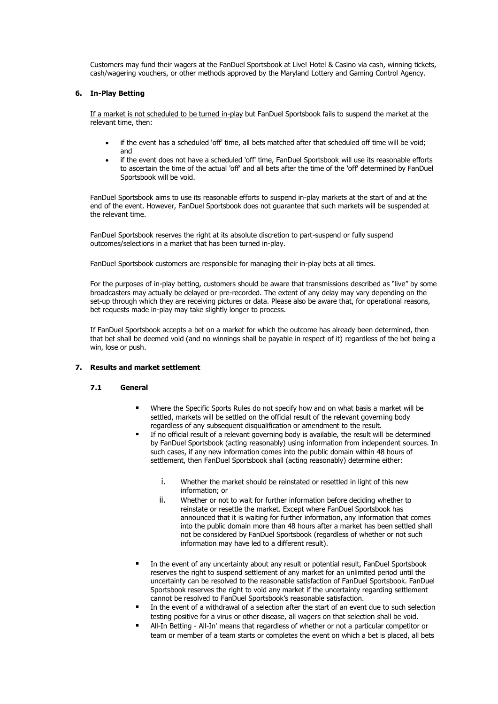Customers may fund their wagers at the FanDuel Sportsbook at Live! Hotel & Casino via cash, winning tickets, cash/wagering vouchers, or other methods approved by the Maryland Lottery and Gaming Control Agency.

#### **6. In-Play Betting**

If a market is not scheduled to be turned in-play but FanDuel Sportsbook fails to suspend the market at the relevant time, then:

- if the event has a scheduled 'off' time, all bets matched after that scheduled off time will be void; and
- if the event does not have a scheduled 'off' time, FanDuel Sportsbook will use its reasonable efforts to ascertain the time of the actual 'off' and all bets after the time of the 'off' determined by FanDuel Sportsbook will be void.

FanDuel Sportsbook aims to use its reasonable efforts to suspend in-play markets at the start of and at the end of the event. However, FanDuel Sportsbook does not guarantee that such markets will be suspended at the relevant time.

FanDuel Sportsbook reserves the right at its absolute discretion to part-suspend or fully suspend outcomes/selections in a market that has been turned in-play.

FanDuel Sportsbook customers are responsible for managing their in-play bets at all times.

For the purposes of in-play betting, customers should be aware that transmissions described as "live" by some broadcasters may actually be delayed or pre-recorded. The extent of any delay may vary depending on the set-up through which they are receiving pictures or data. Please also be aware that, for operational reasons, bet requests made in-play may take slightly longer to process.

If FanDuel Sportsbook accepts a bet on a market for which the outcome has already been determined, then that bet shall be deemed void (and no winnings shall be payable in respect of it) regardless of the bet being a win, lose or push.

## **7. Results and market settlement**

## **7.1 General**

- Where the Specific Sports Rules do not specify how and on what basis a market will be settled, markets will be settled on the official result of the relevant governing body regardless of any subsequent disqualification or amendment to the result.
- If no official result of a relevant governing body is available, the result will be determined by FanDuel Sportsbook (acting reasonably) using information from independent sources. In such cases, if any new information comes into the public domain within 48 hours of settlement, then FanDuel Sportsbook shall (acting reasonably) determine either:
	- i. Whether the market should be reinstated or resettled in light of this new information; or
	- ii. Whether or not to wait for further information before deciding whether to reinstate or resettle the market. Except where FanDuel Sportsbook has announced that it is waiting for further information, any information that comes into the public domain more than 48 hours after a market has been settled shall not be considered by FanDuel Sportsbook (regardless of whether or not such information may have led to a different result).
- In the event of any uncertainty about any result or potential result, FanDuel Sportsbook reserves the right to suspend settlement of any market for an unlimited period until the uncertainty can be resolved to the reasonable satisfaction of FanDuel Sportsbook. FanDuel Sportsbook reserves the right to void any market if the uncertainty regarding settlement cannot be resolved to FanDuel Sportsbook's reasonable satisfaction.
- In the event of a withdrawal of a selection after the start of an event due to such selection testing positive for a virus or other disease, all wagers on that selection shall be void.
- All-In Betting All-In' means that regardless of whether or not a particular competitor or team or member of a team starts or completes the event on which a bet is placed, all bets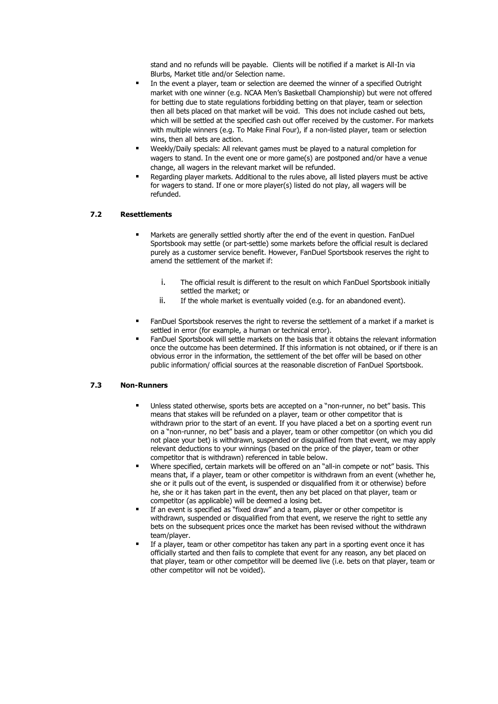stand and no refunds will be payable. Clients will be notified if a market is All-In via Blurbs, Market title and/or Selection name.

- In the event a player, team or selection are deemed the winner of a specified Outright market with one winner (e.g. NCAA Men's Basketball Championship) but were not offered for betting due to state regulations forbidding betting on that player, team or selection then all bets placed on that market will be void. This does not include cashed out bets, which will be settled at the specified cash out offer received by the customer. For markets with multiple winners (e.g. To Make Final Four), if a non-listed player, team or selection wins, then all bets are action.
- Weekly/Daily specials: All relevant games must be played to a natural completion for wagers to stand. In the event one or more game(s) are postponed and/or have a venue change, all wagers in the relevant market will be refunded.
- Regarding player markets. Additional to the rules above, all listed players must be active for wagers to stand. If one or more player(s) listed do not play, all wagers will be refunded.

## **7.2 Resettlements**

- Markets are generally settled shortly after the end of the event in question. FanDuel Sportsbook may settle (or part-settle) some markets before the official result is declared purely as a customer service benefit. However, FanDuel Sportsbook reserves the right to amend the settlement of the market if:
	- i. The official result is different to the result on which FanDuel Sportsbook initially settled the market; or
	- ii. If the whole market is eventually voided (e.g. for an abandoned event).
- FanDuel Sportsbook reserves the right to reverse the settlement of a market if a market is settled in error (for example, a human or technical error).
- FanDuel Sportsbook will settle markets on the basis that it obtains the relevant information once the outcome has been determined. If this information is not obtained, or if there is an obvious error in the information, the settlement of the bet offer will be based on other public information/ official sources at the reasonable discretion of FanDuel Sportsbook.

#### **7.3 Non-Runners**

- Unless stated otherwise, sports bets are accepted on a "non-runner, no bet" basis. This means that stakes will be refunded on a player, team or other competitor that is withdrawn prior to the start of an event. If you have placed a bet on a sporting event run on a "non-runner, no bet" basis and a player, team or other competitor (on which you did not place your bet) is withdrawn, suspended or disqualified from that event, we may apply relevant deductions to your winnings (based on the price of the player, team or other competitor that is withdrawn) referenced in table below.
- Where specified, certain markets will be offered on an "all-in compete or not" basis. This means that, if a player, team or other competitor is withdrawn from an event (whether he, she or it pulls out of the event, is suspended or disqualified from it or otherwise) before he, she or it has taken part in the event, then any bet placed on that player, team or competitor (as applicable) will be deemed a losing bet.
- If an event is specified as "fixed draw" and a team, player or other competitor is withdrawn, suspended or disqualified from that event, we reserve the right to settle any bets on the subsequent prices once the market has been revised without the withdrawn team/player.
- If a player, team or other competitor has taken any part in a sporting event once it has officially started and then fails to complete that event for any reason, any bet placed on that player, team or other competitor will be deemed live (i.e. bets on that player, team or other competitor will not be voided).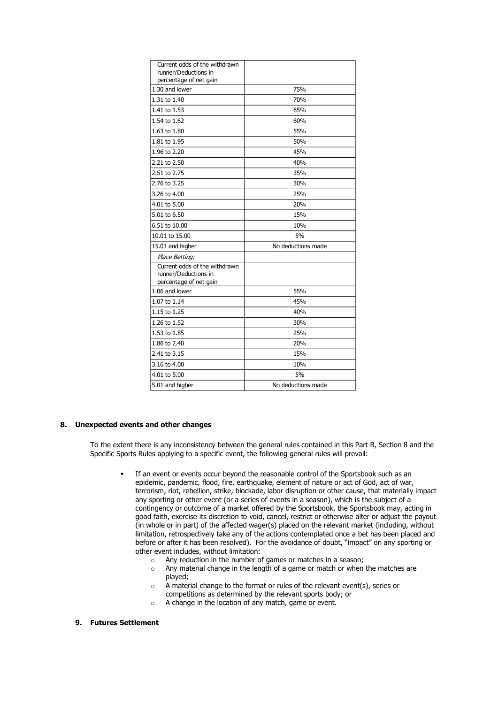| Current odds of the withdrawn                                                   |                    |
|---------------------------------------------------------------------------------|--------------------|
| runner/Deductions in<br>percentage of net gain                                  |                    |
| 1.30 and lower                                                                  | 75%                |
| 1.31 to 1.40                                                                    | 70%                |
| 1.41 to 1.53                                                                    | 65%                |
| 1.54 to 1.62                                                                    | 60%                |
| 1.63 to 1.80                                                                    | 55%                |
| 1.81 to 1.95                                                                    | 50%                |
| 1.96 to 2.20                                                                    | 45%                |
| 2.21 to 2.50                                                                    | 40%                |
| 2.51 to 2.75                                                                    | 35%                |
| 2.76 to 3.25                                                                    | 30%                |
| 3.26 to 4.00                                                                    | 25%                |
| 4.01 to 5.00                                                                    | 20%                |
| 5.01 to 6.50                                                                    | 15%                |
| 6.51 to 10.00                                                                   | 10%                |
| 10.01 to 15.00                                                                  | 5%                 |
| 15.01 and higher                                                                | No deductions made |
| Place Betting:                                                                  |                    |
| Current odds of the withdrawn<br>runner/Deductions in<br>percentage of net gain |                    |
| 1.06 and lower                                                                  | 55%                |
| 1.07 to 1.14                                                                    | 45%                |
| 1.15 to 1.25                                                                    | 40%                |
| 1.26 to 1.52                                                                    | 30%                |
| 1.53 to 1.85                                                                    | 25%                |
| 1.86 to 2.40                                                                    | 20%                |
| 2.41 to 3.15                                                                    | 15%                |
| 3.16 to 4.00                                                                    | 10%                |
| 4.01 to 5.00                                                                    | 5%                 |
| 5.01 and higher                                                                 | No deductions made |

#### **8. Unexpected events and other changes**

To the extent there is any inconsistency between the general rules contained in this Part B, Section 8 and the Specific Sports Rules applying to a specific event, the following general rules will prevail:

- If an event or events occur beyond the reasonable control of the Sportsbook such as an epidemic, pandemic, flood, fire, earthquake, element of nature or act of God, act of war, terrorism, riot, rebellion, strike, blockade, labor disruption or other cause, that materially impact any sporting or other event (or a series of events in a season), which is the subject of a contingency or outcome of a market offered by the Sportsbook, the Sportsbook may, acting in good faith, exercise its discretion to void, cancel, restrict or otherwise alter or adjust the payout (in whole or in part) of the affected wager(s) placed on the relevant market (including, without limitation, retrospectively take any of the actions contemplated once a bet has been placed and before or after it has been resolved). For the avoidance of doubt, "impact" on any sporting or other event includes, without limitation:
	- o Any reduction in the number of games or matches in a season;
	- o Any material change in the length of a game or match or when the matches are played;
	- o A material change to the format or rules of the relevant event(s), series or competitions as determined by the relevant sports body; or
	- o A change in the location of any match, game or event.

## **9. Futures Settlement**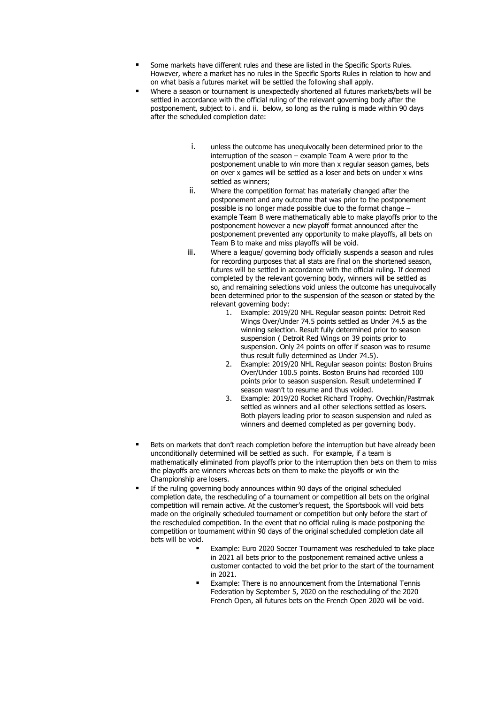- Some markets have different rules and these are listed in the Specific Sports Rules. However, where a market has no rules in the Specific Sports Rules in relation to how and on what basis a futures market will be settled the following shall apply.
- Where a season or tournament is unexpectedly shortened all futures markets/bets will be settled in accordance with the official ruling of the relevant governing body after the postponement, subject to i. and ii. below, so long as the ruling is made within 90 days after the scheduled completion date:
	- i. unless the outcome has unequivocally been determined prior to the interruption of the season – example Team A were prior to the postponement unable to win more than x regular season games, bets on over x games will be settled as a loser and bets on under x wins settled as winners;
	- ii. Where the competition format has materially changed after the postponement and any outcome that was prior to the postponement possible is no longer made possible due to the format change – example Team B were mathematically able to make playoffs prior to the postponement however a new playoff format announced after the postponement prevented any opportunity to make playoffs, all bets on Team B to make and miss playoffs will be void.
	- iii. Where a league/ governing body officially suspends a season and rules for recording purposes that all stats are final on the shortened season, futures will be settled in accordance with the official ruling. If deemed completed by the relevant governing body, winners will be settled as so, and remaining selections void unless the outcome has unequivocally been determined prior to the suspension of the season or stated by the relevant governing body:
		- 1. Example: 2019/20 NHL Regular season points: Detroit Red Wings Over/Under 74.5 points settled as Under 74.5 as the winning selection. Result fully determined prior to season suspension ( Detroit Red Wings on 39 points prior to suspension. Only 24 points on offer if season was to resume thus result fully determined as Under 74.5).
		- 2. Example: 2019/20 NHL Regular season points: Boston Bruins Over/Under 100.5 points. Boston Bruins had recorded 100 points prior to season suspension. Result undetermined if season wasn't to resume and thus voided.
		- 3. Example: 2019/20 Rocket Richard Trophy. Ovechkin/Pastrnak settled as winners and all other selections settled as losers. Both players leading prior to season suspension and ruled as winners and deemed completed as per governing body.
- Bets on markets that don't reach completion before the interruption but have already been unconditionally determined will be settled as such. For example, if a team is mathematically eliminated from playoffs prior to the interruption then bets on them to miss the playoffs are winners whereas bets on them to make the playoffs or win the Championship are losers.
- If the ruling governing body announces within 90 days of the original scheduled completion date, the rescheduling of a tournament or competition all bets on the original competition will remain active. At the customer's request, the Sportsbook will void bets made on the originally scheduled tournament or competition but only before the start of the rescheduled competition. In the event that no official ruling is made postponing the competition or tournament within 90 days of the original scheduled completion date all bets will be void.
	- Example: Euro 2020 Soccer Tournament was rescheduled to take place in 2021 all bets prior to the postponement remained active unless a customer contacted to void the bet prior to the start of the tournament in 2021.
	- Example: There is no announcement from the International Tennis Federation by September 5, 2020 on the rescheduling of the 2020 French Open, all futures bets on the French Open 2020 will be void.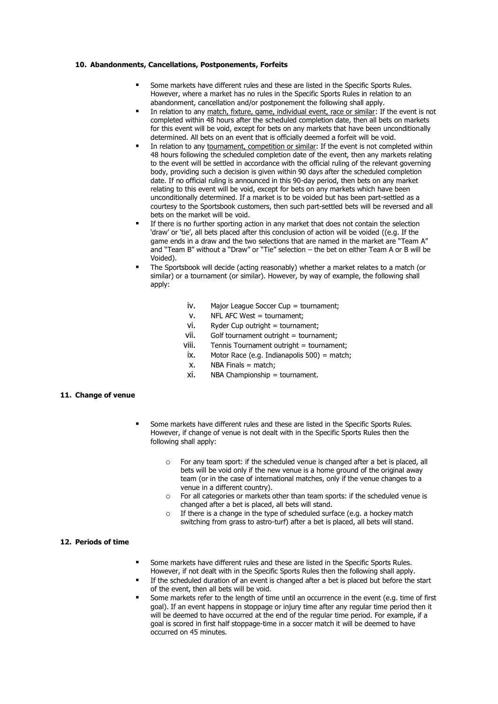#### **10. Abandonments, Cancellations, Postponements, Forfeits**

- Some markets have different rules and these are listed in the Specific Sports Rules. However, where a market has no rules in the Specific Sports Rules in relation to an abandonment, cancellation and/or postponement the following shall apply.
- In relation to any match, fixture, game, individual event, race or similar: If the event is not completed within 48 hours after the scheduled completion date, then all bets on markets for this event will be void, except for bets on any markets that have been unconditionally determined. All bets on an event that is officially deemed a forfeit will be void.
- In relation to any tournament, competition or similar: If the event is not completed within 48 hours following the scheduled completion date of the event, then any markets relating to the event will be settled in accordance with the official ruling of the relevant governing body, providing such a decision is given within 90 days after the scheduled completion date. If no official ruling is announced in this 90-day period, then bets on any market relating to this event will be void, except for bets on any markets which have been unconditionally determined. If a market is to be voided but has been part-settled as a courtesy to the Sportsbook customers, then such part-settled bets will be reversed and all bets on the market will be void.
- If there is no further sporting action in any market that does not contain the selection 'draw' or 'tie', all bets placed after this conclusion of action will be voided ((e.g. If the game ends in a draw and the two selections that are named in the market are "Team A" and "Team B" without a "Draw" or "Tie" selection – the bet on either Team A or B will be Voided).
- The Sportsbook will decide (acting reasonably) whether a market relates to a match (or similar) or a tournament (or similar). However, by way of example, the following shall apply:
	- iv. Major League Soccer Cup = tournament;
	- v. NFL AFC West = tournament;
	- $vi.$  Ryder Cup outright = tournament;
	- $V$ ii. Golf tournament outright = tournament:
	- viii. Tennis Tournament outright = tournament;
	- ix. Motor Race (e.g. Indianapolis 500) = match;
	- $x.$  NBA Finals = match:
	- xi. NBA Championship = tournament.

#### **11. Change of venue**

- Some markets have different rules and these are listed in the Specific Sports Rules. However, if change of venue is not dealt with in the Specific Sports Rules then the following shall apply:
	- o For any team sport: if the scheduled venue is changed after a bet is placed, all bets will be void only if the new venue is a home ground of the original away team (or in the case of international matches, only if the venue changes to a venue in a different country).
	- $\circ$  For all categories or markets other than team sports: if the scheduled venue is changed after a bet is placed, all bets will stand.
	- If there is a change in the type of scheduled surface (e.g. a hockey match switching from grass to astro-turf) after a bet is placed, all bets will stand.

#### **12. Periods of time**

- Some markets have different rules and these are listed in the Specific Sports Rules. However, if not dealt with in the Specific Sports Rules then the following shall apply.
- If the scheduled duration of an event is changed after a bet is placed but before the start of the event, then all bets will be void.
- Some markets refer to the length of time until an occurrence in the event (e.g. time of first goal). If an event happens in stoppage or injury time after any regular time period then it will be deemed to have occurred at the end of the regular time period. For example, if a goal is scored in first half stoppage-time in a soccer match it will be deemed to have occurred on 45 minutes.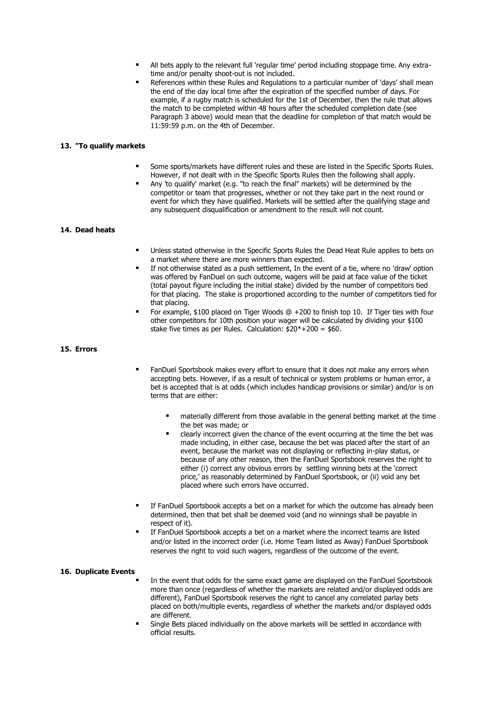- All bets apply to the relevant full 'regular time' period including stoppage time. Any extratime and/or penalty shoot-out is not included.
- References within these Rules and Regulations to a particular number of 'days' shall mean the end of the day local time after the expiration of the specified number of days. For example, if a rugby match is scheduled for the 1st of December, then the rule that allows the match to be completed within 48 hours after the scheduled completion date (see Paragraph 3 above) would mean that the deadline for completion of that match would be 11:59:59 p.m. on the 4th of December.

#### **13. "To qualify markets**

- Some sports/markets have different rules and these are listed in the Specific Sports Rules. However, if not dealt with in the Specific Sports Rules then the following shall apply.
- Any 'to qualify' market (e.g. "to reach the final" markets) will be determined by the competitor or team that progresses, whether or not they take part in the next round or event for which they have qualified. Markets will be settled after the qualifying stage and any subsequent disqualification or amendment to the result will not count.

## **14. Dead heats**

- **■** Unless stated otherwise in the Specific Sports Rules the Dead Heat Rule applies to bets on a market where there are more winners than expected.
- If not otherwise stated as a push settlement. In the event of a tie, where no 'draw' option was offered by FanDuel on such outcome, wagers will be paid at face value of the ticket (total payout figure including the initial stake) divided by the number of competitors tied for that placing. The stake is proportioned according to the number of competitors tied for that placing.
- For example, \$100 placed on Tiger Woods  $@ +200$  to finish top 10. If Tiger ties with four other competitors for 10th position your wager will be calculated by dividing your \$100 stake five times as per Rules. Calculation:  $\frac{20^*}{20^*} + 200 = 60$ .

#### **15. Errors**

- FanDuel Sportsbook makes every effort to ensure that it does not make any errors when accepting bets. However, if as a result of technical or system problems or human error, a bet is accepted that is at odds (which includes handicap provisions or similar) and/or is on terms that are either:
	- materially different from those available in the general betting market at the time the bet was made; or
	- clearly incorrect given the chance of the event occurring at the time the bet was made including, in either case, because the bet was placed after the start of an event, because the market was not displaying or reflecting in-play status, or because of any other reason, then the FanDuel Sportsbook reserves the right to either (i) correct any obvious errors by settling winning bets at the 'correct price,' as reasonably determined by FanDuel Sportsbook, or (ii) void any bet placed where such errors have occurred.
- If FanDuel Sportsbook accepts a bet on a market for which the outcome has already been determined, then that bet shall be deemed void (and no winnings shall be payable in respect of it).
- If FanDuel Sportsbook accepts a bet on a market where the incorrect teams are listed and/or listed in the incorrect order (i.e. Home Team listed as Away) FanDuel Sportsbook reserves the right to void such wagers, regardless of the outcome of the event.

#### **16. Duplicate Events**

- In the event that odds for the same exact game are displayed on the FanDuel Sportsbook more than once (regardless of whether the markets are related and/or displayed odds are different), FanDuel Sportsbook reserves the right to cancel any correlated parlay bets placed on both/multiple events, regardless of whether the markets and/or displayed odds are different.
- Single Bets placed individually on the above markets will be settled in accordance with official results.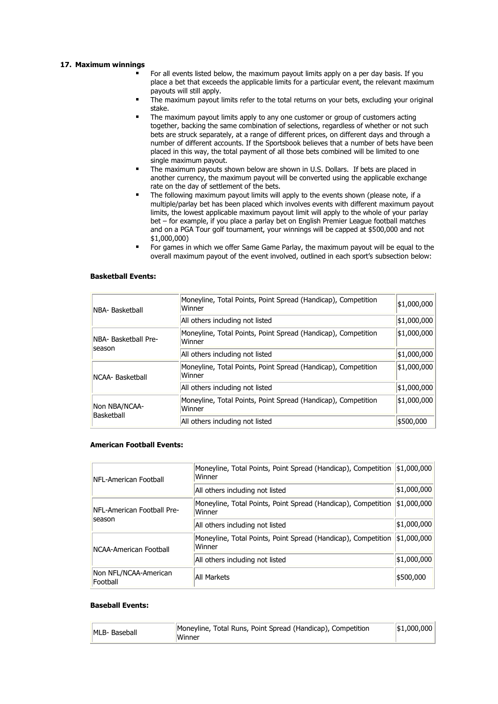#### **17. Maximum winnings**

- For all events listed below, the maximum payout limits apply on a per day basis. If you place a bet that exceeds the applicable limits for a particular event, the relevant maximum payouts will still apply.
- The maximum payout limits refer to the total returns on your bets, excluding your original stake.
- The maximum payout limits apply to any one customer or group of customers acting together, backing the same combination of selections, regardless of whether or not such bets are struck separately, at a range of different prices, on different days and through a number of different accounts. If the Sportsbook believes that a number of bets have been placed in this way, the total payment of all those bets combined will be limited to one single maximum payout.
- The maximum payouts shown below are shown in U.S. Dollars. If bets are placed in another currency, the maximum payout will be converted using the applicable exchange rate on the day of settlement of the bets.
- The following maximum payout limits will apply to the events shown (please note, if a multiple/parlay bet has been placed which involves events with different maximum payout limits, the lowest applicable maximum payout limit will apply to the whole of your parlay bet – for example, if you place a parlay bet on English Premier League football matches and on a PGA Tour golf tournament, your winnings will be capped at \$500,000 and not \$1,000,000)
- For games in which we offer Same Game Parlay, the maximum payout will be equal to the overall maximum payout of the event involved, outlined in each sport's subsection below:

#### **Basketball Events:**

| INBA- Basketball               | Moneyline, Total Points, Point Spread (Handicap), Competition<br>Winner | \$1,000,000 |
|--------------------------------|-------------------------------------------------------------------------|-------------|
|                                | All others including not listed                                         | \$1,000,000 |
| NBA- Basketball Pre-<br>season | Moneyline, Total Points, Point Spread (Handicap), Competition<br>Winner | \$1,000,000 |
|                                | All others including not listed                                         | \$1,000,000 |
| INCAA- Basketball              | Moneyline, Total Points, Point Spread (Handicap), Competition<br>Winner | \$1,000,000 |
|                                | All others including not listed                                         | \$1,000,000 |
| Non NBA/NCAA-<br>Basketball    | Moneyline, Total Points, Point Spread (Handicap), Competition<br>Winner | \$1,000,000 |
|                                | All others including not listed                                         | \$500,000   |

## **American Football Events:**

| <b>INFL-American Football</b>     | Moneyline, Total Points, Point Spread (Handicap), Competition<br>Winner | \$1,000,000 |
|-----------------------------------|-------------------------------------------------------------------------|-------------|
|                                   | All others including not listed                                         | \$1,000,000 |
| NFL-American Football Pre-        | Moneyline, Total Points, Point Spread (Handicap), Competition<br>Winner | \$1,000,000 |
| season                            | All others including not listed                                         | \$1,000,000 |
| <b>INCAA-American Football</b>    | Moneyline, Total Points, Point Spread (Handicap), Competition<br>Winner | \$1,000,000 |
|                                   | All others including not listed                                         | \$1,000,000 |
| Non NFL/NCAA-American<br>Football | All Markets                                                             | \$500,000   |

#### **Baseball Events:**

| MLB- Baseball | Moneyline, Total Runs, Point Spread (Handicap), Competition<br>Winner | \$1,000,000 |
|---------------|-----------------------------------------------------------------------|-------------|
|---------------|-----------------------------------------------------------------------|-------------|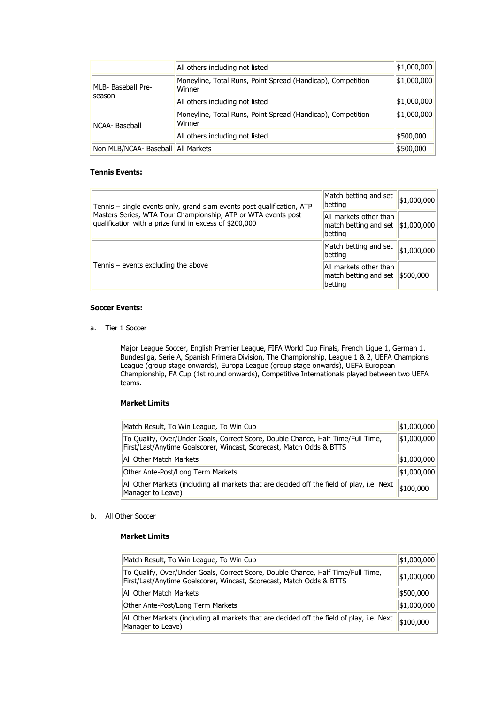|                                      | All others including not listed                                       | \$1,000,000 |
|--------------------------------------|-----------------------------------------------------------------------|-------------|
| MLB- Baseball Pre-                   | Moneyline, Total Runs, Point Spread (Handicap), Competition<br>Winner | \$1,000,000 |
| Iseason                              | All others including not listed                                       | \$1,000,000 |
| INCAA- Baseball                      | Moneyline, Total Runs, Point Spread (Handicap), Competition<br>Winner | \$1,000,000 |
|                                      | All others including not listed                                       | \$500,000   |
| Non MLB/NCAA- Baseball   All Markets |                                                                       | \$500,000   |

# **Tennis Events:**

| Tennis – single events only, grand slam events post qualification, ATP                                                  | Match betting and set<br> betting                                           | \$1,000,000 |
|-------------------------------------------------------------------------------------------------------------------------|-----------------------------------------------------------------------------|-------------|
| Masters Series, WTA Tour Championship, ATP or WTA events post<br>qualification with a prize fund in excess of \$200,000 | All markets other than<br>match betting and set $ \$1,000,000 $<br> betting |             |
|                                                                                                                         | Match betting and set<br> betting                                           | \$1,000,000 |
| Tennis – events excluding the above                                                                                     | All markets other than<br>match betting and set \\$500,000<br>betting       |             |

## **Soccer Events:**

a. Tier 1 Soccer

Major League Soccer, English Premier League, FIFA World Cup Finals, French Ligue 1, German 1. Bundesliga, Serie A, Spanish Primera Division, The Championship, League 1 & 2, UEFA Champions League (group stage onwards), Europa League (group stage onwards), UEFA European Championship, FA Cup (1st round onwards), Competitive Internationals played between two UEFA teams.

# **Market Limits**

| Match Result, To Win League, To Win Cup                                                                                                                  |             |
|----------------------------------------------------------------------------------------------------------------------------------------------------------|-------------|
| To Qualify, Over/Under Goals, Correct Score, Double Chance, Half Time/Full Time,<br>First/Last/Anytime Goalscorer, Wincast, Scorecast, Match Odds & BTTS | \$1,000,000 |
| All Other Match Markets                                                                                                                                  | \$1,000,000 |
| Other Ante-Post/Long Term Markets                                                                                                                        | \$1,000,000 |
| All Other Markets (including all markets that are decided off the field of play, i.e. Next<br>Manager to Leave)                                          | \$100,000   |

## b. All Other Soccer

## **Market Limits**

| Match Result, To Win League, To Win Cup                                                                                                                  | \$1,000,000 |
|----------------------------------------------------------------------------------------------------------------------------------------------------------|-------------|
| To Qualify, Over/Under Goals, Correct Score, Double Chance, Half Time/Full Time,<br>First/Last/Anytime Goalscorer, Wincast, Scorecast, Match Odds & BTTS | \$1,000,000 |
| All Other Match Markets                                                                                                                                  | \$500,000   |
| Other Ante-Post/Long Term Markets                                                                                                                        | \$1,000,000 |
| All Other Markets (including all markets that are decided off the field of play, i.e. Next<br>Manager to Leave)                                          | \$100,000   |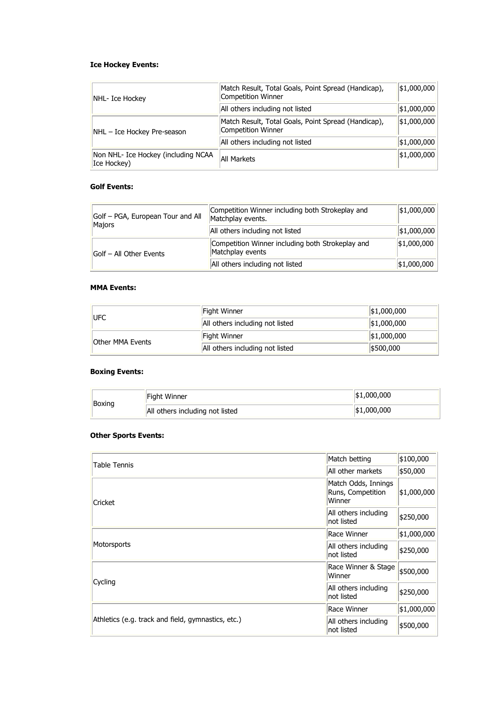# **Ice Hockey Events:**

| NHL- Ice Hockey                                    | Match Result, Total Goals, Point Spread (Handicap),<br>Competition Winner | \$1,000,000 |
|----------------------------------------------------|---------------------------------------------------------------------------|-------------|
|                                                    | All others including not listed                                           | \$1,000,000 |
| NHL - Ice Hockey Pre-season                        | Match Result, Total Goals, Point Spread (Handicap),<br>Competition Winner | \$1,000,000 |
|                                                    | All others including not listed                                           | \$1,000,000 |
| Non NHL- Ice Hockey (including NCAA<br>Ice Hockey) | All Markets                                                               | \$1,000,000 |

# **Golf Events:**

| Golf - PGA, European Tour and All<br>Majors | Competition Winner including both Strokeplay and<br>Matchplay events. | \$1,000,000     |
|---------------------------------------------|-----------------------------------------------------------------------|-----------------|
|                                             | All others including not listed                                       | \$1,000,000     |
| Golf - All Other Events                     | Competition Winner including both Strokeplay and<br>Matchplay events  | \$1,000,000     |
|                                             | All others including not listed                                       | $ \$1,000,000 $ |

# **MMA Events:**

| <b>IUFC</b>             | Fight Winner                    | \$1,000,000 |
|-------------------------|---------------------------------|-------------|
|                         | All others including not listed | \$1,000,000 |
| <b>Other MMA Events</b> | Fight Winner                    | \$1,000,000 |
|                         | All others including not listed | \$500,000   |

# **Boxing Events:**

| Boxing | Fight Winner                    | \$1,000,000 |
|--------|---------------------------------|-------------|
|        | All others including not listed | \$1,000,000 |

# **Other Sports Events:**

| <b>Table Tennis</b>                                | Match betting                                      | \$100,000   |
|----------------------------------------------------|----------------------------------------------------|-------------|
|                                                    | All other markets                                  | \$50,000    |
| Cricket                                            | Match Odds, Innings<br>Runs, Competition<br>Winner | \$1,000,000 |
|                                                    | All others including<br>not listed                 | \$250,000   |
| Motorsports                                        | Race Winner                                        | \$1,000,000 |
|                                                    | All others including<br>not listed                 | \$250,000   |
| Cycling                                            | Race Winner & Stage<br>Winner                      | \$500,000   |
|                                                    | All others including<br>not listed                 | \$250,000   |
| Athletics (e.g. track and field, gymnastics, etc.) | Race Winner                                        | \$1,000,000 |
|                                                    | All others including<br>not listed                 | \$500,000   |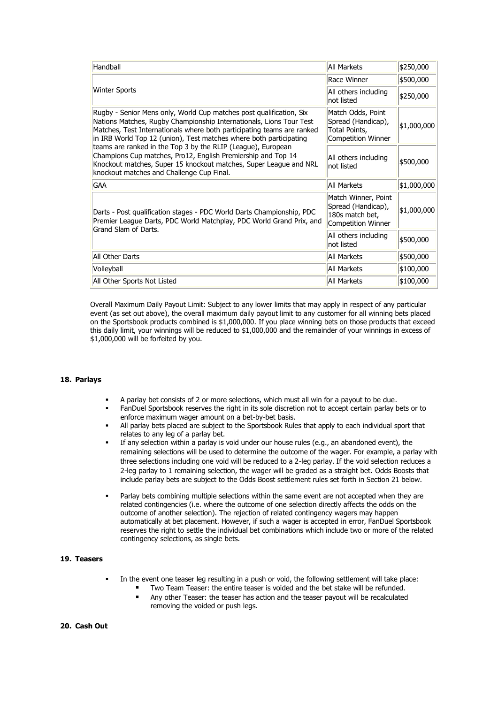| Handball                                                                                                                                                                                                                                                                                                                                                                                                                                                                                                                                     | <b>All Markets</b>                                                                 | \$250,000   |
|----------------------------------------------------------------------------------------------------------------------------------------------------------------------------------------------------------------------------------------------------------------------------------------------------------------------------------------------------------------------------------------------------------------------------------------------------------------------------------------------------------------------------------------------|------------------------------------------------------------------------------------|-------------|
| <b>Winter Sports</b>                                                                                                                                                                                                                                                                                                                                                                                                                                                                                                                         | Race Winner                                                                        | \$500,000   |
|                                                                                                                                                                                                                                                                                                                                                                                                                                                                                                                                              | All others including<br>not listed                                                 | \$250,000   |
| Rugby - Senior Mens only, World Cup matches post qualification, Six<br>Nations Matches, Rugby Championship Internationals, Lions Tour Test<br>Matches, Test Internationals where both participating teams are ranked<br>in IRB World Top 12 (union), Test matches where both participating<br>teams are ranked in the Top 3 by the RLIP (League), European<br>Champions Cup matches, Pro12, English Premiership and Top 14<br>Knockout matches, Super 15 knockout matches, Super League and NRL<br>knockout matches and Challenge Cup Final. | Match Odds, Point<br>Spread (Handicap),<br>Total Points,<br>Competition Winner     | \$1,000,000 |
|                                                                                                                                                                                                                                                                                                                                                                                                                                                                                                                                              | All others including<br>not listed                                                 | \$500,000   |
| <b>GAA</b>                                                                                                                                                                                                                                                                                                                                                                                                                                                                                                                                   | <b>All Markets</b>                                                                 | \$1,000,000 |
| Darts - Post qualification stages - PDC World Darts Championship, PDC<br>Premier League Darts, PDC World Matchplay, PDC World Grand Prix, and<br>Grand Slam of Darts.                                                                                                                                                                                                                                                                                                                                                                        | Match Winner, Point<br>Spread (Handicap),<br>180s match bet,<br>Competition Winner | \$1,000,000 |
|                                                                                                                                                                                                                                                                                                                                                                                                                                                                                                                                              | All others including<br>not listed                                                 | \$500,000   |
| All Other Darts                                                                                                                                                                                                                                                                                                                                                                                                                                                                                                                              | All Markets                                                                        | \$500,000   |
| Volleyball                                                                                                                                                                                                                                                                                                                                                                                                                                                                                                                                   | All Markets                                                                        | \$100,000   |
| All Other Sports Not Listed                                                                                                                                                                                                                                                                                                                                                                                                                                                                                                                  | All Markets                                                                        | \$100,000   |

Overall Maximum Daily Payout Limit: Subject to any lower limits that may apply in respect of any particular event (as set out above), the overall maximum daily payout limit to any customer for all winning bets placed on the Sportsbook products combined is \$1,000,000. If you place winning bets on those products that exceed this daily limit, your winnings will be reduced to \$1,000,000 and the remainder of your winnings in excess of \$1,000,000 will be forfeited by you.

#### **18. Parlays**

- A parlay bet consists of 2 or more selections, which must all win for a payout to be due.
- FanDuel Sportsbook reserves the right in its sole discretion not to accept certain parlay bets or to enforce maximum wager amount on a bet-by-bet basis.
- All parlay bets placed are subject to the Sportsbook Rules that apply to each individual sport that relates to any leg of a parlay bet.
- If any selection within a parlay is void under our house rules (e.g., an abandoned event), the remaining selections will be used to determine the outcome of the wager. For example, a parlay with three selections including one void will be reduced to a 2-leg parlay. If the void selection reduces a 2-leg parlay to 1 remaining selection, the wager will be graded as a straight bet. Odds Boosts that include parlay bets are subject to the Odds Boost settlement rules set forth in Section 21 below.
- Parlay bets combining multiple selections within the same event are not accepted when they are related contingencies (i.e. where the outcome of one selection directly affects the odds on the outcome of another selection). The rejection of related contingency wagers may happen automatically at bet placement. However, if such a wager is accepted in error, FanDuel Sportsbook reserves the right to settle the individual bet combinations which include two or more of the related contingency selections, as single bets.

## **19. Teasers**

- In the event one teaser leg resulting in a push or void, the following settlement will take place:
	- Two Team Teaser: the entire teaser is voided and the bet stake will be refunded.
	- Any other Teaser: the teaser has action and the teaser payout will be recalculated removing the voided or push legs.

## **20. Cash Out**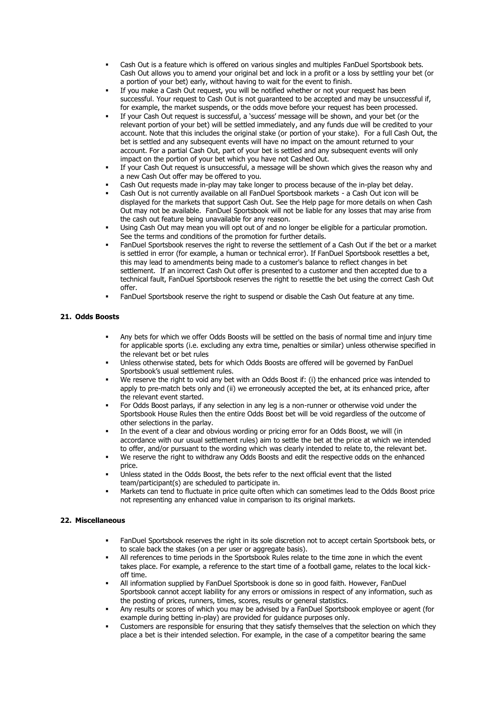- Cash Out is a feature which is offered on various singles and multiples FanDuel Sportsbook bets. Cash Out allows you to amend your original bet and lock in a profit or a loss by settling your bet (or a portion of your bet) early, without having to wait for the event to finish.
- If you make a Cash Out request, you will be notified whether or not your request has been successful. Your request to Cash Out is not guaranteed to be accepted and may be unsuccessful if, for example, the market suspends, or the odds move before your request has been processed.
- If your Cash Out request is successful, a 'success' message will be shown, and your bet (or the relevant portion of your bet) will be settled immediately, and any funds due will be credited to your account. Note that this includes the original stake (or portion of your stake). For a full Cash Out, the bet is settled and any subsequent events will have no impact on the amount returned to your account. For a partial Cash Out, part of your bet is settled and any subsequent events will only impact on the portion of your bet which you have not Cashed Out.
- If your Cash Out request is unsuccessful, a message will be shown which gives the reason why and a new Cash Out offer may be offered to you.
- Cash Out requests made in-play may take longer to process because of the in-play bet delay.
- Cash Out is not currently available on all FanDuel Sportsbook markets a Cash Out icon will be displayed for the markets that support Cash Out. See the Help page for more details on when Cash Out may not be available. FanDuel Sportsbook will not be liable for any losses that may arise from the cash out feature being unavailable for any reason.
- Using Cash Out may mean you will opt out of and no longer be eligible for a particular promotion. See the terms and conditions of the promotion for further details.
- FanDuel Sportsbook reserves the right to reverse the settlement of a Cash Out if the bet or a market is settled in error (for example, a human or technical error). If FanDuel Sportsbook resettles a bet, this may lead to amendments being made to a customer's balance to reflect changes in bet settlement. If an incorrect Cash Out offer is presented to a customer and then accepted due to a technical fault, FanDuel Sportsbook reserves the right to resettle the bet using the correct Cash Out offer.
- FanDuel Sportsbook reserve the right to suspend or disable the Cash Out feature at any time.

## **21. Odds Boosts**

- Any bets for which we offer Odds Boosts will be settled on the basis of normal time and injury time for applicable sports (i.e. excluding any extra time, penalties or similar) unless otherwise specified in the relevant bet or bet rules
- Unless otherwise stated, bets for which Odds Boosts are offered will be governed by FanDuel Sportsbook's usual settlement rules.
- We reserve the right to void any bet with an Odds Boost if: (i) the enhanced price was intended to apply to pre-match bets only and (ii) we erroneously accepted the bet, at its enhanced price, after the relevant event started.
- For Odds Boost parlays, if any selection in any leg is a non-runner or otherwise void under the Sportsbook House Rules then the entire Odds Boost bet will be void regardless of the outcome of other selections in the parlay.
- In the event of a clear and obvious wording or pricing error for an Odds Boost, we will (in accordance with our usual settlement rules) aim to settle the bet at the price at which we intended to offer, and/or pursuant to the wording which was clearly intended to relate to, the relevant bet.
- We reserve the right to withdraw any Odds Boosts and edit the respective odds on the enhanced price.
- Unless stated in the Odds Boost, the bets refer to the next official event that the listed team/participant(s) are scheduled to participate in.
- Markets can tend to fluctuate in price quite often which can sometimes lead to the Odds Boost price not representing any enhanced value in comparison to its original markets.

#### **22. Miscellaneous**

- FanDuel Sportsbook reserves the right in its sole discretion not to accept certain Sportsbook bets, or to scale back the stakes (on a per user or aggregate basis).
- All references to time periods in the Sportsbook Rules relate to the time zone in which the event takes place. For example, a reference to the start time of a football game, relates to the local kickoff time.
- All information supplied by FanDuel Sportsbook is done so in good faith. However, FanDuel Sportsbook cannot accept liability for any errors or omissions in respect of any information, such as the posting of prices, runners, times, scores, results or general statistics.
- Any results or scores of which you may be advised by a FanDuel Sportsbook employee or agent (for example during betting in-play) are provided for guidance purposes only.
- Customers are responsible for ensuring that they satisfy themselves that the selection on which they place a bet is their intended selection. For example, in the case of a competitor bearing the same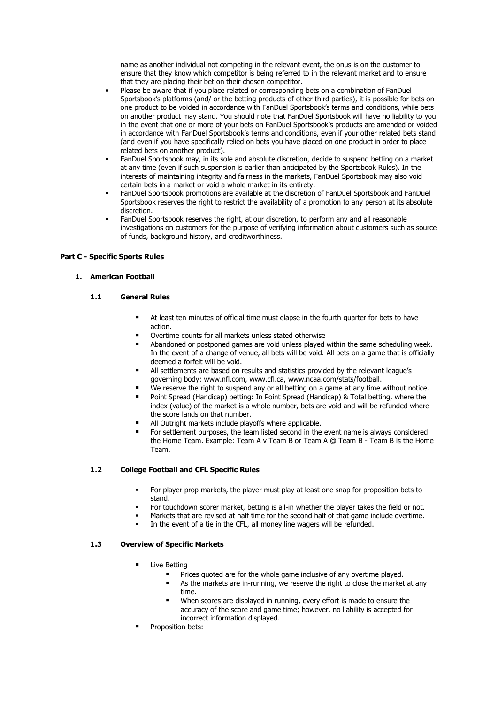name as another individual not competing in the relevant event, the onus is on the customer to ensure that they know which competitor is being referred to in the relevant market and to ensure that they are placing their bet on their chosen competitor.

- Please be aware that if you place related or corresponding bets on a combination of FanDuel Sportsbook's platforms (and/ or the betting products of other third parties), it is possible for bets on one product to be voided in accordance with FanDuel Sportsbook's terms and conditions, while bets on another product may stand. You should note that FanDuel Sportsbook will have no liability to you in the event that one or more of your bets on FanDuel Sportsbook's products are amended or voided in accordance with FanDuel Sportsbook's terms and conditions, even if your other related bets stand (and even if you have specifically relied on bets you have placed on one product in order to place related bets on another product).
- FanDuel Sportsbook may, in its sole and absolute discretion, decide to suspend betting on a market at any time (even if such suspension is earlier than anticipated by the Sportsbook Rules). In the interests of maintaining integrity and fairness in the markets, FanDuel Sportsbook may also void certain bets in a market or void a whole market in its entirety.
- FanDuel Sportsbook promotions are available at the discretion of FanDuel Sportsbook and FanDuel Sportsbook reserves the right to restrict the availability of a promotion to any person at its absolute discretion.
- FanDuel Sportsbook reserves the right, at our discretion, to perform any and all reasonable investigations on customers for the purpose of verifying information about customers such as source of funds, background history, and creditworthiness.

## **Part C - Specific Sports Rules**

## **1. American Football**

## **1.1 General Rules**

- At least ten minutes of official time must elapse in the fourth quarter for bets to have action.
- Overtime counts for all markets unless stated otherwise
- Abandoned or postponed games are void unless played within the same scheduling week. In the event of a change of venue, all bets will be void. All bets on a game that is officially deemed a forfeit will be void.
- All settlements are based on results and statistics provided by the relevant league's governing body: www.nfl.com, www.cfl.ca, www.ncaa.com/stats/football.
- We reserve the right to suspend any or all betting on a game at any time without notice.
- Point Spread (Handicap) betting: In Point Spread (Handicap) & Total betting, where the index (value) of the market is a whole number, bets are void and will be refunded where the score lands on that number.
- All Outright markets include playoffs where applicable.
- For settlement purposes, the team listed second in the event name is always considered the Home Team. Example: Team A v Team B or Team A @ Team B - Team B is the Home Team.

## **1.2 College Football and CFL Specific Rules**

- For player prop markets, the player must play at least one snap for proposition bets to stand.
- For touchdown scorer market, betting is all-in whether the player takes the field or not.
- Markets that are revised at half time for the second half of that game include overtime.
- In the event of a tie in the CFL, all money line wagers will be refunded.

## **1.3 Overview of Specific Markets**

- **■** Live Betting
	- Prices quoted are for the whole game inclusive of any overtime played.
	- As the markets are in-running, we reserve the right to close the market at any time.
	- When scores are displayed in running, every effort is made to ensure the accuracy of the score and game time; however, no liability is accepted for incorrect information displayed.
- Proposition bets: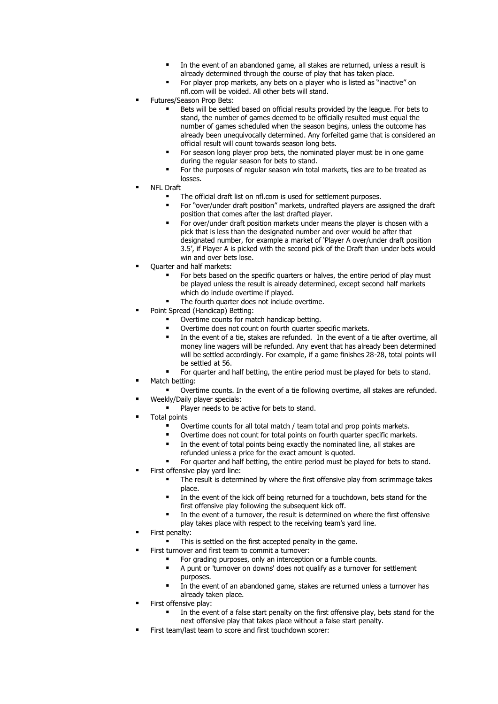- In the event of an abandoned game, all stakes are returned, unless a result is already determined through the course of play that has taken place.
- For player prop markets, any bets on a player who is listed as "inactive" on nfl.com will be voided. All other bets will stand.
- Futures/Season Prop Bets:
	- Bets will be settled based on official results provided by the league. For bets to stand, the number of games deemed to be officially resulted must equal the number of games scheduled when the season begins, unless the outcome has already been unequivocally determined. Any forfeited game that is considered an official result will count towards season long bets.
	- For season long player prop bets, the nominated player must be in one game during the regular season for bets to stand.
	- For the purposes of regular season win total markets, ties are to be treated as losses.
- **NFL Draft** 
	- The official draft list on nfl.com is used for settlement purposes.
	- For "over/under draft position" markets, undrafted players are assigned the draft position that comes after the last drafted player.
	- For over/under draft position markets under means the player is chosen with a pick that is less than the designated number and over would be after that designated number, for example a market of 'Player A over/under draft position 3.5', if Player A is picked with the second pick of the Draft than under bets would win and over bets lose.
- Ouarter and half markets:
	- For bets based on the specific quarters or halves, the entire period of play must be played unless the result is already determined, except second half markets which do include overtime if played.
	- The fourth quarter does not include overtime.
- Point Spread (Handicap) Betting:
	- Overtime counts for match handicap betting.
	- Overtime does not count on fourth quarter specific markets.
	- In the event of a tie, stakes are refunded. In the event of a tie after overtime, all money line wagers will be refunded. Any event that has already been determined will be settled accordingly. For example, if a game finishes 28-28, total points will be settled at 56.
	- For quarter and half betting, the entire period must be played for bets to stand.
- Match betting:
	- Overtime counts. In the event of a tie following overtime, all stakes are refunded. Weekly/Daily player specials:
	- Player needs to be active for bets to stand.
- **Total points** 
	- Overtime counts for all total match / team total and prop points markets.
	- Overtime does not count for total points on fourth quarter specific markets.
	- In the event of total points being exactly the nominated line, all stakes are refunded unless a price for the exact amount is quoted.
	- For quarter and half betting, the entire period must be played for bets to stand.
- First offensive play yard line:
	- The result is determined by where the first offensive play from scrimmage takes place.
		- In the event of the kick off being returned for a touchdown, bets stand for the first offensive play following the subsequent kick off.
		- In the event of a turnover, the result is determined on where the first offensive play takes place with respect to the receiving team's yard line.
- First penalty:
- This is settled on the first accepted penalty in the game.
- First turnover and first team to commit a turnover:
	- For grading purposes, only an interception or a fumble counts.
	- A punt or 'turnover on downs' does not qualify as a turnover for settlement purposes.
	- In the event of an abandoned game, stakes are returned unless a turnover has already taken place.
- First offensive play:
	- In the event of a false start penalty on the first offensive play, bets stand for the next offensive play that takes place without a false start penalty.
- First team/last team to score and first touchdown scorer: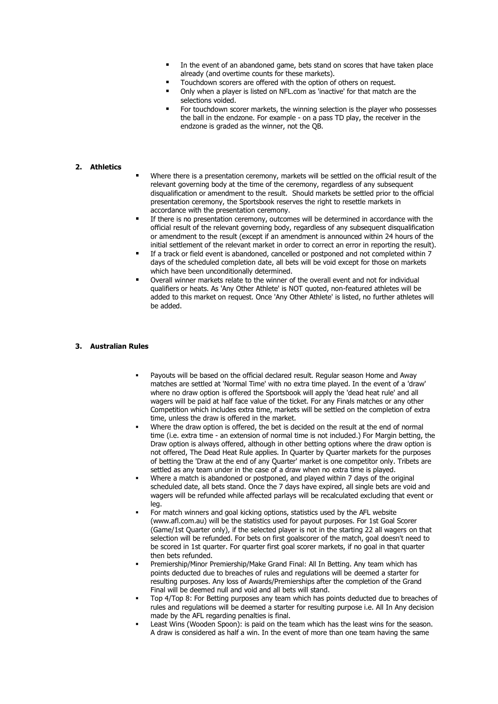- In the event of an abandoned game, bets stand on scores that have taken place already (and overtime counts for these markets).
- Touchdown scorers are offered with the option of others on request.
- Only when a player is listed on NFL.com as 'inactive' for that match are the selections voided.
- For touchdown scorer markets, the winning selection is the player who possesses the ball in the endzone. For example - on a pass TD play, the receiver in the endzone is graded as the winner, not the QB.

## **2. Athletics**

- Where there is a presentation ceremony, markets will be settled on the official result of the relevant governing body at the time of the ceremony, regardless of any subsequent disqualification or amendment to the result. Should markets be settled prior to the official presentation ceremony, the Sportsbook reserves the right to resettle markets in accordance with the presentation ceremony.
- If there is no presentation ceremony, outcomes will be determined in accordance with the official result of the relevant governing body, regardless of any subsequent disqualification or amendment to the result (except if an amendment is announced within 24 hours of the initial settlement of the relevant market in order to correct an error in reporting the result).
- If a track or field event is abandoned, cancelled or postponed and not completed within 7 days of the scheduled completion date, all bets will be void except for those on markets which have been unconditionally determined.
- Overall winner markets relate to the winner of the overall event and not for individual qualifiers or heats. As 'Any Other Athlete' is NOT quoted, non-featured athletes will be added to this market on request. Once 'Any Other Athlete' is listed, no further athletes will be added.

#### **3. Australian Rules**

- Payouts will be based on the official declared result. Regular season Home and Away matches are settled at 'Normal Time' with no extra time played. In the event of a 'draw' where no draw option is offered the Sportsbook will apply the 'dead heat rule' and all wagers will be paid at half face value of the ticket. For any Finals matches or any other Competition which includes extra time, markets will be settled on the completion of extra time, unless the draw is offered in the market.
- Where the draw option is offered, the bet is decided on the result at the end of normal time (i.e. extra time - an extension of normal time is not included.) For Margin betting, the Draw option is always offered, although in other betting options where the draw option is not offered, The Dead Heat Rule applies. In Quarter by Quarter markets for the purposes of betting the 'Draw at the end of any Quarter' market is one competitor only. Tribets are settled as any team under in the case of a draw when no extra time is played.
- Where a match is abandoned or postponed, and played within 7 days of the original scheduled date, all bets stand. Once the 7 days have expired, all single bets are void and wagers will be refunded while affected parlays will be recalculated excluding that event or leg.
- For match winners and goal kicking options, statistics used by the AFL website (www.afl.com.au) will be the statistics used for payout purposes. For 1st Goal Scorer (Game/1st Quarter only), if the selected player is not in the starting 22 all wagers on that selection will be refunded. For bets on first goalscorer of the match, goal doesn't need to be scored in 1st quarter. For quarter first goal scorer markets, if no goal in that quarter then bets refunded.
- Premiership/Minor Premiership/Make Grand Final: All In Betting. Any team which has points deducted due to breaches of rules and regulations will be deemed a starter for resulting purposes. Any loss of Awards/Premierships after the completion of the Grand Final will be deemed null and void and all bets will stand.
- Top 4/Top 8: For Betting purposes any team which has points deducted due to breaches of rules and regulations will be deemed a starter for resulting purpose i.e. All In Any decision made by the AFL regarding penalties is final.
- Least Wins (Wooden Spoon): is paid on the team which has the least wins for the season. A draw is considered as half a win. In the event of more than one team having the same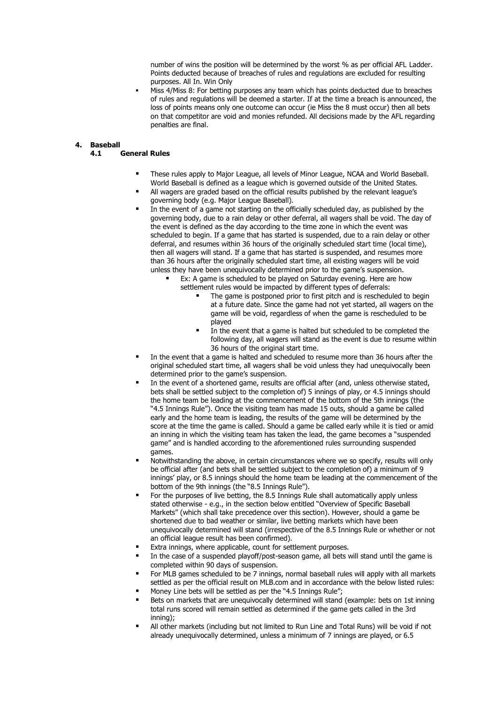number of wins the position will be determined by the worst % as per official AFL Ladder. Points deducted because of breaches of rules and regulations are excluded for resulting purposes. All In. Win Only

Miss 4/Miss 8: For betting purposes any team which has points deducted due to breaches of rules and regulations will be deemed a starter. If at the time a breach is announced, the loss of points means only one outcome can occur (ie Miss the 8 must occur) then all bets on that competitor are void and monies refunded. All decisions made by the AFL regarding penalties are final.

# **4. Baseball**

## **4.1 General Rules**

- These rules apply to Major League, all levels of Minor League, NCAA and World Baseball. World Baseball is defined as a league which is governed outside of the United States.
- All wagers are graded based on the official results published by the relevant league's governing body (e.g. Major League Baseball).
- In the event of a game not starting on the officially scheduled day, as published by the governing body, due to a rain delay or other deferral, all wagers shall be void. The day of the event is defined as the day according to the time zone in which the event was scheduled to begin. If a game that has started is suspended, due to a rain delay or other deferral, and resumes within 36 hours of the originally scheduled start time (local time), then all wagers will stand. If a game that has started is suspended, and resumes more than 36 hours after the originally scheduled start time, all existing wagers will be void unless they have been unequivocally determined prior to the game's suspension.
	- Ex: A game is scheduled to be played on Saturday evening. Here are how settlement rules would be impacted by different types of deferrals:
		- The game is postponed prior to first pitch and is rescheduled to begin at a future date. Since the game had not yet started, all wagers on the game will be void, regardless of when the game is rescheduled to be played
		- In the event that a game is halted but scheduled to be completed the following day, all wagers will stand as the event is due to resume within 36 hours of the original start time.
- In the event that a game is halted and scheduled to resume more than 36 hours after the original scheduled start time, all wagers shall be void unless they had unequivocally been determined prior to the game's suspension.
- In the event of a shortened game, results are official after (and, unless otherwise stated, bets shall be settled subject to the completion of) 5 innings of play, or 4.5 innings should the home team be leading at the commencement of the bottom of the 5th innings (the "4.5 Innings Rule"). Once the visiting team has made 15 outs, should a game be called early and the home team is leading, the results of the game will be determined by the score at the time the game is called. Should a game be called early while it is tied or amid an inning in which the visiting team has taken the lead, the game becomes a "suspended game" and is handled according to the aforementioned rules surrounding suspended games.
- Notwithstanding the above, in certain circumstances where we so specify, results will only be official after (and bets shall be settled subject to the completion of) a minimum of 9 innings' play, or 8.5 innings should the home team be leading at the commencement of the bottom of the 9th innings (the "8.5 Innings Rule").
- For the purposes of live betting, the 8.5 Innings Rule shall automatically apply unless stated otherwise - e.g., in the section below entitled "Overview of Specific Baseball Markets" (which shall take precedence over this section). However, should a game be shortened due to bad weather or similar, live betting markets which have been unequivocally determined will stand (irrespective of the 8.5 Innings Rule or whether or not an official league result has been confirmed).
- Extra innings, where applicable, count for settlement purposes.
- In the case of a suspended playoff/post-season game, all bets will stand until the game is completed within 90 days of suspension.
- For MLB games scheduled to be 7 innings, normal baseball rules will apply with all markets settled as per the official result on MLB.com and in accordance with the below listed rules:
- Money Line bets will be settled as per the "4.5 Innings Rule";
- Bets on markets that are unequivocally determined will stand (example: bets on 1st inning total runs scored will remain settled as determined if the game gets called in the 3rd inning);
- All other markets (including but not limited to Run Line and Total Runs) will be void if not already unequivocally determined, unless a minimum of 7 innings are played, or 6.5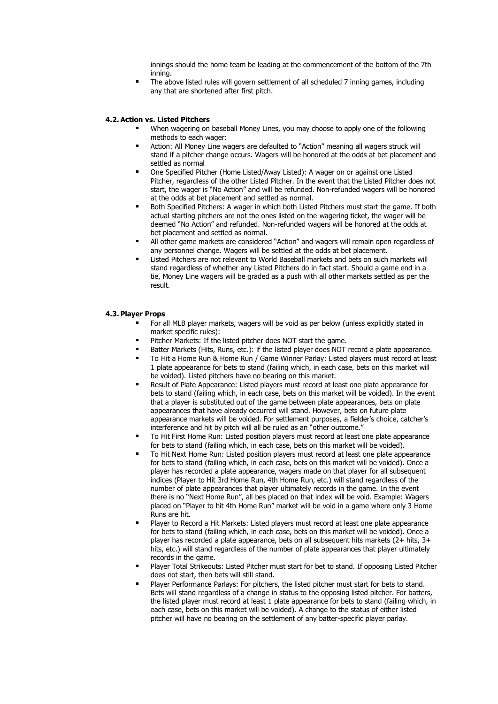innings should the home team be leading at the commencement of the bottom of the 7th inning.

■ The above listed rules will govern settlement of all scheduled 7 inning games, including any that are shortened after first pitch.

## **4.2. Action vs. Listed Pitchers**

- When wagering on baseball Money Lines, you may choose to apply one of the following methods to each wager:
- Action: All Money Line wagers are defaulted to "Action" meaning all wagers struck will stand if a pitcher change occurs. Wagers will be honored at the odds at bet placement and settled as normal
- One Specified Pitcher (Home Listed/Away Listed): A wager on or against one Listed Pitcher, regardless of the other Listed Pitcher. In the event that the Listed Pitcher does not start, the wager is "No Action" and will be refunded. Non-refunded wagers will be honored at the odds at bet placement and settled as normal.
- Both Specified Pitchers: A wager in which both Listed Pitchers must start the game. If both actual starting pitchers are not the ones listed on the wagering ticket, the wager will be deemed "No Action" and refunded. Non-refunded wagers will be honored at the odds at bet placement and settled as normal.
- All other game markets are considered "Action" and wagers will remain open regardless of any personnel change. Wagers will be settled at the odds at bet placement.
- Listed Pitchers are not relevant to World Baseball markets and bets on such markets will stand regardless of whether any Listed Pitchers do in fact start. Should a game end in a tie, Money Line wagers will be graded as a push with all other markets settled as per the result.

## **4.3. Player Props**

- For all MLB player markets, wagers will be void as per below (unless explicitly stated in market specific rules):
- Pitcher Markets: If the listed pitcher does NOT start the game.
- Batter Markets (Hits, Runs, etc.): if the listed player does NOT record a plate appearance.
- To Hit a Home Run & Home Run / Game Winner Parlay: Listed players must record at least 1 plate appearance for bets to stand (failing which, in each case, bets on this market will be voided). Listed pitchers have no bearing on this market.
- Result of Plate Appearance: Listed players must record at least one plate appearance for bets to stand (failing which, in each case, bets on this market will be voided). In the event that a player is substituted out of the game between plate appearances, bets on plate appearances that have already occurred will stand. However, bets on future plate appearance markets will be voided. For settlement purposes, a fielder's choice, catcher's interference and hit by pitch will all be ruled as an "other outcome."
- To Hit First Home Run: Listed position players must record at least one plate appearance for bets to stand (failing which, in each case, bets on this market will be voided).
- To Hit Next Home Run: Listed position players must record at least one plate appearance for bets to stand (failing which, in each case, bets on this market will be voided). Once a player has recorded a plate appearance, wagers made on that player for all subsequent indices (Player to Hit 3rd Home Run, 4th Home Run, etc.) will stand regardless of the number of plate appearances that player ultimately records in the game. In the event there is no "Next Home Run", all bes placed on that index will be void. Example: Wagers placed on "Player to hit 4th Home Run" market will be void in a game where only 3 Home Runs are hit.
- Player to Record a Hit Markets: Listed players must record at least one plate appearance for bets to stand (failing which, in each case, bets on this market will be voided). Once a player has recorded a plate appearance, bets on all subsequent hits markets (2+ hits, 3+ hits, etc.) will stand regardless of the number of plate appearances that player ultimately records in the game.
- Player Total Strikeouts: Listed Pitcher must start for bet to stand. If opposing Listed Pitcher does not start, then bets will still stand.
- Player Performance Parlays: For pitchers, the listed pitcher must start for bets to stand. Bets will stand regardless of a change in status to the opposing listed pitcher. For batters, the listed player must record at least 1 plate appearance for bets to stand (failing which, in each case, bets on this market will be voided). A change to the status of either listed pitcher will have no bearing on the settlement of any batter-specific player parlay.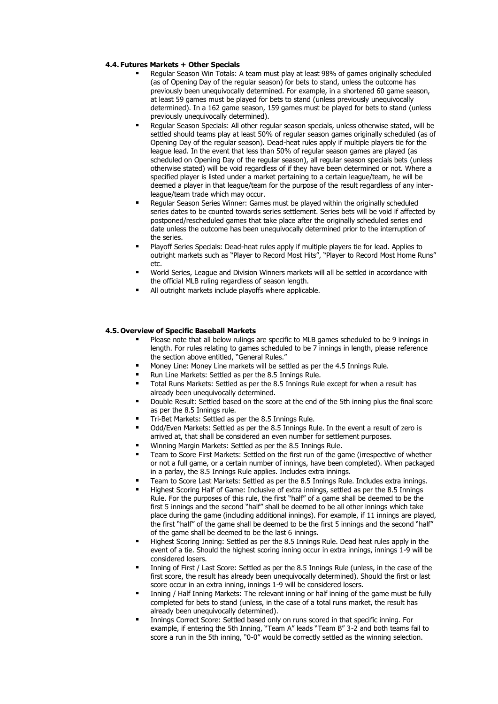## **4.4. Futures Markets + Other Specials**

- Regular Season Win Totals: A team must play at least 98% of games originally scheduled (as of Opening Day of the regular season) for bets to stand, unless the outcome has previously been unequivocally determined. For example, in a shortened 60 game season, at least 59 games must be played for bets to stand (unless previously unequivocally determined). In a 162 game season, 159 games must be played for bets to stand (unless previously unequivocally determined).
- Regular Season Specials: All other regular season specials, unless otherwise stated, will be settled should teams play at least 50% of regular season games originally scheduled (as of Opening Day of the regular season). Dead-heat rules apply if multiple players tie for the league lead. In the event that less than 50% of regular season games are played (as scheduled on Opening Day of the regular season), all regular season specials bets (unless otherwise stated) will be void regardless of if they have been determined or not. Where a specified player is listed under a market pertaining to a certain league/team, he will be deemed a player in that league/team for the purpose of the result regardless of any interleague/team trade which may occur.
- Regular Season Series Winner: Games must be played within the originally scheduled series dates to be counted towards series settlement. Series bets will be void if affected by postponed/rescheduled games that take place after the originally scheduled series end date unless the outcome has been unequivocally determined prior to the interruption of the series.
- Playoff Series Specials: Dead-heat rules apply if multiple players tie for lead. Applies to outright markets such as "Player to Record Most Hits", "Player to Record Most Home Runs" etc.
- World Series, League and Division Winners markets will all be settled in accordance with the official MLB ruling regardless of season length.
- All outright markets include playoffs where applicable.

## **4.5. Overview of Specific Baseball Markets**

- Please note that all below rulings are specific to MLB games scheduled to be 9 innings in length. For rules relating to games scheduled to be 7 innings in length, please reference the section above entitled, "General Rules."
- Money Line: Money Line markets will be settled as per the 4.5 Innings Rule.
- Run Line Markets: Settled as per the 8.5 Innings Rule.
- Total Runs Markets: Settled as per the 8.5 Innings Rule except for when a result has already been unequivocally determined.
- Double Result: Settled based on the score at the end of the 5th inning plus the final score as per the 8.5 Innings rule.
- Tri-Bet Markets: Settled as per the 8.5 Innings Rule.
- Odd/Even Markets: Settled as per the 8.5 Innings Rule. In the event a result of zero is arrived at, that shall be considered an even number for settlement purposes.
- Winning Margin Markets: Settled as per the 8.5 Innings Rule.
- Team to Score First Markets: Settled on the first run of the game (irrespective of whether or not a full game, or a certain number of innings, have been completed). When packaged in a parlay, the 8.5 Innings Rule applies. Includes extra innings.
- Team to Score Last Markets: Settled as per the 8.5 Innings Rule. Includes extra innings.
- Highest Scoring Half of Game: Inclusive of extra innings, settled as per the 8.5 Innings Rule. For the purposes of this rule, the first "half" of a game shall be deemed to be the first 5 innings and the second "half" shall be deemed to be all other innings which take place during the game (including additional innings). For example, if 11 innings are played, the first "half" of the game shall be deemed to be the first 5 innings and the second "half" of the game shall be deemed to be the last 6 innings.
- Highest Scoring Inning: Settled as per the 8.5 Innings Rule. Dead heat rules apply in the event of a tie. Should the highest scoring inning occur in extra innings, innings 1-9 will be considered losers.
- Inning of First / Last Score: Settled as per the 8.5 Innings Rule (unless, in the case of the first score, the result has already been unequivocally determined). Should the first or last score occur in an extra inning, innings 1-9 will be considered losers.
- Inning / Half Inning Markets: The relevant inning or half inning of the game must be fully completed for bets to stand (unless, in the case of a total runs market, the result has already been unequivocally determined).
- Innings Correct Score: Settled based only on runs scored in that specific inning. For example, if entering the 5th Inning, "Team A" leads "Team B" 3-2 and both teams fail to score a run in the 5th inning, "0-0" would be correctly settled as the winning selection.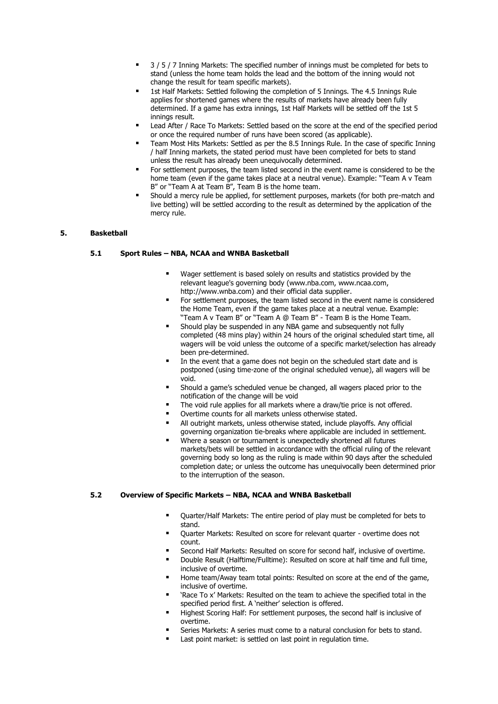- 3 / 5 / 7 Inning Markets: The specified number of innings must be completed for bets to stand (unless the home team holds the lead and the bottom of the inning would not change the result for team specific markets).
- 1st Half Markets: Settled following the completion of 5 Innings. The 4.5 Innings Rule applies for shortened games where the results of markets have already been fully determined. If a game has extra innings, 1st Half Markets will be settled off the 1st 5 innings result.
- Lead After / Race To Markets: Settled based on the score at the end of the specified period or once the required number of runs have been scored (as applicable).
- Team Most Hits Markets: Settled as per the 8.5 Innings Rule. In the case of specific Inning / half Inning markets, the stated period must have been completed for bets to stand unless the result has already been unequivocally determined.
- For settlement purposes, the team listed second in the event name is considered to be the home team (even if the game takes place at a neutral venue). Example: "Team A v Team B" or "Team A at Team B", Team B is the home team.
- Should a mercy rule be applied, for settlement purposes, markets (for both pre-match and live betting) will be settled according to the result as determined by the application of the mercy rule.

#### **5. Basketball**

## **5.1 Sport Rules – NBA, NCAA and WNBA Basketball**

- Wager settlement is based solely on results and statistics provided by the relevant league's governing body (www.nba.com, www.ncaa.com, http://www.wnba.com) and their official data supplier.
- For settlement purposes, the team listed second in the event name is considered the Home Team, even if the game takes place at a neutral venue. Example: "Team A v Team B" or "Team A @ Team B" - Team B is the Home Team.
- Should play be suspended in any NBA game and subsequently not fully completed (48 mins play) within 24 hours of the original scheduled start time, all wagers will be void unless the outcome of a specific market/selection has already been pre-determined.
- In the event that a game does not begin on the scheduled start date and is postponed (using time-zone of the original scheduled venue), all wagers will be void.
- Should a game's scheduled venue be changed, all wagers placed prior to the notification of the change will be void
- The void rule applies for all markets where a draw/tie price is not offered.
- Overtime counts for all markets unless otherwise stated.
- All outright markets, unless otherwise stated, include playoffs. Any official governing organization tie-breaks where applicable are included in settlement.
- Where a season or tournament is unexpectedly shortened all futures markets/bets will be settled in accordance with the official ruling of the relevant governing body so long as the ruling is made within 90 days after the scheduled completion date; or unless the outcome has unequivocally been determined prior to the interruption of the season.

#### **5.2 Overview of Specific Markets – NBA, NCAA and WNBA Basketball**

- Quarter/Half Markets: The entire period of play must be completed for bets to stand.
- Ouarter Markets: Resulted on score for relevant quarter overtime does not count.
- Second Half Markets: Resulted on score for second half, inclusive of overtime.
- Double Result (Halftime/Fulltime): Resulted on score at half time and full time, inclusive of overtime.
- Home team/Away team total points: Resulted on score at the end of the game, inclusive of overtime.
- 'Race To x' Markets: Resulted on the team to achieve the specified total in the specified period first. A 'neither' selection is offered.
- Highest Scoring Half: For settlement purposes, the second half is inclusive of overtime.
- Series Markets: A series must come to a natural conclusion for bets to stand.
- Last point market: is settled on last point in regulation time.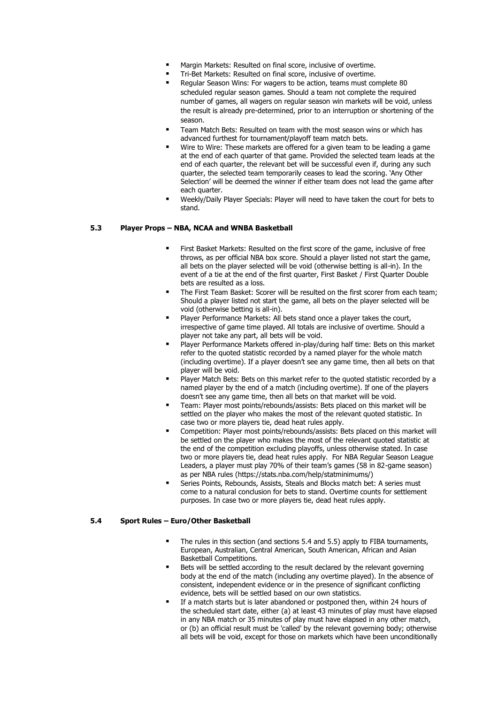- Margin Markets: Resulted on final score, inclusive of overtime.
- Tri-Bet Markets: Resulted on final score, inclusive of overtime.
- Regular Season Wins: For wagers to be action, teams must complete 80 scheduled regular season games. Should a team not complete the required number of games, all wagers on regular season win markets will be void, unless the result is already pre-determined, prior to an interruption or shortening of the season.
- Team Match Bets: Resulted on team with the most season wins or which has advanced furthest for tournament/playoff team match bets.
- Wire to Wire: These markets are offered for a given team to be leading a game at the end of each quarter of that game. Provided the selected team leads at the end of each quarter, the relevant bet will be successful even if, during any such quarter, the selected team temporarily ceases to lead the scoring. 'Any Other Selection' will be deemed the winner if either team does not lead the game after each quarter.
- Weekly/Daily Player Specials: Player will need to have taken the court for bets to stand.

## **5.3 Player Props – NBA, NCAA and WNBA Basketball**

- First Basket Markets: Resulted on the first score of the game, inclusive of free throws, as per official NBA box score. Should a player listed not start the game, all bets on the player selected will be void (otherwise betting is all-in). In the event of a tie at the end of the first quarter, First Basket / First Quarter Double bets are resulted as a loss.
- The First Team Basket: Scorer will be resulted on the first scorer from each team; Should a player listed not start the game, all bets on the player selected will be void (otherwise betting is all-in).
- Player Performance Markets: All bets stand once a player takes the court, irrespective of game time played. All totals are inclusive of overtime. Should a player not take any part, all bets will be void.
- Player Performance Markets offered in-play/during half time: Bets on this market refer to the quoted statistic recorded by a named player for the whole match (including overtime). If a player doesn't see any game time, then all bets on that player will be void.
- Player Match Bets: Bets on this market refer to the quoted statistic recorded by a named player by the end of a match (including overtime). If one of the players doesn't see any game time, then all bets on that market will be void.
- Team: Player most points/rebounds/assists: Bets placed on this market will be settled on the player who makes the most of the relevant quoted statistic. In case two or more players tie, dead heat rules apply.
- Competition: Player most points/rebounds/assists: Bets placed on this market will be settled on the player who makes the most of the relevant quoted statistic at the end of the competition excluding playoffs, unless otherwise stated. In case two or more players tie, dead heat rules apply. For NBA Regular Season League Leaders, a player must play 70% of their team's games (58 in 82-game season) as per NBA rules (https://stats.nba.com/help/statminimums/)
- Series Points, Rebounds, Assists, Steals and Blocks match bet: A series must come to a natural conclusion for bets to stand. Overtime counts for settlement purposes. In case two or more players tie, dead heat rules apply.

#### **5.4 Sport Rules – Euro/Other Basketball**

- The rules in this section (and sections 5.4 and 5.5) apply to FIBA tournaments, European, Australian, Central American, South American, African and Asian Basketball Competitions.
- Bets will be settled according to the result declared by the relevant governing body at the end of the match (including any overtime played). In the absence of consistent, independent evidence or in the presence of significant conflicting evidence, bets will be settled based on our own statistics.
- If a match starts but is later abandoned or postponed then, within 24 hours of the scheduled start date, either (a) at least 43 minutes of play must have elapsed in any NBA match or 35 minutes of play must have elapsed in any other match, or (b) an official result must be 'called' by the relevant governing body; otherwise all bets will be void, except for those on markets which have been unconditionally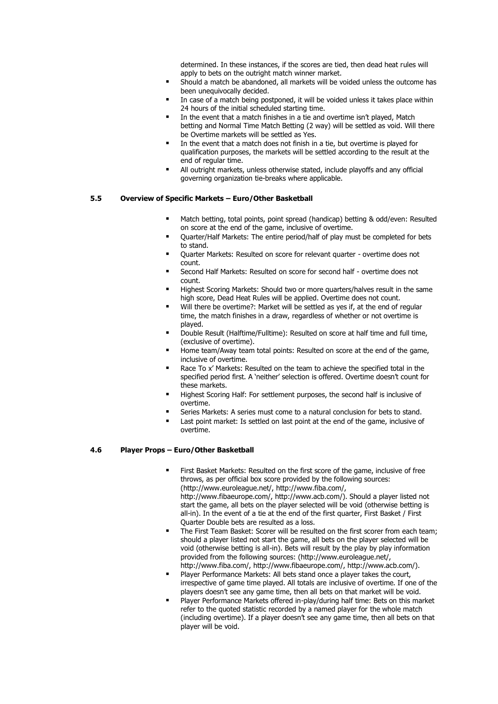determined. In these instances, if the scores are tied, then dead heat rules will apply to bets on the outright match winner market.

- Should a match be abandoned, all markets will be voided unless the outcome has been unequivocally decided.
- In case of a match being postponed, it will be voided unless it takes place within 24 hours of the initial scheduled starting time.
- In the event that a match finishes in a tie and overtime isn't played, Match betting and Normal Time Match Betting (2 way) will be settled as void. Will there be Overtime markets will be settled as Yes.
- In the event that a match does not finish in a tie, but overtime is played for qualification purposes, the markets will be settled according to the result at the end of regular time.
- All outright markets, unless otherwise stated, include playoffs and any official governing organization tie-breaks where applicable.

## **5.5 Overview of Specific Markets – Euro/Other Basketball**

- Match betting, total points, point spread (handicap) betting & odd/even: Resulted on score at the end of the game, inclusive of overtime.
- Quarter/Half Markets: The entire period/half of play must be completed for bets to stand.
- Ouarter Markets: Resulted on score for relevant quarter overtime does not count.
- Second Half Markets: Resulted on score for second half overtime does not count.
- Highest Scoring Markets: Should two or more guarters/halves result in the same high score, Dead Heat Rules will be applied. Overtime does not count.
- Will there be overtime?: Market will be settled as yes if, at the end of regular time, the match finishes in a draw, regardless of whether or not overtime is played.
- Double Result (Halftime/Fulltime): Resulted on score at half time and full time, (exclusive of overtime).
- Home team/Away team total points: Resulted on score at the end of the game, inclusive of overtime.
- Race To x' Markets: Resulted on the team to achieve the specified total in the specified period first. A 'neither' selection is offered. Overtime doesn't count for these markets.
- Highest Scoring Half: For settlement purposes, the second half is inclusive of overtime.
- Series Markets: A series must come to a natural conclusion for bets to stand.
- Last point market: Is settled on last point at the end of the game, inclusive of overtime.

## **4.6 Player Props – Euro/Other Basketball**

- First Basket Markets: Resulted on the first score of the game, inclusive of free throws, as per official box score provided by the following sources: (http://www.euroleague.net/, http://www.fiba.com/, http://www.fibaeurope.com/, http://www.acb.com/). Should a player listed not start the game, all bets on the player selected will be void (otherwise betting is all-in). In the event of a tie at the end of the first quarter, First Basket / First Quarter Double bets are resulted as a loss.
- The First Team Basket: Scorer will be resulted on the first scorer from each team: should a player listed not start the game, all bets on the player selected will be void (otherwise betting is all-in). Bets will result by the play by play information provided from the following sources: (http://www.euroleague.net/, http://www.fiba.com/, http://www.fibaeurope.com/, http://www.acb.com/).
- Player Performance Markets: All bets stand once a player takes the court, irrespective of game time played. All totals are inclusive of overtime. If one of the players doesn't see any game time, then all bets on that market will be void.
- Player Performance Markets offered in-play/during half time: Bets on this market refer to the quoted statistic recorded by a named player for the whole match (including overtime). If a player doesn't see any game time, then all bets on that player will be void.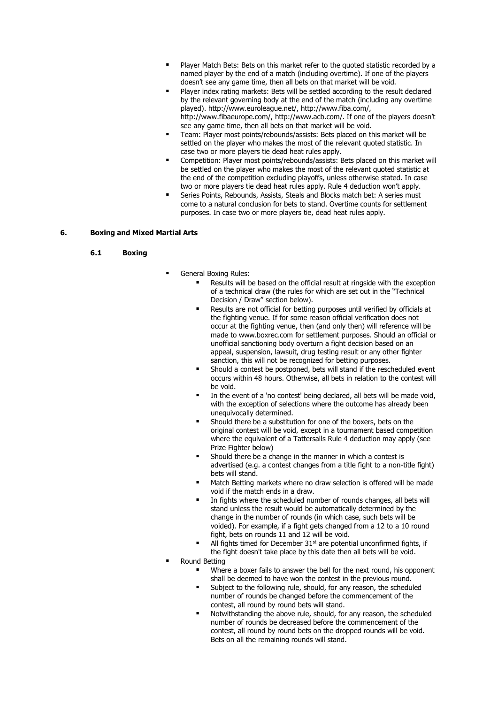- Player Match Bets: Bets on this market refer to the quoted statistic recorded by a named player by the end of a match (including overtime). If one of the players doesn't see any game time, then all bets on that market will be void.
- Player index rating markets: Bets will be settled according to the result declared by the relevant governing body at the end of the match (including any overtime played). http://www.euroleague.net/, http://www.fiba.com/, http://www.fibaeurope.com/, http://www.acb.com/. If one of the players doesn't see any game time, then all bets on that market will be void.
- Team: Player most points/rebounds/assists: Bets placed on this market will be settled on the player who makes the most of the relevant quoted statistic. In case two or more players tie dead heat rules apply.
- Competition: Player most points/rebounds/assists: Bets placed on this market will be settled on the player who makes the most of the relevant quoted statistic at the end of the competition excluding playoffs, unless otherwise stated. In case two or more players tie dead heat rules apply. Rule 4 deduction won't apply.
- Series Points, Rebounds, Assists, Steals and Blocks match bet: A series must come to a natural conclusion for bets to stand. Overtime counts for settlement purposes. In case two or more players tie, dead heat rules apply.

## **6. Boxing and Mixed Martial Arts**

#### **6.1 Boxing**

- General Boxing Rules:
	- Results will be based on the official result at ringside with the exception of a technical draw (the rules for which are set out in the "Technical Decision / Draw" section below).
	- Results are not official for betting purposes until verified by officials at the fighting venue. If for some reason official verification does not occur at the fighting venue, then (and only then) will reference will be made to www.boxrec.com for settlement purposes. Should an official or unofficial sanctioning body overturn a fight decision based on an appeal, suspension, lawsuit, drug testing result or any other fighter sanction, this will not be recognized for betting purposes.
	- Should a contest be postponed, bets will stand if the rescheduled event occurs within 48 hours. Otherwise, all bets in relation to the contest will be void.
	- In the event of a 'no contest' being declared, all bets will be made void, with the exception of selections where the outcome has already been unequivocally determined.
	- Should there be a substitution for one of the boxers, bets on the original contest will be void, except in a tournament based competition where the equivalent of a Tattersalls Rule 4 deduction may apply (see Prize Fighter below)
	- Should there be a change in the manner in which a contest is advertised (e.g. a contest changes from a title fight to a non-title fight) bets will stand.
	- Match Betting markets where no draw selection is offered will be made void if the match ends in a draw.
	- In fights where the scheduled number of rounds changes, all bets will stand unless the result would be automatically determined by the change in the number of rounds (in which case, such bets will be voided). For example, if a fight gets changed from a 12 to a 10 round fight, bets on rounds 11 and 12 will be void.
	- All fights timed for December  $31<sup>st</sup>$  are potential unconfirmed fights, if the fight doesn't take place by this date then all bets will be void.
- Round Betting
	- Where a boxer fails to answer the bell for the next round, his opponent shall be deemed to have won the contest in the previous round.
	- Subject to the following rule, should, for any reason, the scheduled number of rounds be changed before the commencement of the contest, all round by round bets will stand.
	- Notwithstanding the above rule, should, for any reason, the scheduled number of rounds be decreased before the commencement of the contest, all round by round bets on the dropped rounds will be void. Bets on all the remaining rounds will stand.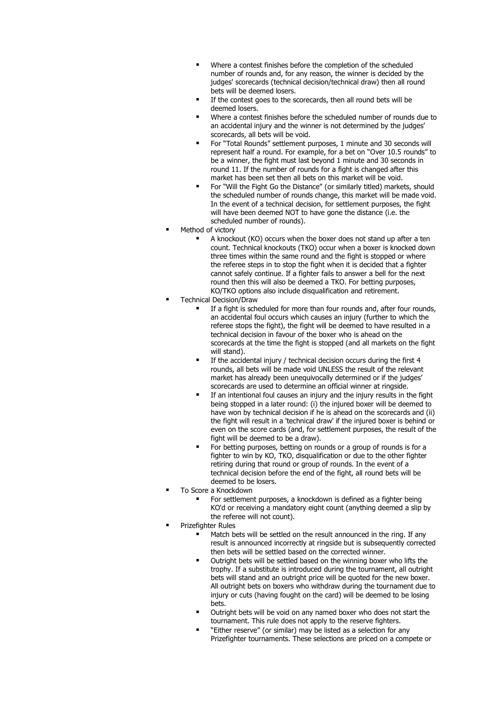- Where a contest finishes before the completion of the scheduled number of rounds and, for any reason, the winner is decided by the judges' scorecards (technical decision/technical draw) then all round bets will be deemed losers.
- If the contest goes to the scorecards, then all round bets will be deemed losers.
- Where a contest finishes before the scheduled number of rounds due to an accidental injury and the winner is not determined by the judges' scorecards, all bets will be void.
- For "Total Rounds" settlement purposes, 1 minute and 30 seconds will represent half a round. For example, for a bet on "Over 10.5 rounds" to be a winner, the fight must last beyond 1 minute and 30 seconds in round 11. If the number of rounds for a fight is changed after this market has been set then all bets on this market will be void.
- For "Will the Fight Go the Distance" (or similarly titled) markets, should the scheduled number of rounds change, this market will be made void. In the event of a technical decision, for settlement purposes, the fight will have been deemed NOT to have gone the distance (i.e. the scheduled number of rounds).
- Method of victory
	- A knockout (KO) occurs when the boxer does not stand up after a ten count. Technical knockouts (TKO) occur when a boxer is knocked down three times within the same round and the fight is stopped or where the referee steps in to stop the fight when it is decided that a fighter cannot safely continue. If a fighter fails to answer a bell for the next round then this will also be deemed a TKO. For betting purposes, KO/TKO options also include disqualification and retirement.
- **Technical Decision/Draw** 
	- If a fight is scheduled for more than four rounds and, after four rounds, an accidental foul occurs which causes an injury (further to which the referee stops the fight), the fight will be deemed to have resulted in a technical decision in favour of the boxer who is ahead on the scorecards at the time the fight is stopped (and all markets on the fight will stand).
	- If the accidental injury / technical decision occurs during the first 4 rounds, all bets will be made void UNLESS the result of the relevant market has already been unequivocally determined or if the judges' scorecards are used to determine an official winner at ringside.
	- **■** If an intentional foul causes an injury and the injury results in the fight being stopped in a later round: (i) the injured boxer will be deemed to have won by technical decision if he is ahead on the scorecards and (ii) the fight will result in a 'technical draw' if the injured boxer is behind or even on the score cards (and, for settlement purposes, the result of the fight will be deemed to be a draw).
	- For betting purposes, betting on rounds or a group of rounds is for a fighter to win by KO, TKO, disqualification or due to the other fighter retiring during that round or group of rounds. In the event of a technical decision before the end of the fight, all round bets will be deemed to be losers.
- To Score a Knockdown
	- For settlement purposes, a knockdown is defined as a fighter being KO'd or receiving a mandatory eight count (anything deemed a slip by the referee will not count).
- Prizefighter Rules
	- Match bets will be settled on the result announced in the ring. If any result is announced incorrectly at ringside but is subsequently corrected then bets will be settled based on the corrected winner.
	- Outright bets will be settled based on the winning boxer who lifts the trophy. If a substitute is introduced during the tournament, all outright bets will stand and an outright price will be quoted for the new boxer. All outright bets on boxers who withdraw during the tournament due to injury or cuts (having fought on the card) will be deemed to be losing bets.
	- Outright bets will be void on any named boxer who does not start the tournament. This rule does not apply to the reserve fighters.
	- "Either reserve" (or similar) may be listed as a selection for any Prizefighter tournaments. These selections are priced on a compete or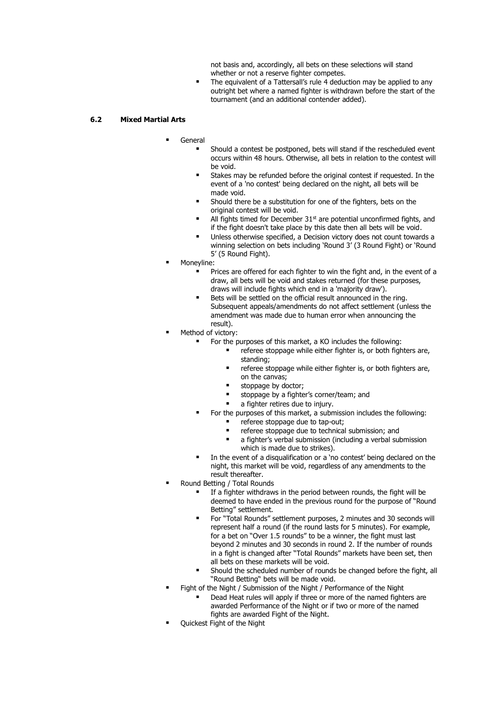not basis and, accordingly, all bets on these selections will stand whether or not a reserve fighter competes.

■ The equivalent of a Tattersall's rule 4 deduction may be applied to any outright bet where a named fighter is withdrawn before the start of the tournament (and an additional contender added).

## **6.2 Mixed Martial Arts**

- **General** 
	- Should a contest be postponed, bets will stand if the rescheduled event occurs within 48 hours. Otherwise, all bets in relation to the contest will be void.
	- Stakes may be refunded before the original contest if requested. In the event of a 'no contest' being declared on the night, all bets will be made void.
	- Should there be a substitution for one of the fighters, bets on the original contest will be void.
	- All fights timed for December  $31<sup>st</sup>$  are potential unconfirmed fights, and if the fight doesn't take place by this date then all bets will be void.
	- Unless otherwise specified, a Decision victory does not count towards a winning selection on bets including 'Round 3' (3 Round Fight) or 'Round 5' (5 Round Fight).
- Moneyline:
	- Prices are offered for each fighter to win the fight and, in the event of a draw, all bets will be void and stakes returned (for these purposes, draws will include fights which end in a 'majority draw').
	- Bets will be settled on the official result announced in the ring. Subsequent appeals/amendments do not affect settlement (unless the amendment was made due to human error when announcing the result).
- Method of victory:
	- For the purposes of this market, a KO includes the following:
		- referee stoppage while either fighter is, or both fighters are, standing;
		- **■** referee stoppage while either fighter is, or both fighters are, on the canvas;
		- stoppage by doctor;
		- stoppage by a fighter's corner/team; and
		- a fighter retires due to injury.
	- For the purposes of this market, a submission includes the following: referee stoppage due to tap-out;
		- **■** referee stoppage due to technical submission; and
		- a fighter's verbal submission (including a verbal submission which is made due to strikes).
	- In the event of a disqualification or a 'no contest' being declared on the night, this market will be void, regardless of any amendments to the result thereafter.
- Round Betting / Total Rounds
	- If a fighter withdraws in the period between rounds, the fight will be deemed to have ended in the previous round for the purpose of "Round Betting" settlement.
	- For "Total Rounds" settlement purposes, 2 minutes and 30 seconds will represent half a round (if the round lasts for 5 minutes). For example, for a bet on "Over 1.5 rounds" to be a winner, the fight must last beyond 2 minutes and 30 seconds in round 2. If the number of rounds in a fight is changed after "Total Rounds" markets have been set, then all bets on these markets will be void.
	- Should the scheduled number of rounds be changed before the fight, all "Round Betting" bets will be made void.
- Fight of the Night / Submission of the Night / Performance of the Night
	- Dead Heat rules will apply if three or more of the named fighters are awarded Performance of the Night or if two or more of the named fights are awarded Fight of the Night.
- Quickest Fight of the Night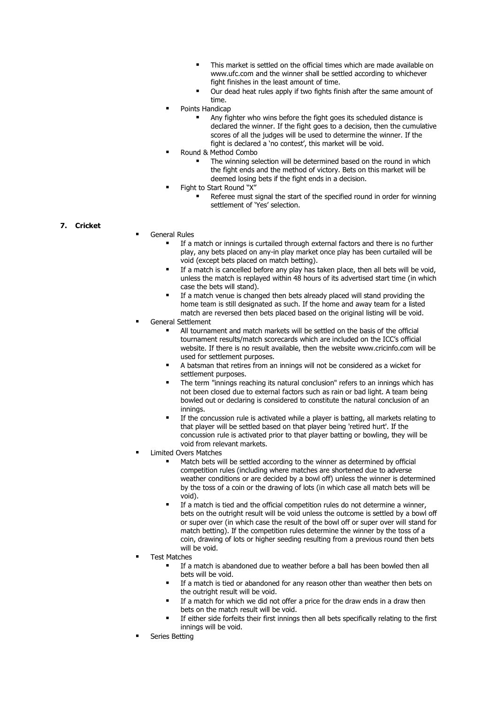- This market is settled on the official times which are made available on www.ufc.com and the winner shall be settled according to whichever fight finishes in the least amount of time.
- Our dead heat rules apply if two fights finish after the same amount of time.
- Points Handicap
	- Any fighter who wins before the fight goes its scheduled distance is declared the winner. If the fight goes to a decision, then the cumulative scores of all the judges will be used to determine the winner. If the fight is declared a 'no contest', this market will be void.
- Round & Method Combo
	- The winning selection will be determined based on the round in which the fight ends and the method of victory. Bets on this market will be deemed losing bets if the fight ends in a decision.
	- Fight to Start Round "X"
		- Referee must signal the start of the specified round in order for winning settlement of 'Yes' selection.

## **7. Cricket**

- **General Rules** 
	- If a match or innings is curtailed through external factors and there is no further play, any bets placed on any-in play market once play has been curtailed will be void (except bets placed on match betting).
	- If a match is cancelled before any play has taken place, then all bets will be void, unless the match is replayed within 48 hours of its advertised start time (in which case the bets will stand).
	- If a match venue is changed then bets already placed will stand providing the home team is still designated as such. If the home and away team for a listed match are reversed then bets placed based on the original listing will be void.
- General Settlement
	- All tournament and match markets will be settled on the basis of the official tournament results/match scorecards which are included on the ICC's official website. If there is no result available, then the website www.cricinfo.com will be used for settlement purposes.
	- A batsman that retires from an innings will not be considered as a wicket for settlement purposes.
	- The term "innings reaching its natural conclusion" refers to an innings which has not been closed due to external factors such as rain or bad light. A team being bowled out or declaring is considered to constitute the natural conclusion of an innings.
	- If the concussion rule is activated while a player is batting, all markets relating to that player will be settled based on that player being 'retired hurt'. If the concussion rule is activated prior to that player batting or bowling, they will be void from relevant markets.
- **Limited Overs Matches** 
	- Match bets will be settled according to the winner as determined by official competition rules (including where matches are shortened due to adverse weather conditions or are decided by a bowl off) unless the winner is determined by the toss of a coin or the drawing of lots (in which case all match bets will be void).
	- If a match is tied and the official competition rules do not determine a winner. bets on the outright result will be void unless the outcome is settled by a bowl off or super over (in which case the result of the bowl off or super over will stand for match betting). If the competition rules determine the winner by the toss of a coin, drawing of lots or higher seeding resulting from a previous round then bets will be void.
- **Test Matches** 
	- If a match is abandoned due to weather before a ball has been bowled then all bets will be void.
	- If a match is tied or abandoned for any reason other than weather then bets on the outright result will be void.
	- If a match for which we did not offer a price for the draw ends in a draw then bets on the match result will be void.
	- If either side forfeits their first innings then all bets specifically relating to the first innings will be void.
- Series Betting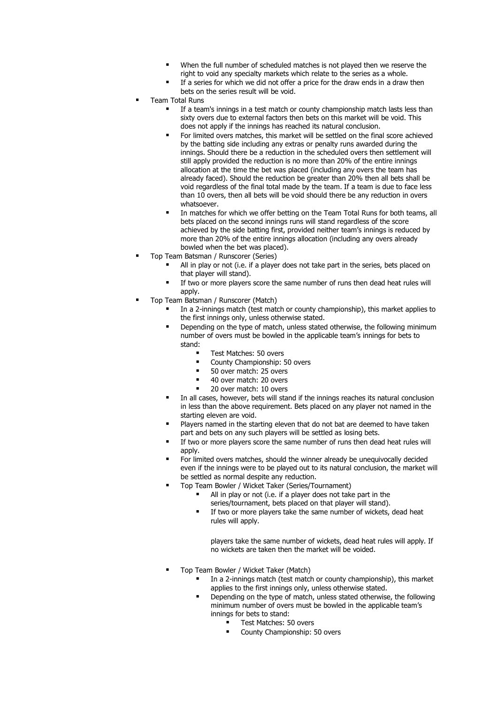- When the full number of scheduled matches is not played then we reserve the right to void any specialty markets which relate to the series as a whole.
- If a series for which we did not offer a price for the draw ends in a draw then bets on the series result will be void.
- **Team Total Runs** 
	- If a team's innings in a test match or county championship match lasts less than sixty overs due to external factors then bets on this market will be void. This does not apply if the innings has reached its natural conclusion.
	- For limited overs matches, this market will be settled on the final score achieved by the batting side including any extras or penalty runs awarded during the innings. Should there be a reduction in the scheduled overs then settlement will still apply provided the reduction is no more than 20% of the entire innings allocation at the time the bet was placed (including any overs the team has already faced). Should the reduction be greater than 20% then all bets shall be void regardless of the final total made by the team. If a team is due to face less than 10 overs, then all bets will be void should there be any reduction in overs whatsoever.
	- In matches for which we offer betting on the Team Total Runs for both teams, all bets placed on the second innings runs will stand regardless of the score achieved by the side batting first, provided neither team's innings is reduced by more than 20% of the entire innings allocation (including any overs already bowled when the bet was placed).
- Top Team Batsman / Runscorer (Series)
	- All in play or not (i.e. if a player does not take part in the series, bets placed on that player will stand).
	- If two or more players score the same number of runs then dead heat rules will apply.
- Top Team Batsman / Runscorer (Match)
	- In a 2-innings match (test match or county championship), this market applies to the first innings only, unless otherwise stated.
	- Depending on the type of match, unless stated otherwise, the following minimum number of overs must be bowled in the applicable team's innings for bets to stand:
		- Test Matches: 50 overs<br>■ County Championshin: !
		- County Championship: 50 overs
		- 50 over match: 25 overs
		- 40 over match: 20 overs
		- 20 over match: 10 overs
	- In all cases, however, bets will stand if the innings reaches its natural conclusion in less than the above requirement. Bets placed on any player not named in the starting eleven are void.
	- Players named in the starting eleven that do not bat are deemed to have taken part and bets on any such players will be settled as losing bets.
	- If two or more players score the same number of runs then dead heat rules will apply.
	- For limited overs matches, should the winner already be unequivocally decided even if the innings were to be played out to its natural conclusion, the market will be settled as normal despite any reduction.
	- Top Team Bowler / Wicket Taker (Series/Tournament)
		- All in play or not (i.e. if a player does not take part in the series/tournament, bets placed on that player will stand).
		- If two or more players take the same number of wickets, dead heat rules will apply.

players take the same number of wickets, dead heat rules will apply. If no wickets are taken then the market will be voided.

- Top Team Bowler / Wicket Taker (Match)
	- In a 2-innings match (test match or county championship), this market applies to the first innings only, unless otherwise stated.
	- Depending on the type of match, unless stated otherwise, the following minimum number of overs must be bowled in the applicable team's innings for bets to stand:
		- Test Matches: 50 overs
		- County Championship: 50 overs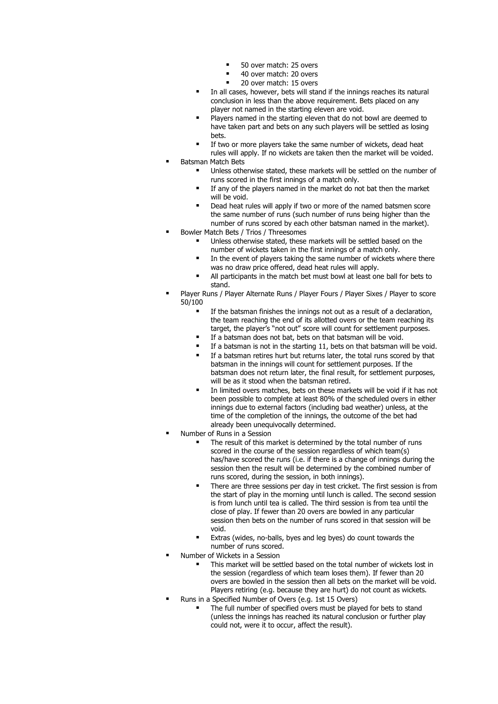- 50 over match: 25 overs
- 40 over match: 20 overs
- 20 over match: 15 overs
- In all cases, however, bets will stand if the innings reaches its natural conclusion in less than the above requirement. Bets placed on any player not named in the starting eleven are void.
- Players named in the starting eleven that do not bowl are deemed to have taken part and bets on any such players will be settled as losing bets.
- If two or more players take the same number of wickets, dead heat rules will apply. If no wickets are taken then the market will be voided. **Batsman Match Bets** 
	- Unless otherwise stated, these markets will be settled on the number of runs scored in the first innings of a match only.
	- If any of the players named in the market do not bat then the market will be void.
	- Dead heat rules will apply if two or more of the named batsmen score the same number of runs (such number of runs being higher than the number of runs scored by each other batsman named in the market).
- Bowler Match Bets / Trios / Threesomes
	- Unless otherwise stated, these markets will be settled based on the number of wickets taken in the first innings of a match only.
		- In the event of players taking the same number of wickets where there was no draw price offered, dead heat rules will apply.
	- All participants in the match bet must bowl at least one ball for bets to stand.
- Player Runs / Player Alternate Runs / Player Fours / Player Sixes / Player to score 50/100
	- If the batsman finishes the innings not out as a result of a declaration, the team reaching the end of its allotted overs or the team reaching its target, the player's "not out" score will count for settlement purposes.
	- **■** If a batsman does not bat, bets on that batsman will be void.
	- If a batsman is not in the starting 11, bets on that batsman will be void.
	- If a batsman retires hurt but returns later, the total runs scored by that batsman in the innings will count for settlement purposes. If the batsman does not return later, the final result, for settlement purposes, will be as it stood when the batsman retired.
	- In limited overs matches, bets on these markets will be void if it has not been possible to complete at least 80% of the scheduled overs in either innings due to external factors (including bad weather) unless, at the time of the completion of the innings, the outcome of the bet had already been unequivocally determined.
- Number of Runs in a Session
	- The result of this market is determined by the total number of runs scored in the course of the session regardless of which team(s) has/have scored the runs (i.e. if there is a change of innings during the session then the result will be determined by the combined number of runs scored, during the session, in both innings).
	- **■** There are three sessions per day in test cricket. The first session is from the start of play in the morning until lunch is called. The second session is from lunch until tea is called. The third session is from tea until the close of play. If fewer than 20 overs are bowled in any particular session then bets on the number of runs scored in that session will be void.
	- Extras (wides, no-balls, byes and leg byes) do count towards the number of runs scored.
- Number of Wickets in a Session
	- This market will be settled based on the total number of wickets lost in the session (regardless of which team loses them). If fewer than 20 overs are bowled in the session then all bets on the market will be void. Players retiring (e.g. because they are hurt) do not count as wickets.
- Runs in a Specified Number of Overs (e.g. 1st 15 Overs)
	- The full number of specified overs must be played for bets to stand (unless the innings has reached its natural conclusion or further play could not, were it to occur, affect the result).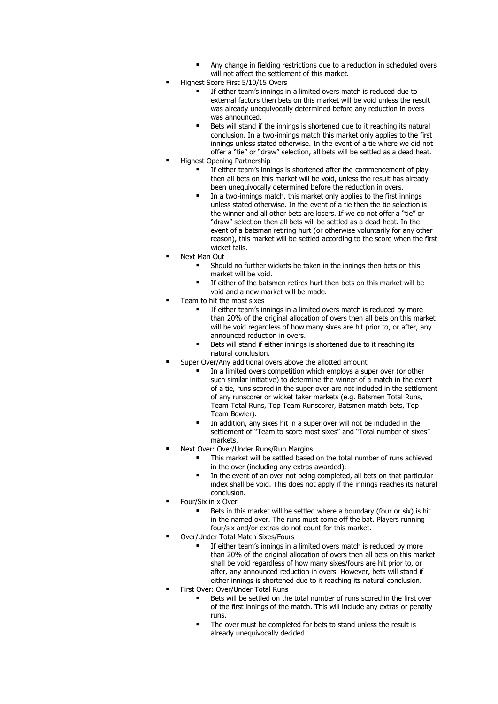- Any change in fielding restrictions due to a reduction in scheduled overs will not affect the settlement of this market.
- Highest Score First 5/10/15 Overs
	- If either team's innings in a limited overs match is reduced due to external factors then bets on this market will be void unless the result was already unequivocally determined before any reduction in overs was announced.
	- Bets will stand if the innings is shortened due to it reaching its natural conclusion. In a two-innings match this market only applies to the first innings unless stated otherwise. In the event of a tie where we did not offer a "tie" or "draw" selection, all bets will be settled as a dead heat.
- **Highest Opening Partnership** 
	- If either team's innings is shortened after the commencement of play then all bets on this market will be void, unless the result has already been unequivocally determined before the reduction in overs.
	- In a two-innings match, this market only applies to the first innings unless stated otherwise. In the event of a tie then the tie selection is the winner and all other bets are losers. If we do not offer a "tie" or "draw" selection then all bets will be settled as a dead heat. In the event of a batsman retiring hurt (or otherwise voluntarily for any other reason), this market will be settled according to the score when the first wicket falls.
- Next Man Out
	- Should no further wickets be taken in the innings then bets on this market will be void.
	- If either of the batsmen retires hurt then bets on this market will be void and a new market will be made.
- Team to hit the most sixes
	- If either team's innings in a limited overs match is reduced by more than 20% of the original allocation of overs then all bets on this market will be void regardless of how many sixes are hit prior to, or after, any announced reduction in overs.
	- Bets will stand if either innings is shortened due to it reaching its natural conclusion.
- Super Over/Any additional overs above the allotted amount
	- In a limited overs competition which employs a super over (or other such similar initiative) to determine the winner of a match in the event of a tie, runs scored in the super over are not included in the settlement of any runscorer or wicket taker markets (e.g. Batsmen Total Runs, Team Total Runs, Top Team Runscorer, Batsmen match bets, Top Team Bowler).
	- In addition, any sixes hit in a super over will not be included in the settlement of "Team to score most sixes" and "Total number of sixes" markets.
- Next Over: Over/Under Runs/Run Margins
	- This market will be settled based on the total number of runs achieved in the over (including any extras awarded).
	- In the event of an over not being completed, all bets on that particular index shall be void. This does not apply if the innings reaches its natural conclusion.
- Four/Six in x Over
	- Bets in this market will be settled where a boundary (four or six) is hit in the named over. The runs must come off the bat. Players running four/six and/or extras do not count for this market.
- Over/Under Total Match Sixes/Fours
	- If either team's innings in a limited overs match is reduced by more than 20% of the original allocation of overs then all bets on this market shall be void regardless of how many sixes/fours are hit prior to, or after, any announced reduction in overs. However, bets will stand if either innings is shortened due to it reaching its natural conclusion.
- First Over: Over/Under Total Runs
	- Bets will be settled on the total number of runs scored in the first over of the first innings of the match. This will include any extras or penalty runs.
	- The over must be completed for bets to stand unless the result is already unequivocally decided.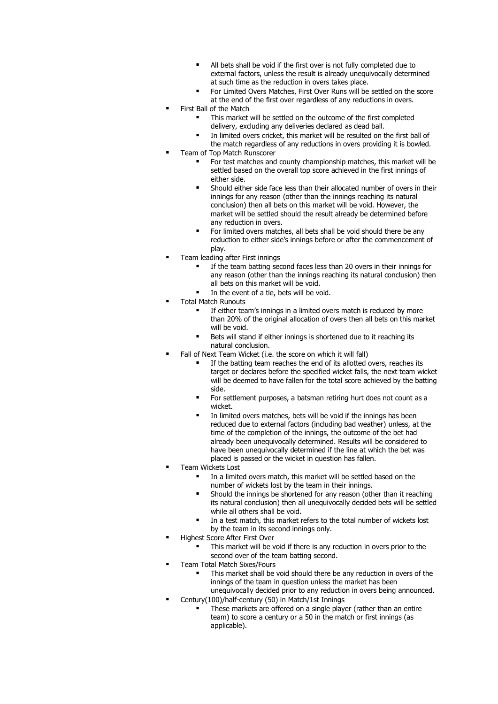- All bets shall be void if the first over is not fully completed due to external factors, unless the result is already unequivocally determined at such time as the reduction in overs takes place.
- For Limited Overs Matches, First Over Runs will be settled on the score at the end of the first over regardless of any reductions in overs.
- First Ball of the Match
	- This market will be settled on the outcome of the first completed delivery, excluding any deliveries declared as dead ball.
	- In limited overs cricket, this market will be resulted on the first ball of the match regardless of any reductions in overs providing it is bowled.
- Team of Top Match Runscorer
	- For test matches and county championship matches, this market will be settled based on the overall top score achieved in the first innings of either side.
	- Should either side face less than their allocated number of overs in their innings for any reason (other than the innings reaching its natural conclusion) then all bets on this market will be void. However, the market will be settled should the result already be determined before any reduction in overs.
	- For limited overs matches, all bets shall be void should there be any reduction to either side's innings before or after the commencement of play.
- Team leading after First innings
	- If the team batting second faces less than 20 overs in their innings for any reason (other than the innings reaching its natural conclusion) then all bets on this market will be void.
	- In the event of a tie, bets will be void.
- Total Match Runouts
	- If either team's innings in a limited overs match is reduced by more than 20% of the original allocation of overs then all bets on this market will be void.
		- Bets will stand if either innings is shortened due to it reaching its natural conclusion.
- Fall of Next Team Wicket (i.e. the score on which it will fall)
	- If the batting team reaches the end of its allotted overs, reaches its target or declares before the specified wicket falls, the next team wicket will be deemed to have fallen for the total score achieved by the batting side.
	- For settlement purposes, a batsman retiring hurt does not count as a wicket.
	- In limited overs matches, bets will be void if the innings has been reduced due to external factors (including bad weather) unless, at the time of the completion of the innings, the outcome of the bet had already been unequivocally determined. Results will be considered to have been unequivocally determined if the line at which the bet was placed is passed or the wicket in question has fallen.
- Team Wickets Lost
	- In a limited overs match, this market will be settled based on the number of wickets lost by the team in their innings.
	- Should the innings be shortened for any reason (other than it reaching its natural conclusion) then all unequivocally decided bets will be settled while all others shall be void.
	- In a test match, this market refers to the total number of wickets lost by the team in its second innings only.
- **Highest Score After First Over** 
	- This market will be void if there is any reduction in overs prior to the second over of the team batting second.
- Team Total Match Sixes/Fours
	- This market shall be void should there be any reduction in overs of the innings of the team in question unless the market has been unequivocally decided prior to any reduction in overs being announced.
- Century(100)/half-century (50) in Match/1st Innings
	- These markets are offered on a single player (rather than an entire team) to score a century or a 50 in the match or first innings (as applicable).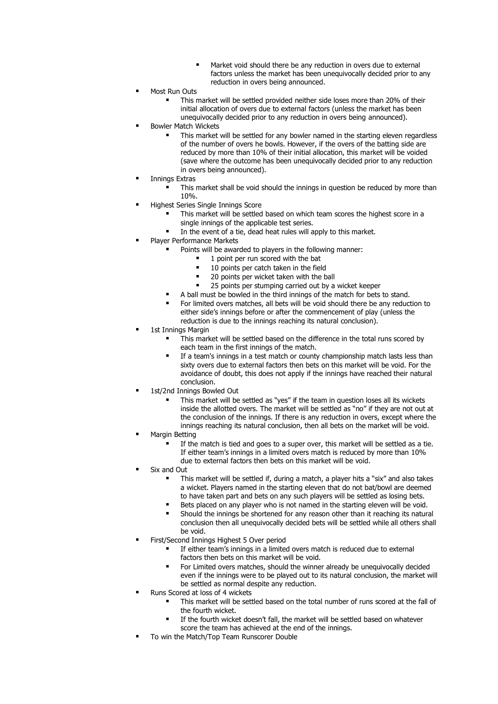- Market void should there be any reduction in overs due to external factors unless the market has been unequivocally decided prior to any reduction in overs being announced.
- Most Run Outs
	- This market will be settled provided neither side loses more than 20% of their initial allocation of overs due to external factors (unless the market has been unequivocally decided prior to any reduction in overs being announced).
- **Bowler Match Wickets** 
	- This market will be settled for any bowler named in the starting eleven regardless of the number of overs he bowls. However, if the overs of the batting side are reduced by more than 10% of their initial allocation, this market will be voided (save where the outcome has been unequivocally decided prior to any reduction in overs being announced).
- **Innings Extras** 
	- This market shall be void should the innings in question be reduced by more than 10%.
- Highest Series Single Innings Score
	- This market will be settled based on which team scores the highest score in a single innings of the applicable test series.
	- In the event of a tie, dead heat rules will apply to this market.
- Player Performance Markets
	- Points will be awarded to players in the following manner:
		- 1 point per run scored with the bat
			- 10 points per catch taken in the field
			- 20 points per wicket taken with the ball
		- 25 points per stumping carried out by a wicket keeper
	- A ball must be bowled in the third innings of the match for bets to stand.
	- For limited overs matches, all bets will be void should there be any reduction to either side's innings before or after the commencement of play (unless the reduction is due to the innings reaching its natural conclusion).
- 1st Innings Margin
	- This market will be settled based on the difference in the total runs scored by each team in the first innings of the match.
	- If a team's innings in a test match or county championship match lasts less than sixty overs due to external factors then bets on this market will be void. For the avoidance of doubt, this does not apply if the innings have reached their natural conclusion.
- 1st/2nd Innings Bowled Out
	- This market will be settled as "yes" if the team in question loses all its wickets inside the allotted overs. The market will be settled as "no" if they are not out at the conclusion of the innings. If there is any reduction in overs, except where the innings reaching its natural conclusion, then all bets on the market will be void.
- **Margin Betting** 
	- If the match is tied and goes to a super over, this market will be settled as a tie. If either team's innings in a limited overs match is reduced by more than 10% due to external factors then bets on this market will be void.
- Six and Out
	- This market will be settled if, during a match, a player hits a "six" and also takes a wicket. Players named in the starting eleven that do not bat/bowl are deemed to have taken part and bets on any such players will be settled as losing bets.
	- Bets placed on any player who is not named in the starting eleven will be void.
	- Should the innings be shortened for any reason other than it reaching its natural conclusion then all unequivocally decided bets will be settled while all others shall be void.
- First/Second Innings Highest 5 Over period
	- If either team's innings in a limited overs match is reduced due to external factors then bets on this market will be void.
	- For Limited overs matches, should the winner already be unequivocally decided even if the innings were to be played out to its natural conclusion, the market will be settled as normal despite any reduction.
- Runs Scored at loss of 4 wickets
	- This market will be settled based on the total number of runs scored at the fall of the fourth wicket.
	- If the fourth wicket doesn't fall, the market will be settled based on whatever score the team has achieved at the end of the innings.
- To win the Match/Top Team Runscorer Double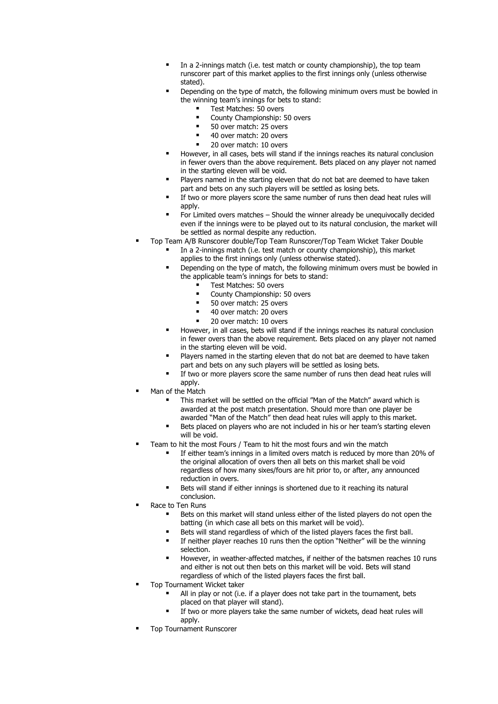- In a 2-innings match (i.e. test match or county championship), the top team runscorer part of this market applies to the first innings only (unless otherwise stated).
- Depending on the type of match, the following minimum overs must be bowled in the winning team's innings for bets to stand:
	- Test Matches: 50 overs
	- County Championship: 50 overs
	- 50 over match: 25 overs
	- 40 over match: 20 overs
	- 20 over match: 10 overs
- However, in all cases, bets will stand if the innings reaches its natural conclusion in fewer overs than the above requirement. Bets placed on any player not named in the starting eleven will be void.
- Players named in the starting eleven that do not bat are deemed to have taken part and bets on any such players will be settled as losing bets.
- If two or more players score the same number of runs then dead heat rules will apply.
- For Limited overs matches Should the winner already be unequivocally decided even if the innings were to be played out to its natural conclusion, the market will be settled as normal despite any reduction.
- Top Team A/B Runscorer double/Top Team Runscorer/Top Team Wicket Taker Double
	- In a 2-innings match (i.e. test match or county championship), this market applies to the first innings only (unless otherwise stated).
	- Depending on the type of match, the following minimum overs must be bowled in the applicable team's innings for bets to stand:
		- Test Matches: 50 overs
		- County Championship: 50 overs
		- 50 over match: 25 overs
		- 40 over match: 20 overs
		- 20 over match: 10 overs
	- However, in all cases, bets will stand if the innings reaches its natural conclusion in fewer overs than the above requirement. Bets placed on any player not named in the starting eleven will be void.
	- Players named in the starting eleven that do not bat are deemed to have taken part and bets on any such players will be settled as losing bets.
	- If two or more players score the same number of runs then dead heat rules will annly
- Man of the Match
	- This market will be settled on the official "Man of the Match" award which is awarded at the post match presentation. Should more than one player be awarded "Man of the Match" then dead heat rules will apply to this market.
	- Bets placed on players who are not included in his or her team's starting eleven will be void.
- Team to hit the most Fours / Team to hit the most fours and win the match
	- If either team's innings in a limited overs match is reduced by more than 20% of the original allocation of overs then all bets on this market shall be void regardless of how many sixes/fours are hit prior to, or after, any announced reduction in overs.
	- Bets will stand if either innings is shortened due to it reaching its natural conclusion.
- Race to Ten Runs
	- Bets on this market will stand unless either of the listed players do not open the batting (in which case all bets on this market will be void).
	- Bets will stand regardless of which of the listed players faces the first ball.
	- **■** If neither player reaches 10 runs then the option "Neither" will be the winning selection.
	- However, in weather-affected matches, if neither of the batsmen reaches 10 runs and either is not out then bets on this market will be void. Bets will stand regardless of which of the listed players faces the first ball.
- Top Tournament Wicket taker
	- All in play or not (i.e. if a player does not take part in the tournament, bets placed on that player will stand).
	- If two or more players take the same number of wickets, dead heat rules will apply.
- **Top Tournament Runscorer**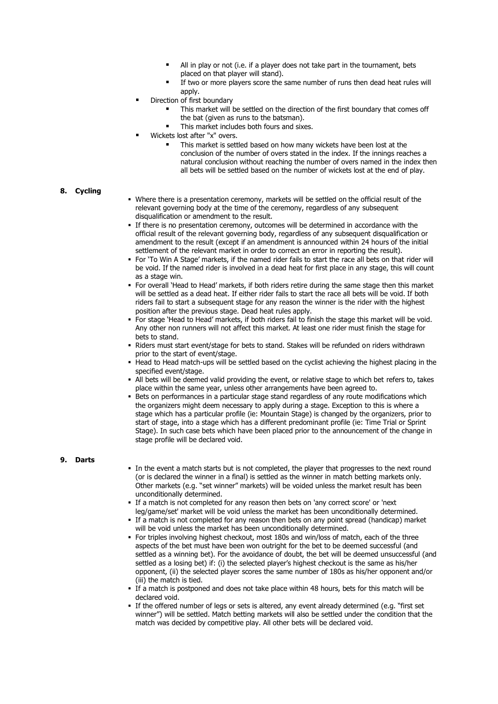- All in play or not (i.e. if a player does not take part in the tournament, bets placed on that player will stand).
- If two or more players score the same number of runs then dead heat rules will apply.
- Direction of first boundary
	- This market will be settled on the direction of the first boundary that comes off the bat (given as runs to the batsman).
	- This market includes both fours and sixes.
- Wickets lost after "x" overs.
	- This market is settled based on how many wickets have been lost at the conclusion of the number of overs stated in the index. If the innings reaches a natural conclusion without reaching the number of overs named in the index then all bets will be settled based on the number of wickets lost at the end of play.

## **8. Cycling**

- Where there is a presentation ceremony, markets will be settled on the official result of the relevant governing body at the time of the ceremony, regardless of any subsequent disqualification or amendment to the result.
- If there is no presentation ceremony, outcomes will be determined in accordance with the official result of the relevant governing body, regardless of any subsequent disqualification or amendment to the result (except if an amendment is announced within 24 hours of the initial settlement of the relevant market in order to correct an error in reporting the result).
- For 'To Win A Stage' markets, if the named rider fails to start the race all bets on that rider will be void. If the named rider is involved in a dead heat for first place in any stage, this will count as a stage win.
- For overall 'Head to Head' markets, if both riders retire during the same stage then this market will be settled as a dead heat. If either rider fails to start the race all bets will be void. If both riders fail to start a subsequent stage for any reason the winner is the rider with the highest position after the previous stage. Dead heat rules apply.
- For stage 'Head to Head' markets, if both riders fail to finish the stage this market will be void. Any other non runners will not affect this market. At least one rider must finish the stage for bets to stand.
- . Riders must start event/stage for bets to stand. Stakes will be refunded on riders withdrawn prior to the start of event/stage.
- Head to Head match-ups will be settled based on the cyclist achieving the highest placing in the specified event/stage.
- All bets will be deemed valid providing the event, or relative stage to which bet refers to, takes place within the same year, unless other arrangements have been agreed to.
- **Bets on performances in a particular stage stand regardless of any route modifications which** the organizers might deem necessary to apply during a stage. Exception to this is where a stage which has a particular profile (ie: Mountain Stage) is changed by the organizers, prior to start of stage, into a stage which has a different predominant profile (ie: Time Trial or Sprint Stage). In such case bets which have been placed prior to the announcement of the change in stage profile will be declared void.

#### **9. Darts**

- In the event a match starts but is not completed, the player that progresses to the next round (or is declared the winner in a final) is settled as the winner in match betting markets only. Other markets (e.g. "set winner" markets) will be voided unless the market result has been unconditionally determined.
- If a match is not completed for any reason then bets on 'any correct score' or 'next leg/game/set' market will be void unless the market has been unconditionally determined.
- If a match is not completed for any reason then bets on any point spread (handicap) market will be void unless the market has been unconditionally determined.
- For triples involving highest checkout, most 180s and win/loss of match, each of the three aspects of the bet must have been won outright for the bet to be deemed successful (and settled as a winning bet). For the avoidance of doubt, the bet will be deemed unsuccessful (and settled as a losing bet) if: (i) the selected player's highest checkout is the same as his/her opponent, (ii) the selected player scores the same number of 180s as his/her opponent and/or (iii) the match is tied.
- If a match is postponed and does not take place within 48 hours, bets for this match will be declared void.
- If the offered number of legs or sets is altered, any event already determined (e.g. "first set winner") will be settled. Match betting markets will also be settled under the condition that the match was decided by competitive play. All other bets will be declared void.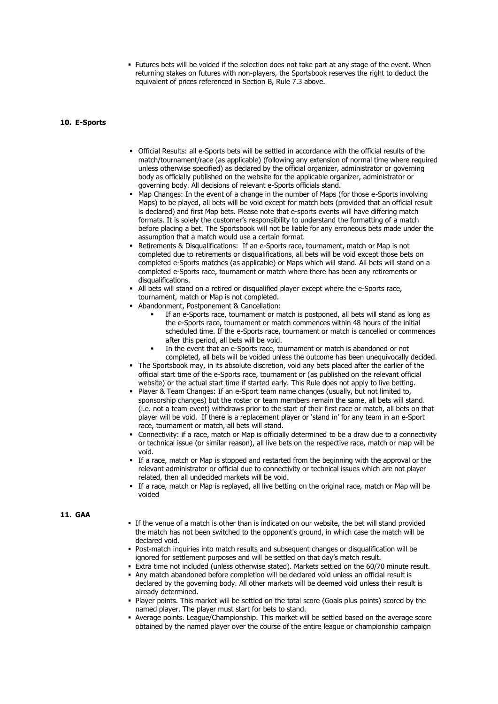▪ Futures bets will be voided if the selection does not take part at any stage of the event. When returning stakes on futures with non-players, the Sportsbook reserves the right to deduct the equivalent of prices referenced in Section B, Rule 7.3 above.

#### **10. E-Sports**

- Official Results: all e-Sports bets will be settled in accordance with the official results of the match/tournament/race (as applicable) (following any extension of normal time where required unless otherwise specified) as declared by the official organizer, administrator or governing body as officially published on the website for the applicable organizer, administrator or governing body. All decisions of relevant e-Sports officials stand.
- Map Changes: In the event of a change in the number of Maps (for those e-Sports involving Maps) to be played, all bets will be void except for match bets (provided that an official result is declared) and first Map bets. Please note that e-sports events will have differing match formats. It is solely the customer's responsibility to understand the formatting of a match before placing a bet. The Sportsbook will not be liable for any erroneous bets made under the assumption that a match would use a certain format.
- Retirements & Disqualifications: If an e-Sports race, tournament, match or Map is not completed due to retirements or disqualifications, all bets will be void except those bets on completed e-Sports matches (as applicable) or Maps which will stand. All bets will stand on a completed e-Sports race, tournament or match where there has been any retirements or disqualifications.
- . All bets will stand on a retired or disqualified player except where the e-Sports race, tournament, match or Map is not completed.
- Abandonment, Postponement & Cancellation:
	- If an e-Sports race, tournament or match is postponed, all bets will stand as long as the e-Sports race, tournament or match commences within 48 hours of the initial scheduled time. If the e-Sports race, tournament or match is cancelled or commences after this period, all bets will be void.
	- In the event that an e-Sports race, tournament or match is abandoned or not completed, all bets will be voided unless the outcome has been unequivocally decided.
- The Sportsbook may, in its absolute discretion, void any bets placed after the earlier of the official start time of the e-Sports race, tournament or (as published on the relevant official website) or the actual start time if started early. This Rule does not apply to live betting.
- Player & Team Changes: If an e-Sport team name changes (usually, but not limited to, sponsorship changes) but the roster or team members remain the same, all bets will stand. (i.e. not a team event) withdraws prior to the start of their first race or match, all bets on that player will be void. If there is a replacement player or 'stand in' for any team in an e-Sport race, tournament or match, all bets will stand.
- Connectivity: if a race, match or Map is officially determined to be a draw due to a connectivity or technical issue (or similar reason), all live bets on the respective race, match or map will be void.
- If a race, match or Map is stopped and restarted from the beginning with the approval or the relevant administrator or official due to connectivity or technical issues which are not player related, then all undecided markets will be void.
- If a race, match or Map is replayed, all live betting on the original race, match or Map will be voided

#### **11. GAA**

- If the venue of a match is other than is indicated on our website, the bet will stand provided the match has not been switched to the opponent's ground, in which case the match will be declared void.
- Post-match inquiries into match results and subsequent changes or disqualification will be ignored for settlement purposes and will be settled on that day's match result.
- Extra time not included (unless otherwise stated). Markets settled on the 60/70 minute result. ▪ Any match abandoned before completion will be declared void unless an official result is
- declared by the governing body. All other markets will be deemed void unless their result is already determined.
- Player points. This market will be settled on the total score (Goals plus points) scored by the named player. The player must start for bets to stand.
- Average points. League/Championship. This market will be settled based on the average score obtained by the named player over the course of the entire league or championship campaign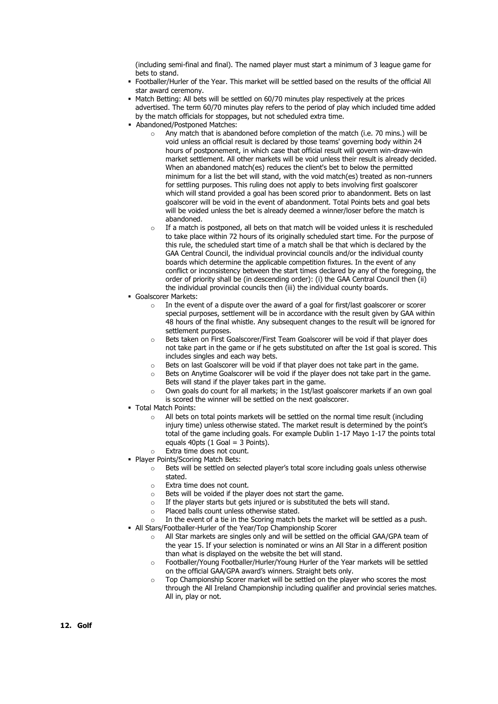(including semi-final and final). The named player must start a minimum of 3 league game for bets to stand.

- Footballer/Hurler of the Year. This market will be settled based on the results of the official All star award ceremony.
- Match Betting: All bets will be settled on 60/70 minutes play respectively at the prices advertised. The term 60/70 minutes play refers to the period of play which included time added by the match officials for stoppages, but not scheduled extra time.
- Abandoned/Postponed Matches:
	- o Any match that is abandoned before completion of the match (i.e. 70 mins.) will be void unless an official result is declared by those teams' governing body within 24 hours of postponement, in which case that official result will govern win-draw-win market settlement. All other markets will be void unless their result is already decided. When an abandoned match(es) reduces the client's bet to below the permitted minimum for a list the bet will stand, with the void match(es) treated as non-runners for settling purposes. This ruling does not apply to bets involving first goalscorer which will stand provided a goal has been scored prior to abandonment. Bets on last goalscorer will be void in the event of abandonment. Total Points bets and goal bets will be voided unless the bet is already deemed a winner/loser before the match is abandoned.
	- $\circ$  If a match is postponed, all bets on that match will be voided unless it is rescheduled to take place within 72 hours of its originally scheduled start time. For the purpose of this rule, the scheduled start time of a match shall be that which is declared by the GAA Central Council, the individual provincial councils and/or the individual county boards which determine the applicable competition fixtures. In the event of any conflict or inconsistency between the start times declared by any of the foregoing, the order of priority shall be (in descending order): (i) the GAA Central Council then (ii) the individual provincial councils then (iii) the individual county boards.
- Goalscorer Markets:
	- In the event of a dispute over the award of a goal for first/last goalscorer or scorer special purposes, settlement will be in accordance with the result given by GAA within 48 hours of the final whistle. Any subsequent changes to the result will be ignored for settlement purposes.
	- o Bets taken on First Goalscorer/First Team Goalscorer will be void if that player does not take part in the game or if he gets substituted on after the 1st goal is scored. This includes singles and each way bets.
	- o Bets on last Goalscorer will be void if that player does not take part in the game.
	- $\circ$  Bets on Anytime Goalscorer will be void if the player does not take part in the game. Bets will stand if the player takes part in the game.
	- o Own goals do count for all markets; in the 1st/last goalscorer markets if an own goal is scored the winner will be settled on the next goalscorer.
- Total Match Points:
	- All bets on total points markets will be settled on the normal time result (including injury time) unless otherwise stated. The market result is determined by the point's total of the game including goals. For example Dublin 1-17 Mayo 1-17 the points total equals  $40pts (1 Goal = 3 Points).$
	- o Extra time does not count.
- Player Points/Scoring Match Bets:
	- o Bets will be settled on selected player's total score including goals unless otherwise stated.
	- o Extra time does not count.
	- o Bets will be voided if the player does not start the game.
	- $\circ$  If the player starts but gets injured or is substituted the bets will stand.
	- o Placed balls count unless otherwise stated.
- In the event of a tie in the Scoring match bets the market will be settled as a push. • All Stars/Footballer-Hurler of the Year/Top Championship Scorer
	- $\circ$  All Star markets are singles only and will be settled on the official GAA/GPA team of the year 15. If your selection is nominated or wins an All Star in a different position than what is displayed on the website the bet will stand.
	- o Footballer/Young Footballer/Hurler/Young Hurler of the Year markets will be settled on the official GAA/GPA award's winners. Straight bets only.
	- o Top Championship Scorer market will be settled on the player who scores the most through the All Ireland Championship including qualifier and provincial series matches. All in, play or not.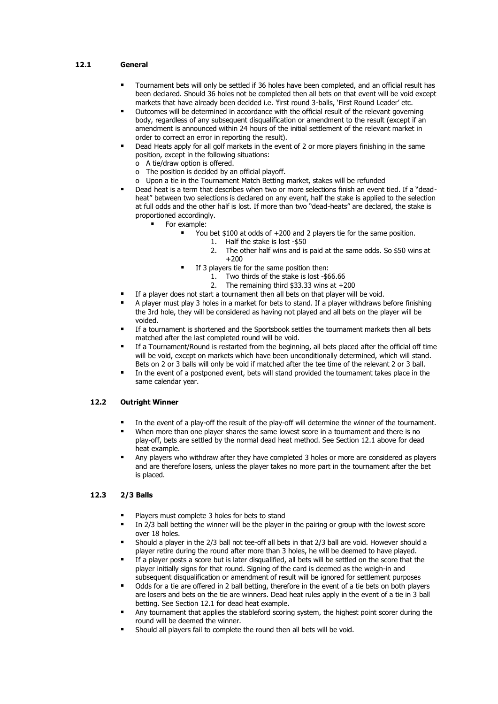## **12.1 General**

- Tournament bets will only be settled if 36 holes have been completed, and an official result has been declared. Should 36 holes not be completed then all bets on that event will be void except markets that have already been decided i.e. 'first round 3-balls, 'First Round Leader' etc.
- Outcomes will be determined in accordance with the official result of the relevant governing body, regardless of any subsequent disqualification or amendment to the result (except if an amendment is announced within 24 hours of the initial settlement of the relevant market in order to correct an error in reporting the result).
- Dead Heats apply for all golf markets in the event of 2 or more players finishing in the same position, except in the following situations:
	- o A tie/draw option is offered.
	- o The position is decided by an official playoff.
	- o Upon a tie in the Tournament Match Betting market, stakes will be refunded
- Dead heat is a term that describes when two or more selections finish an event tied. If a "deadheat" between two selections is declared on any event, half the stake is applied to the selection at full odds and the other half is lost. If more than two "dead-heats" are declared, the stake is proportioned accordingly.
	- For example:
		- You bet \$100 at odds of  $+200$  and 2 players tie for the same position.
			- 1. Half the stake is lost -\$50
				- 2. The other half wins and is paid at the same odds. So \$50 wins at +200
			- If 3 players tie for the same position then:
				- 1. Two thirds of the stake is lost -\$66.66
				- 2. The remaining third \$33.33 wins at +200
- If a player does not start a tournament then all bets on that player will be void.
- A player must play 3 holes in a market for bets to stand. If a player withdraws before finishing the 3rd hole, they will be considered as having not played and all bets on the player will be voided.
- If a tournament is shortened and the Sportsbook settles the tournament markets then all bets matched after the last completed round will be void.
- If a Tournament/Round is restarted from the beginning, all bets placed after the official off time will be void, except on markets which have been unconditionally determined, which will stand. Bets on 2 or 3 balls will only be void if matched after the tee time of the relevant 2 or 3 ball.
- In the event of a postponed event, bets will stand provided the tournament takes place in the same calendar year.

## **12.2 Outright Winner**

- In the event of a play-off the result of the play-off will determine the winner of the tournament.
- When more than one player shares the same lowest score in a tournament and there is no play-off, bets are settled by the normal dead heat method. See Section 12.1 above for dead heat example.
- Any players who withdraw after they have completed 3 holes or more are considered as players and are therefore losers, unless the player takes no more part in the tournament after the bet is placed.

## **12.3 2/3 Balls**

- Players must complete 3 holes for bets to stand
- In 2/3 ball betting the winner will be the player in the pairing or group with the lowest score over 18 holes.
- Should a player in the 2/3 ball not tee-off all bets in that 2/3 ball are void. However should a player retire during the round after more than 3 holes, he will be deemed to have played.
- If a player posts a score but is later disqualified, all bets will be settled on the score that the player initially signs for that round. Signing of the card is deemed as the weigh-in and subsequent disqualification or amendment of result will be ignored for settlement purposes
- Odds for a tie are offered in 2 ball betting, therefore in the event of a tie bets on both players are losers and bets on the tie are winners. Dead heat rules apply in the event of a tie in 3 ball betting. See Section 12.1 for dead heat example.
- Any tournament that applies the stableford scoring system, the highest point scorer during the round will be deemed the winner.
- Should all players fail to complete the round then all bets will be void.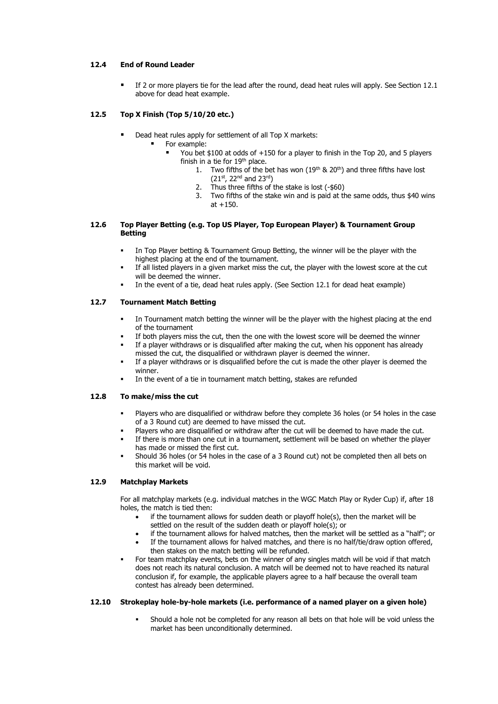#### **12.4 End of Round Leader**

If 2 or more players tie for the lead after the round, dead heat rules will apply. See Section 12.1 above for dead heat example.

## **12.5 Top X Finish (Top 5/10/20 etc.)**

- Dead heat rules apply for settlement of all Top X markets:
	- For example:
		- You bet \$100 at odds of  $+150$  for a player to finish in the Top 20, and 5 players finish in a tie for  $19<sup>th</sup>$  place.
			- 1. Two fifths of the bet has won  $(19<sup>th</sup>$  &  $20<sup>th</sup>)$  and three fifths have lost (21st, 22nd and 23rd)
				- 2. Thus three fifths of the stake is lost (-\$60)
			- 3. Two fifths of the stake win and is paid at the same odds, thus \$40 wins  $at +150.$

#### **12.6 Top Player Betting (e.g. Top US Player, Top European Player) & Tournament Group Betting**

- **•** In Top Player betting & Tournament Group Betting, the winner will be the player with the highest placing at the end of the tournament.
- If all listed players in a given market miss the cut, the player with the lowest score at the cut will be deemed the winner.
- In the event of a tie, dead heat rules apply. (See Section 12.1 for dead heat example)

## **12.7 Tournament Match Betting**

- In Tournament match betting the winner will be the player with the highest placing at the end of the tournament
- If both players miss the cut, then the one with the lowest score will be deemed the winner
- If a player withdraws or is disqualified after making the cut, when his opponent has already missed the cut, the disqualified or withdrawn player is deemed the winner.
- If a player withdraws or is disqualified before the cut is made the other player is deemed the winner.
- In the event of a tie in tournament match betting, stakes are refunded

#### **12.8 To make/miss the cut**

- Players who are disqualified or withdraw before they complete 36 holes (or 54 holes in the case of a 3 Round cut) are deemed to have missed the cut.
- Players who are disqualified or withdraw after the cut will be deemed to have made the cut.
- If there is more than one cut in a tournament, settlement will be based on whether the player has made or missed the first cut.
- Should 36 holes (or 54 holes in the case of a 3 Round cut) not be completed then all bets on this market will be void.

# **12.9 Matchplay Markets**

For all matchplay markets (e.g. individual matches in the WGC Match Play or Ryder Cup) if, after 18 holes, the match is tied then:

- if the tournament allows for sudden death or playoff hole(s), then the market will be settled on the result of the sudden death or playoff hole(s); or
- if the tournament allows for halved matches, then the market will be settled as a "half"; or
- If the tournament allows for halved matches, and there is no half/tie/draw option offered, then stakes on the match betting will be refunded.
- For team matchplay events, bets on the winner of any singles match will be void if that match does not reach its natural conclusion. A match will be deemed not to have reached its natural conclusion if, for example, the applicable players agree to a half because the overall team contest has already been determined.

#### **12.10 Strokeplay hole-by-hole markets (i.e. performance of a named player on a given hole)**

Should a hole not be completed for any reason all bets on that hole will be void unless the market has been unconditionally determined.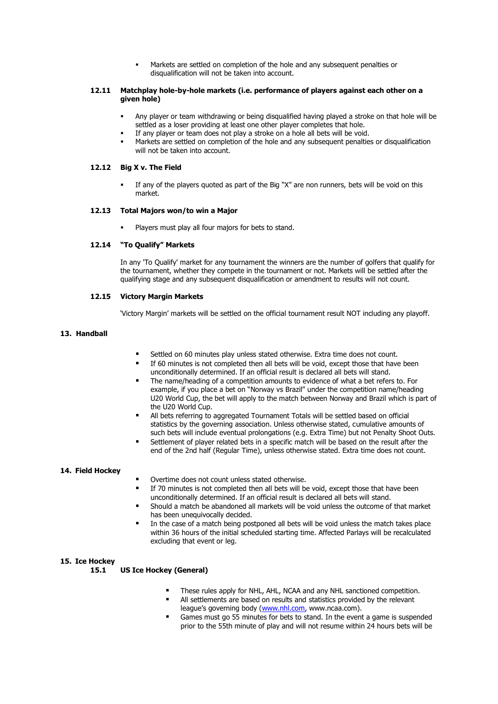Markets are settled on completion of the hole and any subsequent penalties or disqualification will not be taken into account.

#### **12.11 Matchplay hole-by-hole markets (i.e. performance of players against each other on a given hole)**

- Any player or team withdrawing or being disqualified having played a stroke on that hole will be settled as a loser providing at least one other player completes that hole.
- If any player or team does not play a stroke on a hole all bets will be void.
- Markets are settled on completion of the hole and any subsequent penalties or disqualification will not be taken into account.

#### **12.12 Big X v. The Field**

If any of the players quoted as part of the Big "X" are non runners, bets will be void on this market.

#### **12.13 Total Majors won/to win a Major**

Players must play all four majors for bets to stand.

## **12.14 "To Qualify" Markets**

In any 'To Qualify' market for any tournament the winners are the number of golfers that qualify for the tournament, whether they compete in the tournament or not. Markets will be settled after the qualifying stage and any subsequent disqualification or amendment to results will not count.

## **12.15 Victory Margin Markets**

'Victory Margin' markets will be settled on the official tournament result NOT including any playoff.

## **13. Handball**

- Settled on 60 minutes play unless stated otherwise. Extra time does not count.
- If 60 minutes is not completed then all bets will be void, except those that have been unconditionally determined. If an official result is declared all bets will stand.
- The name/heading of a competition amounts to evidence of what a bet refers to. For example, if you place a bet on "Norway vs Brazil" under the competition name/heading U20 World Cup, the bet will apply to the match between Norway and Brazil which is part of the U20 World Cup.
- All bets referring to aggregated Tournament Totals will be settled based on official statistics by the governing association. Unless otherwise stated, cumulative amounts of such bets will include eventual prolongations (e.g. Extra Time) but not Penalty Shoot Outs.
- Settlement of player related bets in a specific match will be based on the result after the end of the 2nd half (Regular Time), unless otherwise stated. Extra time does not count.

#### **14. Field Hockey**

- Overtime does not count unless stated otherwise.
- If 70 minutes is not completed then all bets will be void, except those that have been unconditionally determined. If an official result is declared all bets will stand.
- Should a match be abandoned all markets will be void unless the outcome of that market has been unequivocally decided.
- In the case of a match being postponed all bets will be void unless the match takes place within 36 hours of the initial scheduled starting time. Affected Parlays will be recalculated excluding that event or leg.

## **15. Ice Hockey**

#### **15.1 US Ice Hockey (General)**

- These rules apply for NHL, AHL, NCAA and any NHL sanctioned competition.
- All settlements are based on results and statistics provided by the relevant league's governing body ([www.nhl.com,](http://www.nhl.com/) www.ncaa.com).
- Games must go 55 minutes for bets to stand. In the event a game is suspended prior to the 55th minute of play and will not resume within 24 hours bets will be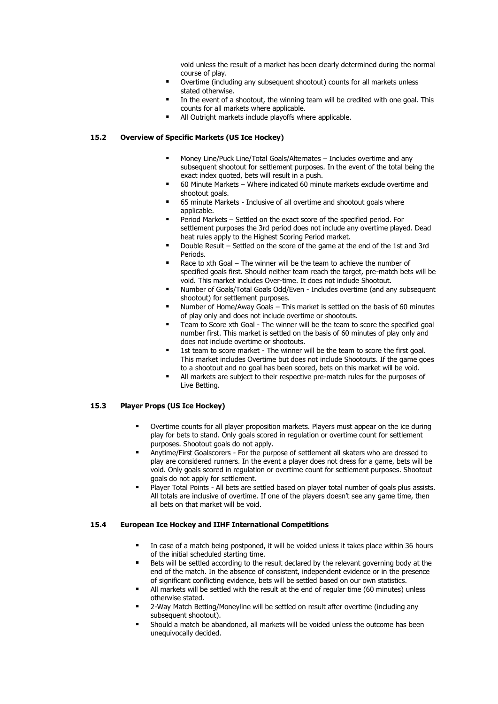void unless the result of a market has been clearly determined during the normal course of play.

- Overtime (including any subsequent shootout) counts for all markets unless stated otherwise.
- In the event of a shootout, the winning team will be credited with one goal. This counts for all markets where applicable.
- All Outright markets include playoffs where applicable.

## **15.2 Overview of Specific Markets (US Ice Hockey)**

- Money Line/Puck Line/Total Goals/Alternates Includes overtime and any subsequent shootout for settlement purposes. In the event of the total being the exact index quoted, bets will result in a push.
- 60 Minute Markets Where indicated 60 minute markets exclude overtime and shootout goals.
- 65 minute Markets Inclusive of all overtime and shootout goals where applicable.
- Period Markets Settled on the exact score of the specified period. For settlement purposes the 3rd period does not include any overtime played. Dead heat rules apply to the Highest Scoring Period market.
- Double Result Settled on the score of the game at the end of the 1st and 3rd Periods.
- Race to xth Goal The winner will be the team to achieve the number of specified goals first. Should neither team reach the target, pre-match bets will be void. This market includes Over-time. It does not include Shootout.
- Number of Goals/Total Goals Odd/Even Includes overtime (and any subsequent shootout) for settlement purposes.
- Number of Home/Away Goals This market is settled on the basis of 60 minutes of play only and does not include overtime or shootouts.
- Team to Score xth Goal The winner will be the team to score the specified goal number first. This market is settled on the basis of 60 minutes of play only and does not include overtime or shootouts.
- 1st team to score market The winner will be the team to score the first goal. This market includes Overtime but does not include Shootouts. If the game goes to a shootout and no goal has been scored, bets on this market will be void.
- All markets are subject to their respective pre-match rules for the purposes of Live Betting.

## **15.3 Player Props (US Ice Hockey)**

- Overtime counts for all player proposition markets. Players must appear on the ice during play for bets to stand. Only goals scored in regulation or overtime count for settlement purposes. Shootout goals do not apply.
- Anytime/First Goalscorers For the purpose of settlement all skaters who are dressed to play are considered runners. In the event a player does not dress for a game, bets will be void. Only goals scored in regulation or overtime count for settlement purposes. Shootout goals do not apply for settlement.
- Player Total Points All bets are settled based on player total number of goals plus assists. All totals are inclusive of overtime. If one of the players doesn't see any game time, then all bets on that market will be void.

#### **15.4 European Ice Hockey and IIHF International Competitions**

- In case of a match being postponed, it will be voided unless it takes place within 36 hours of the initial scheduled starting time.
- Bets will be settled according to the result declared by the relevant governing body at the end of the match. In the absence of consistent, independent evidence or in the presence of significant conflicting evidence, bets will be settled based on our own statistics.
- All markets will be settled with the result at the end of regular time (60 minutes) unless otherwise stated.
- 2-Way Match Betting/Moneyline will be settled on result after overtime (including any subsequent shootout).
- Should a match be abandoned, all markets will be voided unless the outcome has been unequivocally decided.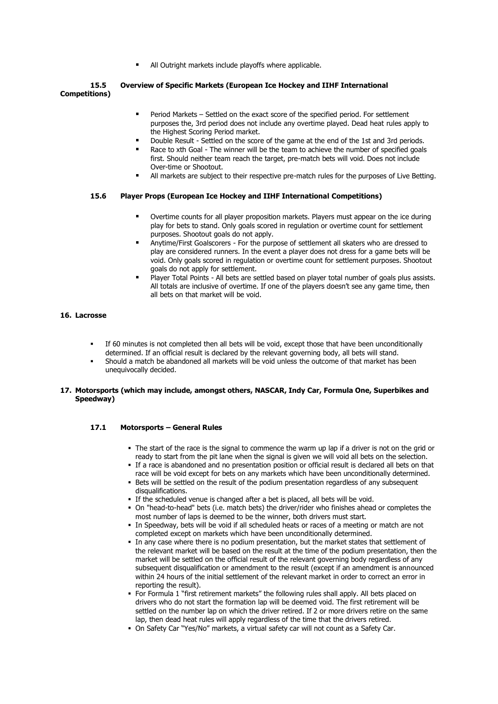All Outright markets include playoffs where applicable.

## **15.5 Overview of Specific Markets (European Ice Hockey and IIHF International Competitions)**

- Period Markets Settled on the exact score of the specified period. For settlement purposes the, 3rd period does not include any overtime played. Dead heat rules apply to the Highest Scoring Period market.
- Double Result Settled on the score of the game at the end of the 1st and 3rd periods.
- Race to xth Goal The winner will be the team to achieve the number of specified goals first. Should neither team reach the target, pre-match bets will void. Does not include Over-time or Shootout.
- **I** All markets are subject to their respective pre-match rules for the purposes of Live Betting.

## **15.6 Player Props (European Ice Hockey and IIHF International Competitions)**

- Overtime counts for all player proposition markets. Players must appear on the ice during play for bets to stand. Only goals scored in regulation or overtime count for settlement purposes. Shootout goals do not apply.
- Anytime/First Goalscorers For the purpose of settlement all skaters who are dressed to play are considered runners. In the event a player does not dress for a game bets will be void. Only goals scored in regulation or overtime count for settlement purposes. Shootout goals do not apply for settlement.
- Player Total Points All bets are settled based on player total number of goals plus assists. All totals are inclusive of overtime. If one of the players doesn't see any game time, then all bets on that market will be void.

# **16. Lacrosse**

- If 60 minutes is not completed then all bets will be void, except those that have been unconditionally determined. If an official result is declared by the relevant governing body, all bets will stand.
- Should a match be abandoned all markets will be void unless the outcome of that market has been unequivocally decided.

## **17. Motorsports (which may include, amongst others, NASCAR, Indy Car, Formula One, Superbikes and Speedway)**

## **17.1 Motorsports – General Rules**

- . The start of the race is the signal to commence the warm up lap if a driver is not on the grid or ready to start from the pit lane when the signal is given we will void all bets on the selection.
- If a race is abandoned and no presentation position or official result is declared all bets on that race will be void except for bets on any markets which have been unconditionally determined.
- **EXECT** Bets will be settled on the result of the podium presentation regardless of any subsequent disqualifications.
- **.** If the scheduled venue is changed after a bet is placed, all bets will be void.
- On "head-to-head" bets (i.e. match bets) the driver/rider who finishes ahead or completes the most number of laps is deemed to be the winner, both drivers must start.
- **.** In Speedway, bets will be void if all scheduled heats or races of a meeting or match are not completed except on markets which have been unconditionally determined.
- In any case where there is no podium presentation, but the market states that settlement of the relevant market will be based on the result at the time of the podium presentation, then the market will be settled on the official result of the relevant governing body regardless of any subsequent disqualification or amendment to the result (except if an amendment is announced within 24 hours of the initial settlement of the relevant market in order to correct an error in reporting the result).
- For Formula 1 "first retirement markets" the following rules shall apply. All bets placed on drivers who do not start the formation lap will be deemed void. The first retirement will be settled on the number lap on which the driver retired. If 2 or more drivers retire on the same lap, then dead heat rules will apply regardless of the time that the drivers retired.
- On Safety Car "Yes/No" markets, a virtual safety car will not count as a Safety Car.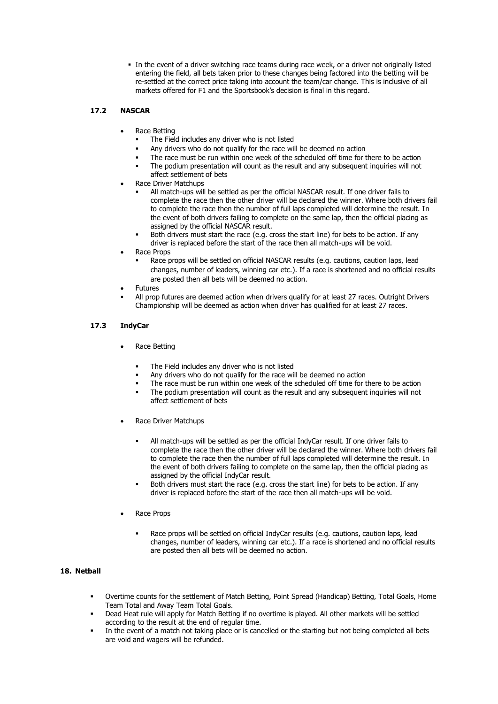**.** In the event of a driver switching race teams during race week, or a driver not originally listed entering the field, all bets taken prior to these changes being factored into the betting will be re-settled at the correct price taking into account the team/car change. This is inclusive of all markets offered for F1 and the Sportsbook's decision is final in this regard.

# **17.2 NASCAR**

- Race Betting
	- The Field includes any driver who is not listed
	- Any drivers who do not qualify for the race will be deemed no action
	- The race must be run within one week of the scheduled off time for there to be action
	- The podium presentation will count as the result and any subsequent inquiries will not affect settlement of bets
- Race Driver Matchups
	- All match-ups will be settled as per the official NASCAR result. If one driver fails to complete the race then the other driver will be declared the winner. Where both drivers fail to complete the race then the number of full laps completed will determine the result. In the event of both drivers failing to complete on the same lap, then the official placing as assigned by the official NASCAR result.
	- Both drivers must start the race (e.g. cross the start line) for bets to be action. If any driver is replaced before the start of the race then all match-ups will be void.
- Race Props
	- Race props will be settled on official NASCAR results (e.g. cautions, caution laps, lead changes, number of leaders, winning car etc.). If a race is shortened and no official results are posted then all bets will be deemed no action.
- **Futures**
- All prop futures are deemed action when drivers qualify for at least 27 races. Outright Drivers Championship will be deemed as action when driver has qualified for at least 27 races.

## **17.3 IndyCar**

- Race Betting
	- The Field includes any driver who is not listed
	- Any drivers who do not qualify for the race will be deemed no action
	- The race must be run within one week of the scheduled off time for there to be action
	- The podium presentation will count as the result and any subsequent inquiries will not affect settlement of bets
- Race Driver Matchups
	- All match-ups will be settled as per the official IndyCar result. If one driver fails to complete the race then the other driver will be declared the winner. Where both drivers fail to complete the race then the number of full laps completed will determine the result. In the event of both drivers failing to complete on the same lap, then the official placing as assigned by the official IndyCar result.
	- Both drivers must start the race (e.g. cross the start line) for bets to be action. If any driver is replaced before the start of the race then all match-ups will be void.
- Race Props
	- Race props will be settled on official IndyCar results (e.g. cautions, caution laps, lead changes, number of leaders, winning car etc.). If a race is shortened and no official results are posted then all bets will be deemed no action.

# **18. Netball**

- Overtime counts for the settlement of Match Betting, Point Spread (Handicap) Betting, Total Goals, Home Team Total and Away Team Total Goals.
- Dead Heat rule will apply for Match Betting if no overtime is played. All other markets will be settled according to the result at the end of regular time.
- In the event of a match not taking place or is cancelled or the starting but not being completed all bets are void and wagers will be refunded.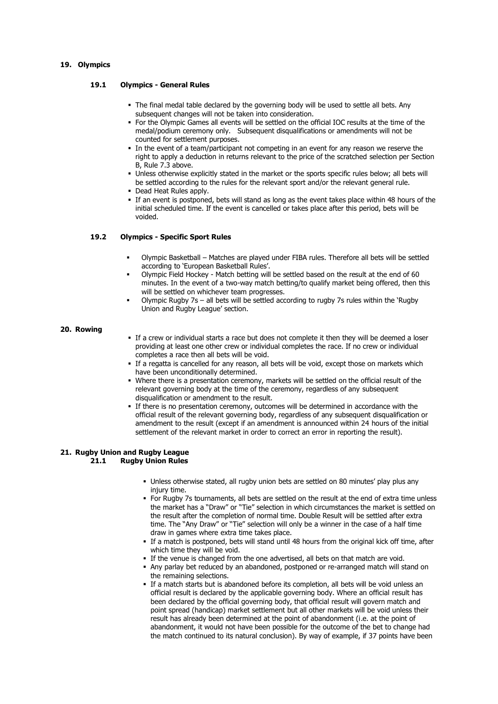#### **19. Olympics**

## **19.1 Olympics - General Rules**

- . The final medal table declared by the governing body will be used to settle all bets. Any subsequent changes will not be taken into consideration.
- For the Olympic Games all events will be settled on the official IOC results at the time of the medal/podium ceremony only. Subsequent disqualifications or amendments will not be counted for settlement purposes.
- In the event of a team/participant not competing in an event for any reason we reserve the right to apply a deduction in returns relevant to the price of the scratched selection per Section B, Rule 7.3 above.
- Unless otherwise explicitly stated in the market or the sports specific rules below; all bets will be settled according to the rules for the relevant sport and/or the relevant general rule.
- Dead Heat Rules apply.
- If an event is postponed, bets will stand as long as the event takes place within 48 hours of the initial scheduled time. If the event is cancelled or takes place after this period, bets will be voided.

#### **19.2 Olympics - Specific Sport Rules**

- Olympic Basketball Matches are played under FIBA rules. Therefore all bets will be settled according to 'European Basketball Rules'.
- Olympic Field Hockey Match betting will be settled based on the result at the end of 60 minutes. In the event of a two-way match betting/to qualify market being offered, then this will be settled on whichever team progresses.
- Olympic Rugby 7s all bets will be settled according to rugby 7s rules within the 'Rugby Union and Rugby League' section.

#### **20. Rowing**

- If a crew or individual starts a race but does not complete it then they will be deemed a loser providing at least one other crew or individual completes the race. If no crew or individual completes a race then all bets will be void.
- **.** If a regatta is cancelled for any reason, all bets will be void, except those on markets which have been unconditionally determined.
- Where there is a presentation ceremony, markets will be settled on the official result of the relevant governing body at the time of the ceremony, regardless of any subsequent disqualification or amendment to the result.
- **•** If there is no presentation ceremony, outcomes will be determined in accordance with the official result of the relevant governing body, regardless of any subsequent disqualification or amendment to the result (except if an amendment is announced within 24 hours of the initial settlement of the relevant market in order to correct an error in reporting the result).

#### **21. Rugby Union and Rugby League 21.1 Rugby Union Rules**

- **.** Unless otherwise stated, all rugby union bets are settled on 80 minutes' play plus any injury time.
- For Rugby 7s tournaments, all bets are settled on the result at the end of extra time unless the market has a "Draw" or "Tie" selection in which circumstances the market is settled on the result after the completion of normal time. Double Result will be settled after extra time. The "Any Draw" or "Tie" selection will only be a winner in the case of a half time draw in games where extra time takes place.
- **.** If a match is postponed, bets will stand until 48 hours from the original kick off time, after which time they will be void.
- If the venue is changed from the one advertised, all bets on that match are void.
- Any parlay bet reduced by an abandoned, postponed or re-arranged match will stand on the remaining selections.
- **.** If a match starts but is abandoned before its completion, all bets will be void unless an official result is declared by the applicable governing body. Where an official result has been declared by the official governing body, that official result will govern match and point spread (handicap) market settlement but all other markets will be void unless their result has already been determined at the point of abandonment (i.e. at the point of abandonment, it would not have been possible for the outcome of the bet to change had the match continued to its natural conclusion). By way of example, if 37 points have been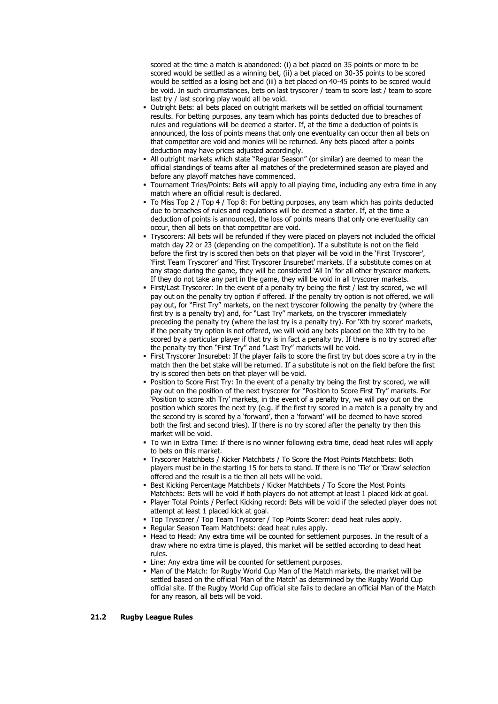scored at the time a match is abandoned: (i) a bet placed on 35 points or more to be scored would be settled as a winning bet, (ii) a bet placed on 30-35 points to be scored would be settled as a losing bet and (iii) a bet placed on 40-45 points to be scored would be void. In such circumstances, bets on last tryscorer / team to score last / team to score last try / last scoring play would all be void.

- Outright Bets: all bets placed on outright markets will be settled on official tournament results. For betting purposes, any team which has points deducted due to breaches of rules and regulations will be deemed a starter. If, at the time a deduction of points is announced, the loss of points means that only one eventuality can occur then all bets on that competitor are void and monies will be returned. Any bets placed after a points deduction may have prices adjusted accordingly.
- All outright markets which state "Regular Season" (or similar) are deemed to mean the official standings of teams after all matches of the predetermined season are played and before any playoff matches have commenced.
- Tournament Tries/Points: Bets will apply to all playing time, including any extra time in any match where an official result is declared.
- To Miss Top 2 / Top 4 / Top 8: For betting purposes, any team which has points deducted due to breaches of rules and regulations will be deemed a starter. If, at the time a deduction of points is announced, the loss of points means that only one eventuality can occur, then all bets on that competitor are void.
- Tryscorers: All bets will be refunded if they were placed on players not included the official match day 22 or 23 (depending on the competition). If a substitute is not on the field before the first try is scored then bets on that player will be void in the 'First Tryscorer', 'First Team Tryscorer' and 'First Tryscorer Insurebet' markets. If a substitute comes on at any stage during the game, they will be considered 'All In' for all other tryscorer markets. If they do not take any part in the game, they will be void in all tryscorer markets.
- First/Last Tryscorer: In the event of a penalty try being the first / last try scored, we will pay out on the penalty try option if offered. If the penalty try option is not offered, we will pay out, for "First Try" markets, on the next tryscorer following the penalty try (where the first try is a penalty try) and, for "Last Try" markets, on the tryscorer immediately preceding the penalty try (where the last try is a penalty try). For 'Xth try scorer' markets, if the penalty try option is not offered, we will void any bets placed on the Xth try to be scored by a particular player if that try is in fact a penalty try. If there is no try scored after the penalty try then "First Try" and "Last Try" markets will be void.
- First Tryscorer Insurebet: If the player fails to score the first try but does score a try in the match then the bet stake will be returned. If a substitute is not on the field before the first try is scored then bets on that player will be void.
- Position to Score First Try: In the event of a penalty try being the first try scored, we will pay out on the position of the next tryscorer for "Position to Score First Try" markets. For 'Position to score xth Try' markets, in the event of a penalty try, we will pay out on the position which scores the next try (e.g. if the first try scored in a match is a penalty try and the second try is scored by a 'forward', then a 'forward' will be deemed to have scored both the first and second tries). If there is no try scored after the penalty try then this market will be void.
- To win in Extra Time: If there is no winner following extra time, dead heat rules will apply to bets on this market.
- Tryscorer Matchbets / Kicker Matchbets / To Score the Most Points Matchbets: Both players must be in the starting 15 for bets to stand. If there is no 'Tie' or 'Draw' selection offered and the result is a tie then all bets will be void.
- **EXECT:** Best Kicking Percentage Matchbets / Kicker Matchbets / To Score the Most Points Matchbets: Bets will be void if both players do not attempt at least 1 placed kick at goal.
- Player Total Points / Perfect Kicking record: Bets will be void if the selected player does not attempt at least 1 placed kick at goal.
- **Top Tryscorer / Top Team Tryscorer / Top Points Scorer: dead heat rules apply.**
- Regular Season Team Matchbets: dead heat rules apply.
- Head to Head: Any extra time will be counted for settlement purposes. In the result of a draw where no extra time is played, this market will be settled according to dead heat rules.
- **.** Line: Any extra time will be counted for settlement purposes.
- . Man of the Match: for Rugby World Cup Man of the Match markets, the market will be settled based on the official 'Man of the Match' as determined by the Rugby World Cup official site. If the Rugby World Cup official site fails to declare an official Man of the Match for any reason, all bets will be void.

#### **21.2 Rugby League Rules**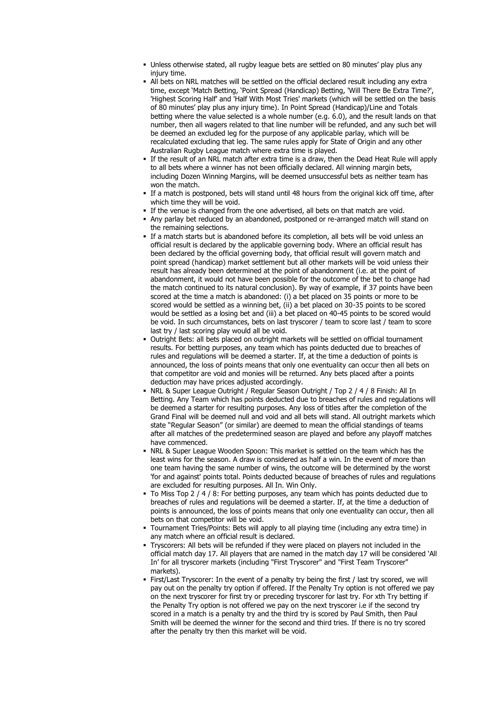- Unless otherwise stated, all rugby league bets are settled on 80 minutes' play plus any injury time.
- All bets on NRL matches will be settled on the official declared result including any extra time, except 'Match Betting, 'Point Spread (Handicap) Betting, 'Will There Be Extra Time?', 'Highest Scoring Half' and 'Half With Most Tries' markets (which will be settled on the basis of 80 minutes' play plus any injury time). In Point Spread (Handicap)/Line and Totals betting where the value selected is a whole number (e.g. 6.0), and the result lands on that number, then all wagers related to that line number will be refunded, and any such bet will be deemed an excluded leg for the purpose of any applicable parlay, which will be recalculated excluding that leg. The same rules apply for State of Origin and any other Australian Rugby League match where extra time is played.
- If the result of an NRL match after extra time is a draw, then the Dead Heat Rule will apply to all bets where a winner has not been officially declared. All winning margin bets, including Dozen Winning Margins, will be deemed unsuccessful bets as neither team has won the match.
- If a match is postponed, bets will stand until 48 hours from the original kick off time, after which time they will be void.
- **.** If the venue is changed from the one advertised, all bets on that match are void.
- Any parlay bet reduced by an abandoned, postponed or re-arranged match will stand on the remaining selections.
- **.** If a match starts but is abandoned before its completion, all bets will be void unless an official result is declared by the applicable governing body. Where an official result has been declared by the official governing body, that official result will govern match and point spread (handicap) market settlement but all other markets will be void unless their result has already been determined at the point of abandonment (i.e. at the point of abandonment, it would not have been possible for the outcome of the bet to change had the match continued to its natural conclusion). By way of example, if 37 points have been scored at the time a match is abandoned: (i) a bet placed on 35 points or more to be scored would be settled as a winning bet, (ii) a bet placed on 30-35 points to be scored would be settled as a losing bet and (iii) a bet placed on 40-45 points to be scored would be void. In such circumstances, bets on last tryscorer / team to score last / team to score last try / last scoring play would all be void.
- **.** Outright Bets: all bets placed on outright markets will be settled on official tournament results. For betting purposes, any team which has points deducted due to breaches of rules and regulations will be deemed a starter. If, at the time a deduction of points is announced, the loss of points means that only one eventuality can occur then all bets on that competitor are void and monies will be returned. Any bets placed after a points deduction may have prices adjusted accordingly.
- NRL & Super League Outright / Regular Season Outright / Top 2 / 4 / 8 Finish: All In Betting. Any Team which has points deducted due to breaches of rules and regulations will be deemed a starter for resulting purposes. Any loss of titles after the completion of the Grand Final will be deemed null and void and all bets will stand. All outright markets which state "Regular Season" (or similar) are deemed to mean the official standings of teams after all matches of the predetermined season are played and before any playoff matches have commenced.
- NRL & Super League Wooden Spoon: This market is settled on the team which has the least wins for the season. A draw is considered as half a win. In the event of more than one team having the same number of wins, the outcome will be determined by the worst 'for and against' points total. Points deducted because of breaches of rules and regulations are excluded for resulting purposes. All In. Win Only.
- To Miss Top 2 / 4 / 8: For betting purposes, any team which has points deducted due to breaches of rules and regulations will be deemed a starter. If, at the time a deduction of points is announced, the loss of points means that only one eventuality can occur, then all bets on that competitor will be void.
- Tournament Tries/Points: Bets will apply to all playing time (including any extra time) in any match where an official result is declared.
- Tryscorers: All bets will be refunded if they were placed on players not included in the official match day 17. All players that are named in the match day 17 will be considered 'All In' for all tryscorer markets (including "First Tryscorer" and "First Team Tryscorer" markets).
- First/Last Tryscorer: In the event of a penalty try being the first / last try scored, we will pay out on the penalty try option if offered. If the Penalty Try option is not offered we pay on the next tryscorer for first try or preceding tryscorer for last try. For xth Try betting if the Penalty Try option is not offered we pay on the next tryscorer i.e if the second try scored in a match is a penalty try and the third try is scored by Paul Smith, then Paul Smith will be deemed the winner for the second and third tries. If there is no try scored after the penalty try then this market will be void.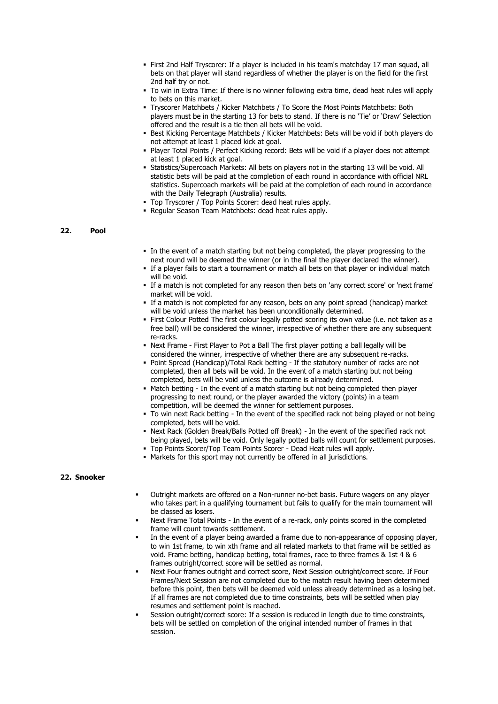- First 2nd Half Tryscorer: If a player is included in his team's matchday 17 man squad, all bets on that player will stand regardless of whether the player is on the field for the first 2nd half try or not.
- $\blacksquare$  To win in Extra Time: If there is no winner following extra time, dead heat rules will apply to bets on this market.
- Tryscorer Matchbets / Kicker Matchbets / To Score the Most Points Matchbets: Both players must be in the starting 13 for bets to stand. If there is no 'Tie' or 'Draw' Selection offered and the result is a tie then all bets will be void.
- Best Kicking Percentage Matchbets / Kicker Matchbets: Bets will be void if both players do not attempt at least 1 placed kick at goal.
- Player Total Points / Perfect Kicking record: Bets will be void if a player does not attempt at least 1 placed kick at goal.
- Statistics/Supercoach Markets: All bets on players not in the starting 13 will be void. All statistic bets will be paid at the completion of each round in accordance with official NRL statistics. Supercoach markets will be paid at the completion of each round in accordance with the Daily Telegraph (Australia) results.
- Top Tryscorer / Top Points Scorer: dead heat rules apply.
- Regular Season Team Matchbets: dead heat rules apply.

#### **22. Pool**

- In the event of a match starting but not being completed, the player progressing to the next round will be deemed the winner (or in the final the player declared the winner).
- **.** If a player fails to start a tournament or match all bets on that player or individual match will be void.
- If a match is not completed for any reason then bets on 'any correct score' or 'next frame' market will be void.
- If a match is not completed for any reason, bets on any point spread (handicap) market will be void unless the market has been unconditionally determined.
- First Colour Potted The first colour legally potted scoring its own value (i.e. not taken as a free ball) will be considered the winner, irrespective of whether there are any subsequent re-racks.
- Next Frame First Player to Pot a Ball The first player potting a ball legally will be considered the winner, irrespective of whether there are any subsequent re-racks.
- Point Spread (Handicap)/Total Rack betting If the statutory number of racks are not completed, then all bets will be void. In the event of a match starting but not being completed, bets will be void unless the outcome is already determined.
- **.** Match betting In the event of a match starting but not being completed then player progressing to next round, or the player awarded the victory (points) in a team competition, will be deemed the winner for settlement purposes.
- To win next Rack betting In the event of the specified rack not being played or not being completed, bets will be void.
- Next Rack (Golden Break/Balls Potted off Break) In the event of the specified rack not being played, bets will be void. Only legally potted balls will count for settlement purposes.
- Top Points Scorer/Top Team Points Scorer Dead Heat rules will apply.
- Markets for this sport may not currently be offered in all jurisdictions.

#### **22. Snooker**

- Outright markets are offered on a Non-runner no-bet basis. Future wagers on any player who takes part in a qualifying tournament but fails to qualify for the main tournament will be classed as losers.
- Next Frame Total Points In the event of a re-rack, only points scored in the completed frame will count towards settlement.
- In the event of a player being awarded a frame due to non-appearance of opposing player, to win 1st frame, to win xth frame and all related markets to that frame will be settled as void. Frame betting, handicap betting, total frames, race to three frames & 1st 4 & 6 frames outright/correct score will be settled as normal.
- Next Four frames outright and correct score, Next Session outright/correct score. If Four Frames/Next Session are not completed due to the match result having been determined before this point, then bets will be deemed void unless already determined as a losing bet. If all frames are not completed due to time constraints, bets will be settled when play resumes and settlement point is reached.
- Session outright/correct score: If a session is reduced in length due to time constraints, bets will be settled on completion of the original intended number of frames in that session.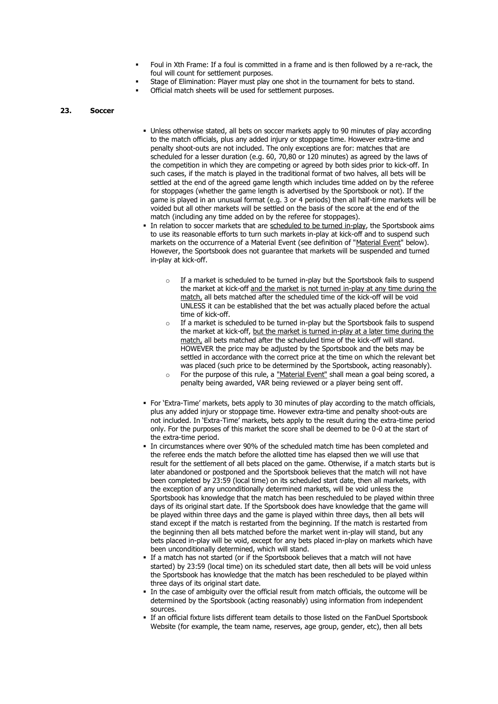- Foul in Xth Frame: If a foul is committed in a frame and is then followed by a re-rack, the foul will count for settlement purposes.
- Stage of Elimination: Player must play one shot in the tournament for bets to stand.
- Official match sheets will be used for settlement purposes.

#### **23. Soccer**

- **.** Unless otherwise stated, all bets on soccer markets apply to 90 minutes of play according to the match officials, plus any added injury or stoppage time. However extra-time and penalty shoot-outs are not included. The only exceptions are for: matches that are scheduled for a lesser duration (e.g. 60, 70,80 or 120 minutes) as agreed by the laws of the competition in which they are competing or agreed by both sides prior to kick-off. In such cases, if the match is played in the traditional format of two halves, all bets will be settled at the end of the agreed game length which includes time added on by the referee for stoppages (whether the game length is advertised by the Sportsbook or not). If the game is played in an unusual format (e.g. 3 or 4 periods) then all half-time markets will be voided but all other markets will be settled on the basis of the score at the end of the match (including any time added on by the referee for stoppages).
- In relation to soccer markets that are scheduled to be turned in-play, the Sportsbook aims to use its reasonable efforts to turn such markets in-play at kick-off and to suspend such markets on the occurrence of a Material Event (see definition of "Material Event" below). However, the Sportsbook does not guarantee that markets will be suspended and turned in-play at kick-off.
	- o If a market is scheduled to be turned in-play but the Sportsbook fails to suspend the market at kick-off and the market is not turned in-play at any time during the match, all bets matched after the scheduled time of the kick-off will be void UNLESS it can be established that the bet was actually placed before the actual time of kick-off.
	- $\circ$  If a market is scheduled to be turned in-play but the Sportsbook fails to suspend the market at kick-off, but the market is turned in-play at a later time during the match, all bets matched after the scheduled time of the kick-off will stand. HOWEVER the price may be adjusted by the Sportsbook and the bets may be settled in accordance with the correct price at the time on which the relevant bet was placed (such price to be determined by the Sportsbook, acting reasonably).
	- $\circ$  For the purpose of this rule, a "Material Event" shall mean a goal being scored, a penalty being awarded, VAR being reviewed or a player being sent off.
- For 'Extra-Time' markets, bets apply to 30 minutes of play according to the match officials, plus any added injury or stoppage time. However extra-time and penalty shoot-outs are not included. In 'Extra-Time' markets, bets apply to the result during the extra-time period only. For the purposes of this market the score shall be deemed to be 0-0 at the start of the extra-time period.
- In circumstances where over 90% of the scheduled match time has been completed and the referee ends the match before the allotted time has elapsed then we will use that result for the settlement of all bets placed on the game. Otherwise, if a match starts but is later abandoned or postponed and the Sportsbook believes that the match will not have been completed by 23:59 (local time) on its scheduled start date, then all markets, with the exception of any unconditionally determined markets, will be void unless the Sportsbook has knowledge that the match has been rescheduled to be played within three days of its original start date. If the Sportsbook does have knowledge that the game will be played within three days and the game is played within three days, then all bets will stand except if the match is restarted from the beginning. If the match is restarted from the beginning then all bets matched before the market went in-play will stand, but any bets placed in-play will be void, except for any bets placed in-play on markets which have been unconditionally determined, which will stand.
- **.** If a match has not started (or if the Sportsbook believes that a match will not have started) by 23:59 (local time) on its scheduled start date, then all bets will be void unless the Sportsbook has knowledge that the match has been rescheduled to be played within three days of its original start date.
- In the case of ambiguity over the official result from match officials, the outcome will be determined by the Sportsbook (acting reasonably) using information from independent sources.
- **.** If an official fixture lists different team details to those listed on the FanDuel Sportsbook Website (for example, the team name, reserves, age group, gender, etc), then all bets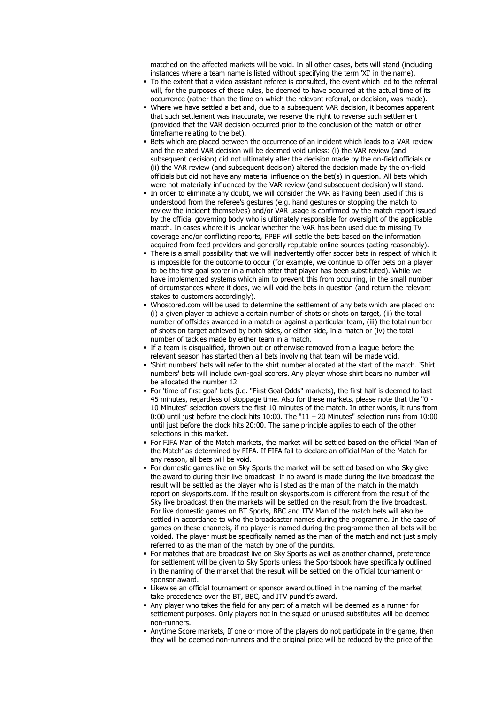matched on the affected markets will be void. In all other cases, bets will stand (including instances where a team name is listed without specifying the term 'XI' in the name).

- To the extent that a video assistant referee is consulted, the event which led to the referral will, for the purposes of these rules, be deemed to have occurred at the actual time of its occurrence (rather than the time on which the relevant referral, or decision, was made).
- Where we have settled a bet and, due to a subsequent VAR decision, it becomes apparent that such settlement was inaccurate, we reserve the right to reverse such settlement (provided that the VAR decision occurred prior to the conclusion of the match or other timeframe relating to the bet).
- Bets which are placed between the occurrence of an incident which leads to a VAR review and the related VAR decision will be deemed void unless: (i) the VAR review (and subsequent decision) did not ultimately alter the decision made by the on-field officials or (ii) the VAR review (and subsequent decision) altered the decision made by the on-field officials but did not have any material influence on the bet(s) in question. All bets which were not materially influenced by the VAR review (and subsequent decision) will stand.
- **.** In order to eliminate any doubt, we will consider the VAR as having been used if this is understood from the referee's gestures (e.g. hand gestures or stopping the match to review the incident themselves) and/or VAR usage is confirmed by the match report issued by the official governing body who is ultimately responsible for oversight of the applicable match. In cases where it is unclear whether the VAR has been used due to missing TV coverage and/or conflicting reports, PPBF will settle the bets based on the information acquired from feed providers and generally reputable online sources (acting reasonably).
- There is a small possibility that we will inadvertently offer soccer bets in respect of which it is impossible for the outcome to occur (for example, we continue to offer bets on a player to be the first goal scorer in a match after that player has been substituted). While we have implemented systems which aim to prevent this from occurring, in the small number of circumstances where it does, we will void the bets in question (and return the relevant stakes to customers accordingly).
- Whoscored.com will be used to determine the settlement of any bets which are placed on: (i) a given player to achieve a certain number of shots or shots on target, (ii) the total number of offsides awarded in a match or against a particular team, (iii) the total number of shots on target achieved by both sides, or either side, in a match or (iv) the total number of tackles made by either team in a match.
- If a team is disqualified, thrown out or otherwise removed from a league before the relevant season has started then all bets involving that team will be made void.
- 'Shirt numbers' bets will refer to the shirt number allocated at the start of the match. 'Shirt numbers' bets will include own-goal scorers. Any player whose shirt bears no number will be allocated the number 12.
- For 'time of first goal' bets (i.e. "First Goal Odds" markets), the first half is deemed to last 45 minutes, regardless of stoppage time. Also for these markets, please note that the "0 - 10 Minutes" selection covers the first 10 minutes of the match. In other words, it runs from 0:00 until just before the clock hits 10:00. The "11 – 20 Minutes" selection runs from 10:00 until just before the clock hits 20:00. The same principle applies to each of the other selections in this market.
- For FIFA Man of the Match markets, the market will be settled based on the official 'Man of the Match' as determined by FIFA. If FIFA fail to declare an official Man of the Match for any reason, all bets will be void.
- For domestic games live on Sky Sports the market will be settled based on who Sky give the award to during their live broadcast. If no award is made during the live broadcast the result will be settled as the player who is listed as the man of the match in the match report on skysports.com. If the result on skysports.com is different from the result of the Sky live broadcast then the markets will be settled on the result from the live broadcast. For live domestic games on BT Sports, BBC and ITV Man of the match bets will also be settled in accordance to who the broadcaster names during the programme. In the case of games on these channels, if no player is named during the programme then all bets will be voided. The player must be specifically named as the man of the match and not just simply referred to as the man of the match by one of the pundits.
- For matches that are broadcast live on Sky Sports as well as another channel, preference for settlement will be given to Sky Sports unless the Sportsbook have specifically outlined in the naming of the market that the result will be settled on the official tournament or sponsor award.
- **.** Likewise an official tournament or sponsor award outlined in the naming of the market take precedence over the BT, BBC, and ITV pundit's award.
- Any player who takes the field for any part of a match will be deemed as a runner for settlement purposes. Only players not in the squad or unused substitutes will be deemed non-runners.
- **.** Anytime Score markets, If one or more of the players do not participate in the game, then they will be deemed non-runners and the original price will be reduced by the price of the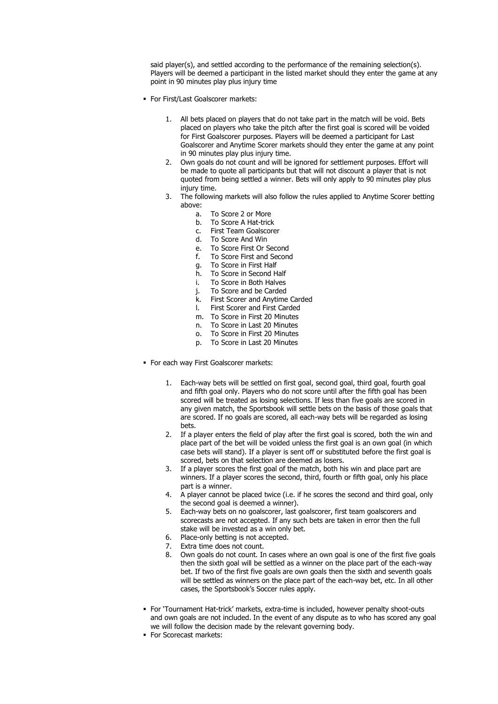said player(s), and settled according to the performance of the remaining selection(s). Players will be deemed a participant in the listed market should they enter the game at any point in 90 minutes play plus injury time

- For First/Last Goalscorer markets:
	- 1. All bets placed on players that do not take part in the match will be void. Bets placed on players who take the pitch after the first goal is scored will be voided for First Goalscorer purposes. Players will be deemed a participant for Last Goalscorer and Anytime Scorer markets should they enter the game at any point in 90 minutes play plus injury time.
	- 2. Own goals do not count and will be ignored for settlement purposes. Effort will be made to quote all participants but that will not discount a player that is not quoted from being settled a winner. Bets will only apply to 90 minutes play plus injury time.
	- 3. The following markets will also follow the rules applied to Anytime Scorer betting above:
		- a. To Score 2 or More
		- b. To Score A Hat-trick
		- c. First Team Goalscorer
		- d. To Score And Win
		- e. To Score First Or Second
		- f. To Score First and Second
		- g. To Score in First Half
		- h. To Score in Second Half
		- i. To Score in Both Halves
		- j. To Score and be Carded
		- k. First Scorer and Anytime Carded
		- l. First Scorer and First Carded
		- m. To Score in First 20 Minutes
		- n. To Score in Last 20 Minutes
		- o. To Score in First 20 Minutes
		- p. To Score in Last 20 Minutes
- For each way First Goalscorer markets:
	- 1. Each-way bets will be settled on first goal, second goal, third goal, fourth goal and fifth goal only. Players who do not score until after the fifth goal has been scored will be treated as losing selections. If less than five goals are scored in any given match, the Sportsbook will settle bets on the basis of those goals that are scored. If no goals are scored, all each-way bets will be regarded as losing bets.
	- 2. If a player enters the field of play after the first goal is scored, both the win and place part of the bet will be voided unless the first goal is an own goal (in which case bets will stand). If a player is sent off or substituted before the first goal is scored, bets on that selection are deemed as losers.
	- 3. If a player scores the first goal of the match, both his win and place part are winners. If a player scores the second, third, fourth or fifth goal, only his place part is a winner.
	- 4. A player cannot be placed twice (i.e. if he scores the second and third goal, only the second goal is deemed a winner).
	- 5. Each-way bets on no goalscorer, last goalscorer, first team goalscorers and scorecasts are not accepted. If any such bets are taken in error then the full stake will be invested as a win only bet.
	- 6. Place-only betting is not accepted.
	- 7. Extra time does not count.
	- 8. Own goals do not count. In cases where an own goal is one of the first five goals then the sixth goal will be settled as a winner on the place part of the each-way bet. If two of the first five goals are own goals then the sixth and seventh goals will be settled as winners on the place part of the each-way bet, etc. In all other cases, the Sportsbook's Soccer rules apply.
- For 'Tournament Hat-trick' markets, extra-time is included, however penalty shoot-outs and own goals are not included. In the event of any dispute as to who has scored any goal we will follow the decision made by the relevant governing body.
- For Scorecast markets: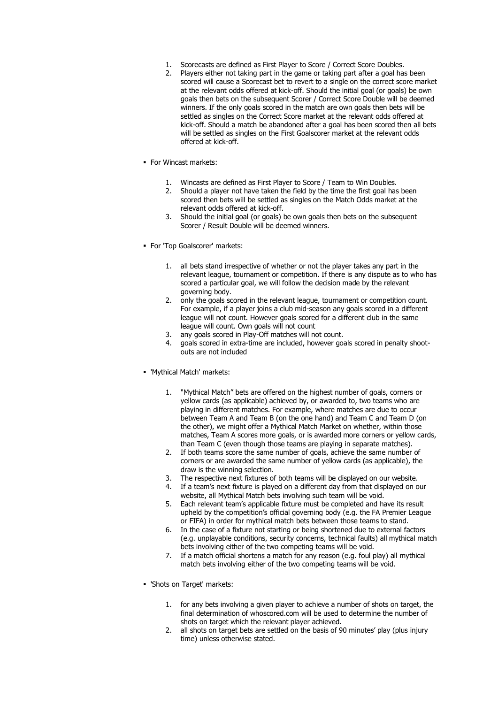- 1. Scorecasts are defined as First Player to Score / Correct Score Doubles.
- 2. Players either not taking part in the game or taking part after a goal has been scored will cause a Scorecast bet to revert to a single on the correct score market at the relevant odds offered at kick-off. Should the initial goal (or goals) be own goals then bets on the subsequent Scorer / Correct Score Double will be deemed winners. If the only goals scored in the match are own goals then bets will be settled as singles on the Correct Score market at the relevant odds offered at kick-off. Should a match be abandoned after a goal has been scored then all bets will be settled as singles on the First Goalscorer market at the relevant odds offered at kick-off.
- For Wincast markets:
	- 1. Wincasts are defined as First Player to Score / Team to Win Doubles.
	- 2. Should a player not have taken the field by the time the first goal has been scored then bets will be settled as singles on the Match Odds market at the relevant odds offered at kick-off.
	- 3. Should the initial goal (or goals) be own goals then bets on the subsequent Scorer / Result Double will be deemed winners.
- For 'Top Goalscorer' markets:
	- 1. all bets stand irrespective of whether or not the player takes any part in the relevant league, tournament or competition. If there is any dispute as to who has scored a particular goal, we will follow the decision made by the relevant governing body.
	- 2. only the goals scored in the relevant league, tournament or competition count. For example, if a player joins a club mid-season any goals scored in a different league will not count. However goals scored for a different club in the same league will count. Own goals will not count
	- 3. any goals scored in Play-Off matches will not count.
	- 4. goals scored in extra-time are included, however goals scored in penalty shootouts are not included
- 'Mythical Match' markets:
	- 1. "Mythical Match" bets are offered on the highest number of goals, corners or yellow cards (as applicable) achieved by, or awarded to, two teams who are playing in different matches. For example, where matches are due to occur between Team A and Team B (on the one hand) and Team C and Team D (on the other), we might offer a Mythical Match Market on whether, within those matches, Team A scores more goals, or is awarded more corners or yellow cards, than Team C (even though those teams are playing in separate matches).
	- 2. If both teams score the same number of goals, achieve the same number of corners or are awarded the same number of yellow cards (as applicable), the draw is the winning selection.
	- 3. The respective next fixtures of both teams will be displayed on our website.
	- 4. If a team's next fixture is played on a different day from that displayed on our website, all Mythical Match bets involving such team will be void.
	- 5. Each relevant team's applicable fixture must be completed and have its result upheld by the competition's official governing body (e.g. the FA Premier League or FIFA) in order for mythical match bets between those teams to stand.
	- 6. In the case of a fixture not starting or being shortened due to external factors (e.g. unplayable conditions, security concerns, technical faults) all mythical match bets involving either of the two competing teams will be void.
	- 7. If a match official shortens a match for any reason (e.g. foul play) all mythical match bets involving either of the two competing teams will be void.
- 'Shots on Target' markets:
	- 1. for any bets involving a given player to achieve a number of shots on target, the final determination of whoscored.com will be used to determine the number of shots on target which the relevant player achieved.
	- 2. all shots on target bets are settled on the basis of 90 minutes' play (plus injury time) unless otherwise stated.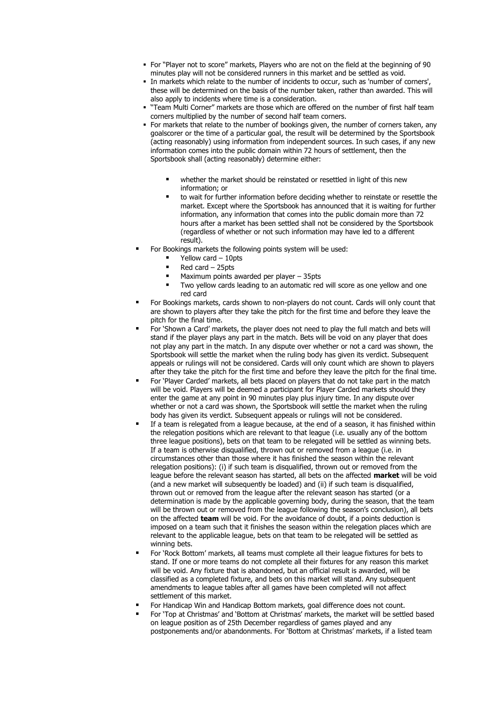- For "Player not to score" markets, Players who are not on the field at the beginning of 90 minutes play will not be considered runners in this market and be settled as void.
- In markets which relate to the number of incidents to occur, such as 'number of corners', these will be determined on the basis of the number taken, rather than awarded. This will also apply to incidents where time is a consideration.
- "Team Multi Corner" markets are those which are offered on the number of first half team corners multiplied by the number of second half team corners.
- For markets that relate to the number of bookings given, the number of corners taken, any goalscorer or the time of a particular goal, the result will be determined by the Sportsbook (acting reasonably) using information from independent sources. In such cases, if any new information comes into the public domain within 72 hours of settlement, then the Sportsbook shall (acting reasonably) determine either:
	- whether the market should be reinstated or resettled in light of this new information; or
	- to wait for further information before deciding whether to reinstate or resettle the market. Except where the Sportsbook has announced that it is waiting for further information, any information that comes into the public domain more than 72 hours after a market has been settled shall not be considered by the Sportsbook (regardless of whether or not such information may have led to a different result).
- For Bookings markets the following points system will be used:
	- Yellow card 10pts
	- $\blacksquare$  Red card 25pts
	- Maximum points awarded per player 35pts
	- Two yellow cards leading to an automatic red will score as one yellow and one red card
- For Bookings markets, cards shown to non-players do not count. Cards will only count that are shown to players after they take the pitch for the first time and before they leave the pitch for the final time.
- For 'Shown a Card' markets, the player does not need to play the full match and bets will stand if the player plays any part in the match. Bets will be void on any player that does not play any part in the match. In any dispute over whether or not a card was shown, the Sportsbook will settle the market when the ruling body has given its verdict. Subsequent appeals or rulings will not be considered. Cards will only count which are shown to players after they take the pitch for the first time and before they leave the pitch for the final time.
- For 'Player Carded' markets, all bets placed on players that do not take part in the match will be void. Players will be deemed a participant for Player Carded markets should they enter the game at any point in 90 minutes play plus injury time. In any dispute over whether or not a card was shown, the Sportsbook will settle the market when the ruling body has given its verdict. Subsequent appeals or rulings will not be considered.
- If a team is relegated from a league because, at the end of a season, it has finished within the relegation positions which are relevant to that league (i.e. usually any of the bottom three league positions), bets on that team to be relegated will be settled as winning bets. If a team is otherwise disqualified, thrown out or removed from a league (i.e. in circumstances other than those where it has finished the season within the relevant relegation positions): (i) if such team is disqualified, thrown out or removed from the league before the relevant season has started, all bets on the affected **market** will be void (and a new market will subsequently be loaded) and (ii) if such team is disqualified, thrown out or removed from the league after the relevant season has started (or a determination is made by the applicable governing body, during the season, that the team will be thrown out or removed from the league following the season's conclusion), all bets on the affected **team** will be void. For the avoidance of doubt, if a points deduction is imposed on a team such that it finishes the season within the relegation places which are relevant to the applicable league, bets on that team to be relegated will be settled as winning bets.
- For 'Rock Bottom' markets, all teams must complete all their league fixtures for bets to stand. If one or more teams do not complete all their fixtures for any reason this market will be void. Any fixture that is abandoned, but an official result is awarded, will be classified as a completed fixture, and bets on this market will stand. Any subsequent amendments to league tables after all games have been completed will not affect settlement of this market.
- For Handicap Win and Handicap Bottom markets, goal difference does not count.
- For 'Top at Christmas' and 'Bottom at Christmas' markets, the market will be settled based on league position as of 25th December regardless of games played and any postponements and/or abandonments. For 'Bottom at Christmas' markets, if a listed team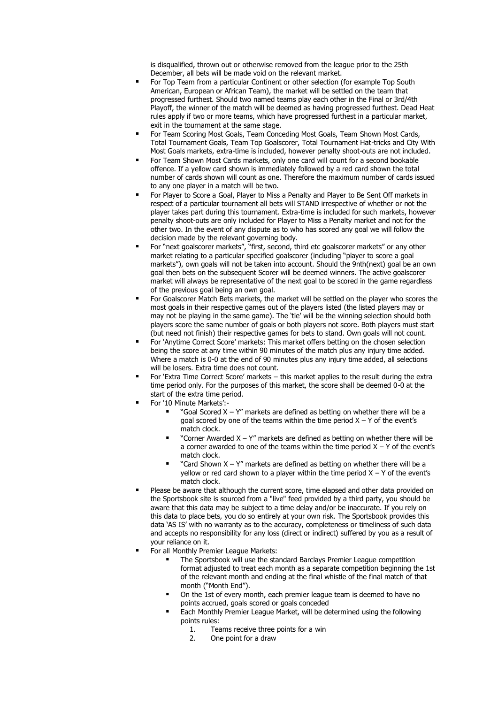is disqualified, thrown out or otherwise removed from the league prior to the 25th December, all bets will be made void on the relevant market.

- For Top Team from a particular Continent or other selection (for example Top South American, European or African Team), the market will be settled on the team that progressed furthest. Should two named teams play each other in the Final or 3rd/4th Playoff, the winner of the match will be deemed as having progressed furthest. Dead Heat rules apply if two or more teams, which have progressed furthest in a particular market, exit in the tournament at the same stage.
- For Team Scoring Most Goals, Team Conceding Most Goals, Team Shown Most Cards, Total Tournament Goals, Team Top Goalscorer, Total Tournament Hat-tricks and City With Most Goals markets, extra-time is included, however penalty shoot-outs are not included.
- For Team Shown Most Cards markets, only one card will count for a second bookable offence. If a yellow card shown is immediately followed by a red card shown the total number of cards shown will count as one. Therefore the maximum number of cards issued to any one player in a match will be two.
- For Player to Score a Goal, Player to Miss a Penalty and Player to Be Sent Off markets in respect of a particular tournament all bets will STAND irrespective of whether or not the player takes part during this tournament. Extra-time is included for such markets, however penalty shoot-outs are only included for Player to Miss a Penalty market and not for the other two. In the event of any dispute as to who has scored any goal we will follow the decision made by the relevant governing body.
- For "next goalscorer markets", "first, second, third etc goalscorer markets" or any other market relating to a particular specified goalscorer (including "player to score a goal markets"), own goals will not be taken into account. Should the 9nth(next) goal be an own goal then bets on the subsequent Scorer will be deemed winners. The active goalscorer market will always be representative of the next goal to be scored in the game regardless of the previous goal being an own goal.
- For Goalscorer Match Bets markets, the market will be settled on the player who scores the most goals in their respective games out of the players listed (the listed players may or may not be playing in the same game). The 'tie' will be the winning selection should both players score the same number of goals or both players not score. Both players must start (but need not finish) their respective games for bets to stand. Own goals will not count.
- For 'Anytime Correct Score' markets: This market offers betting on the chosen selection being the score at any time within 90 minutes of the match plus any injury time added. Where a match is 0-0 at the end of 90 minutes plus any injury time added, all selections will be losers. Extra time does not count.
- For 'Extra Time Correct Score' markets this market applies to the result during the extra time period only. For the purposes of this market, the score shall be deemed 0-0 at the start of the extra time period.
- For '10 Minute Markets':-
	- "Goal Scored  $X Y''$  markets are defined as betting on whether there will be a goal scored by one of the teams within the time period  $X - Y$  of the event's match clock.
	- "Corner Awarded  $X Y''$  markets are defined as betting on whether there will be a corner awarded to one of the teams within the time period  $X - Y$  of the event's match clock.
	- "Card Shown  $X Y''$  markets are defined as betting on whether there will be a yellow or red card shown to a player within the time period  $X - Y$  of the event's match clock.
- Please be aware that although the current score, time elapsed and other data provided on the Sportsbook site is sourced from a "live" feed provided by a third party, you should be aware that this data may be subject to a time delay and/or be inaccurate. If you rely on this data to place bets, you do so entirely at your own risk. The Sportsbook provides this data 'AS IS' with no warranty as to the accuracy, completeness or timeliness of such data and accepts no responsibility for any loss (direct or indirect) suffered by you as a result of your reliance on it.
- For all Monthly Premier League Markets:
	- The Sportsbook will use the standard Barclays Premier League competition format adjusted to treat each month as a separate competition beginning the 1st of the relevant month and ending at the final whistle of the final match of that month ("Month End").
	- On the 1st of every month, each premier league team is deemed to have no points accrued, goals scored or goals conceded
	- Each Monthly Premier League Market, will be determined using the following points rules:
		- 1. Teams receive three points for a win
		- 2. One point for a draw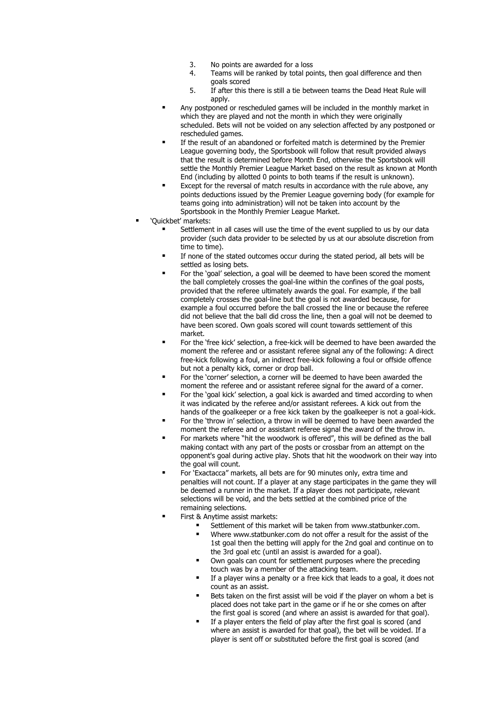- 3. No points are awarded for a loss
- 4. Teams will be ranked by total points, then goal difference and then goals scored
- 5. If after this there is still a tie between teams the Dead Heat Rule will apply.
- Any postponed or rescheduled games will be included in the monthly market in which they are played and not the month in which they were originally scheduled. Bets will not be voided on any selection affected by any postponed or rescheduled games.
- If the result of an abandoned or forfeited match is determined by the Premier League governing body, the Sportsbook will follow that result provided always that the result is determined before Month End, otherwise the Sportsbook will settle the Monthly Premier League Market based on the result as known at Month End (including by allotted 0 points to both teams if the result is unknown).
- Except for the reversal of match results in accordance with the rule above, any points deductions issued by the Premier League governing body (for example for teams going into administration) will not be taken into account by the Sportsbook in the Monthly Premier League Market.
- 'Ouickbet' markets:
	- Settlement in all cases will use the time of the event supplied to us by our data provider (such data provider to be selected by us at our absolute discretion from time to time).
	- If none of the stated outcomes occur during the stated period, all bets will be settled as losing bets.
	- For the 'goal' selection, a goal will be deemed to have been scored the moment the ball completely crosses the goal-line within the confines of the goal posts, provided that the referee ultimately awards the goal. For example, if the ball completely crosses the goal-line but the goal is not awarded because, for example a foul occurred before the ball crossed the line or because the referee did not believe that the ball did cross the line, then a goal will not be deemed to have been scored. Own goals scored will count towards settlement of this market.
	- For the 'free kick' selection, a free-kick will be deemed to have been awarded the moment the referee and or assistant referee signal any of the following: A direct free-kick following a foul, an indirect free-kick following a foul or offside offence but not a penalty kick, corner or drop ball.
	- For the 'corner' selection, a corner will be deemed to have been awarded the moment the referee and or assistant referee signal for the award of a corner.
	- For the 'goal kick' selection, a goal kick is awarded and timed according to when it was indicated by the referee and/or assistant referees. A kick out from the hands of the goalkeeper or a free kick taken by the goalkeeper is not a goal-kick.
	- For the 'throw in' selection, a throw in will be deemed to have been awarded the moment the referee and or assistant referee signal the award of the throw in.
	- For markets where "hit the woodwork is offered", this will be defined as the ball making contact with any part of the posts or crossbar from an attempt on the opponent's goal during active play. Shots that hit the woodwork on their way into the goal will count.
	- For 'Exactacca" markets, all bets are for 90 minutes only, extra time and penalties will not count. If a player at any stage participates in the game they will be deemed a runner in the market. If a player does not participate, relevant selections will be void, and the bets settled at the combined price of the remaining selections.
	- First & Anytime assist markets:
		- Settlement of this market will be taken from www.statbunker.com.
		- Where www.statbunker.com do not offer a result for the assist of the 1st goal then the betting will apply for the 2nd goal and continue on to the 3rd goal etc (until an assist is awarded for a goal).
		- Own goals can count for settlement purposes where the preceding touch was by a member of the attacking team.
		- If a player wins a penalty or a free kick that leads to a goal, it does not count as an assist.
		- Bets taken on the first assist will be void if the player on whom a bet is placed does not take part in the game or if he or she comes on after the first goal is scored (and where an assist is awarded for that goal).
		- If a player enters the field of play after the first goal is scored (and where an assist is awarded for that goal), the bet will be voided. If a player is sent off or substituted before the first goal is scored (and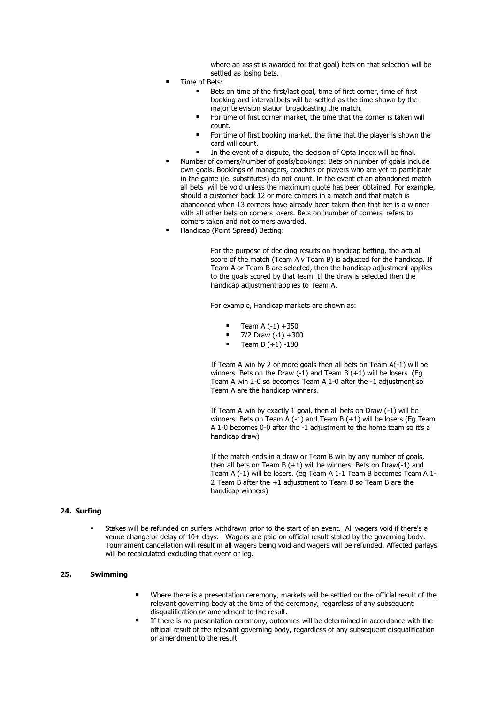where an assist is awarded for that goal) bets on that selection will be settled as losing bets.

- Time of Bets:
	- Bets on time of the first/last goal, time of first corner, time of first booking and interval bets will be settled as the time shown by the major television station broadcasting the match.
	- For time of first corner market, the time that the corner is taken will count.
	- For time of first booking market, the time that the player is shown the card will count.
	- In the event of a dispute, the decision of Opta Index will be final.
- Number of corners/number of goals/bookings: Bets on number of goals include own goals. Bookings of managers, coaches or players who are yet to participate in the game (ie. substitutes) do not count. In the event of an abandoned match all bets will be void unless the maximum quote has been obtained. For example, should a customer back 12 or more corners in a match and that match is abandoned when 13 corners have already been taken then that bet is a winner with all other bets on corners losers. Bets on 'number of corners' refers to corners taken and not corners awarded.
- Handicap (Point Spread) Betting:

For the purpose of deciding results on handicap betting, the actual score of the match (Team A v Team B) is adjusted for the handicap. If Team A or Team B are selected, then the handicap adjustment applies to the goals scored by that team. If the draw is selected then the handicap adjustment applies to Team A.

For example, Handicap markets are shown as:

- Team A  $(-1) + 350$
- $= 7/2$  Draw  $(-1) +300$ <br> $= 7$ cam B  $(+1)$  -180
- Team  $B (+1) -180$

If Team A win by 2 or more goals then all bets on Team A(-1) will be winners. Bets on the Draw  $(-1)$  and Team B  $(+1)$  will be losers. (Eq. Team A win 2-0 so becomes Team A 1-0 after the -1 adjustment so Team A are the handicap winners.

If Team A win by exactly 1 goal, then all bets on Draw (-1) will be winners. Bets on Team A (-1) and Team B (+1) will be losers (Eg Team A 1-0 becomes 0-0 after the -1 adjustment to the home team so it's a handicap draw)

If the match ends in a draw or Team B win by any number of goals, then all bets on Team B  $(+1)$  will be winners. Bets on Draw(-1) and Team A (-1) will be losers. (eg Team A 1-1 Team B becomes Team A 1- 2 Team B after the +1 adjustment to Team B so Team B are the handicap winners)

#### **24. Surfing**

Stakes will be refunded on surfers withdrawn prior to the start of an event. All wagers void if there's a venue change or delay of 10+ days. Wagers are paid on official result stated by the governing body. Tournament cancellation will result in all wagers being void and wagers will be refunded. Affected parlays will be recalculated excluding that event or leg.

## **25. Swimming**

- Where there is a presentation ceremony, markets will be settled on the official result of the relevant governing body at the time of the ceremony, regardless of any subsequent disqualification or amendment to the result.
- If there is no presentation ceremony, outcomes will be determined in accordance with the official result of the relevant governing body, regardless of any subsequent disqualification or amendment to the result.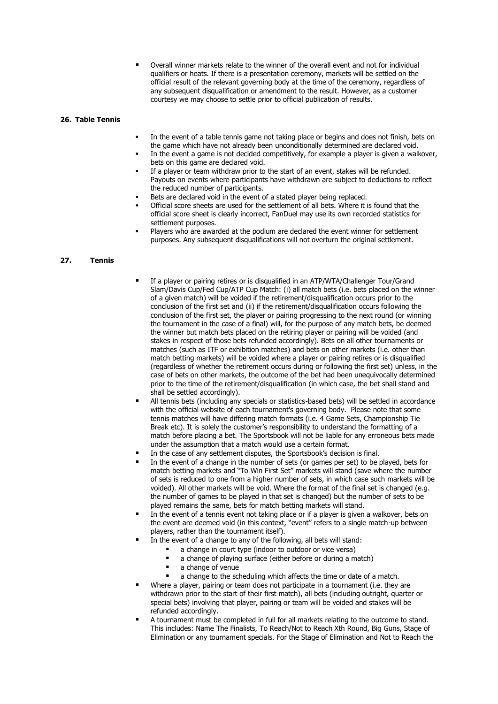Overall winner markets relate to the winner of the overall event and not for individual qualifiers or heats. If there is a presentation ceremony, markets will be settled on the official result of the relevant governing body at the time of the ceremony, regardless of any subsequent disqualification or amendment to the result. However, as a customer courtesy we may choose to settle prior to official publication of results.

#### **26. Table Tennis**

- In the event of a table tennis game not taking place or begins and does not finish, bets on the game which have not already been unconditionally determined are declared void.
- In the event a game is not decided competitively, for example a player is given a walkover, bets on this game are declared void.
- If a player or team withdraw prior to the start of an event, stakes will be refunded. Payouts on events where participants have withdrawn are subject to deductions to reflect the reduced number of participants.
- Bets are declared void in the event of a stated player being replaced.
- Official score sheets are used for the settlement of all bets. Where it is found that the official score sheet is clearly incorrect, FanDuel may use its own recorded statistics for settlement purposes.
- Players who are awarded at the podium are declared the event winner for settlement purposes. Any subsequent disqualifications will not overturn the original settlement.

# **27. Tennis**

- If a player or pairing retires or is disqualified in an ATP/WTA/Challenger Tour/Grand Slam/Davis Cup/Fed Cup/ATP Cup Match: (i) all match bets (i.e. bets placed on the winner of a given match) will be voided if the retirement/disqualification occurs prior to the conclusion of the first set and (ii) if the retirement/disqualification occurs following the conclusion of the first set, the player or pairing progressing to the next round (or winning the tournament in the case of a final) will, for the purpose of any match bets, be deemed the winner but match bets placed on the retiring player or pairing will be voided (and stakes in respect of those bets refunded accordingly). Bets on all other tournaments or matches (such as ITF or exhibition matches) and bets on other markets (i.e. other than match betting markets) will be voided where a player or pairing retires or is disqualified (regardless of whether the retirement occurs during or following the first set) unless, in the case of bets on other markets, the outcome of the bet had been unequivocally determined prior to the time of the retirement/disqualification (in which case, the bet shall stand and shall be settled accordingly).
- All tennis bets (including any specials or statistics-based bets) will be settled in accordance with the official website of each tournament's governing body. Please note that some tennis matches will have differing match formats (i.e. 4 Game Sets, Championship Tie Break etc). It is solely the customer's responsibility to understand the formatting of a match before placing a bet. The Sportsbook will not be liable for any erroneous bets made under the assumption that a match would use a certain format.
- In the case of any settlement disputes, the Sportsbook's decision is final.
- In the event of a change in the number of sets (or games per set) to be played, bets for match betting markets and "To Win First Set" markets will stand (save where the number of sets is reduced to one from a higher number of sets, in which case such markets will be voided). All other markets will be void. Where the format of the final set is changed (e.g. the number of games to be played in that set is changed) but the number of sets to be played remains the same, bets for match betting markets will stand.
- In the event of a tennis event not taking place or if a player is given a walkover, bets on the event are deemed void (in this context, "event" refers to a single match-up between players, rather than the tournament itself).
- In the event of a change to any of the following, all bets will stand:
	- a change in court type (indoor to outdoor or vice versa)
	- a change of playing surface (either before or during a match)
	- a change of venue
	- a change to the scheduling which affects the time or date of a match.
- Where a player, pairing or team does not participate in a tournament (i.e. they are withdrawn prior to the start of their first match), all bets (including outright, quarter or special bets) involving that player, pairing or team will be voided and stakes will be refunded accordingly.
- A tournament must be completed in full for all markets relating to the outcome to stand. This includes: Name The Finalists, To Reach/Not to Reach Xth Round, Big Guns, Stage of Elimination or any tournament specials. For the Stage of Elimination and Not to Reach the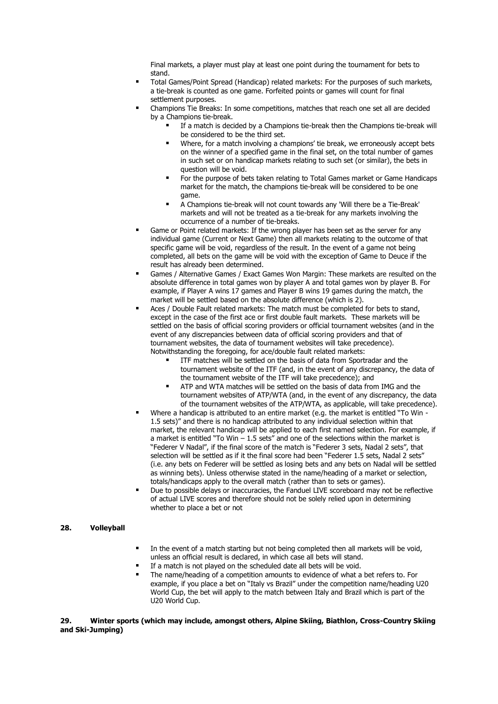Final markets, a player must play at least one point during the tournament for bets to stand.

- Total Games/Point Spread (Handicap) related markets: For the purposes of such markets, a tie-break is counted as one game. Forfeited points or games will count for final settlement purposes.
- Champions Tie Breaks: In some competitions, matches that reach one set all are decided by a Champions tie-break.
	- If a match is decided by a Champions tie-break then the Champions tie-break will be considered to be the third set.
	- Where, for a match involving a champions' tie break, we erroneously accept bets on the winner of a specified game in the final set, on the total number of games in such set or on handicap markets relating to such set (or similar), the bets in question will be void.
	- For the purpose of bets taken relating to Total Games market or Game Handicaps market for the match, the champions tie-break will be considered to be one game.
	- A Champions tie-break will not count towards any 'Will there be a Tie-Break' markets and will not be treated as a tie-break for any markets involving the occurrence of a number of tie-breaks.
- Game or Point related markets: If the wrong player has been set as the server for any individual game (Current or Next Game) then all markets relating to the outcome of that specific game will be void, regardless of the result. In the event of a game not being completed, all bets on the game will be void with the exception of Game to Deuce if the result has already been determined.
- Games / Alternative Games / Exact Games Won Margin: These markets are resulted on the absolute difference in total games won by player A and total games won by player B. For example, if Player A wins 17 games and Player B wins 19 games during the match, the market will be settled based on the absolute difference (which is 2).
- Aces / Double Fault related markets: The match must be completed for bets to stand, except in the case of the first ace or first double fault markets. These markets will be settled on the basis of official scoring providers or official tournament websites (and in the event of any discrepancies between data of official scoring providers and that of tournament websites, the data of tournament websites will take precedence). Notwithstanding the foregoing, for ace/double fault related markets:
	- ITF matches will be settled on the basis of data from Sportradar and the tournament website of the ITF (and, in the event of any discrepancy, the data of the tournament website of the ITF will take precedence); and
	- ATP and WTA matches will be settled on the basis of data from IMG and the tournament websites of ATP/WTA (and, in the event of any discrepancy, the data of the tournament websites of the ATP/WTA, as applicable, will take precedence).
- Where a handicap is attributed to an entire market (e.g. the market is entitled "To Win -1.5 sets)" and there is no handicap attributed to any individual selection within that market, the relevant handicap will be applied to each first named selection. For example, if a market is entitled "To Win  $-1.5$  sets" and one of the selections within the market is "Federer V Nadal", if the final score of the match is "Federer 3 sets, Nadal 2 sets", that selection will be settled as if it the final score had been "Federer 1.5 sets, Nadal 2 sets" (i.e. any bets on Federer will be settled as losing bets and any bets on Nadal will be settled as winning bets). Unless otherwise stated in the name/heading of a market or selection, totals/handicaps apply to the overall match (rather than to sets or games).
- Due to possible delays or inaccuracies, the Fanduel LIVE scoreboard may not be reflective of actual LIVE scores and therefore should not be solely relied upon in determining whether to place a bet or not

## **28. Volleyball**

- **■** In the event of a match starting but not being completed then all markets will be void, unless an official result is declared, in which case all bets will stand.
- If a match is not played on the scheduled date all bets will be void.
- The name/heading of a competition amounts to evidence of what a bet refers to. For example, if you place a bet on "Italy vs Brazil" under the competition name/heading U20 World Cup, the bet will apply to the match between Italy and Brazil which is part of the U20 World Cup.

#### **29. Winter sports (which may include, amongst others, Alpine Skiing, Biathlon, Cross-Country Skiing and Ski-Jumping)**